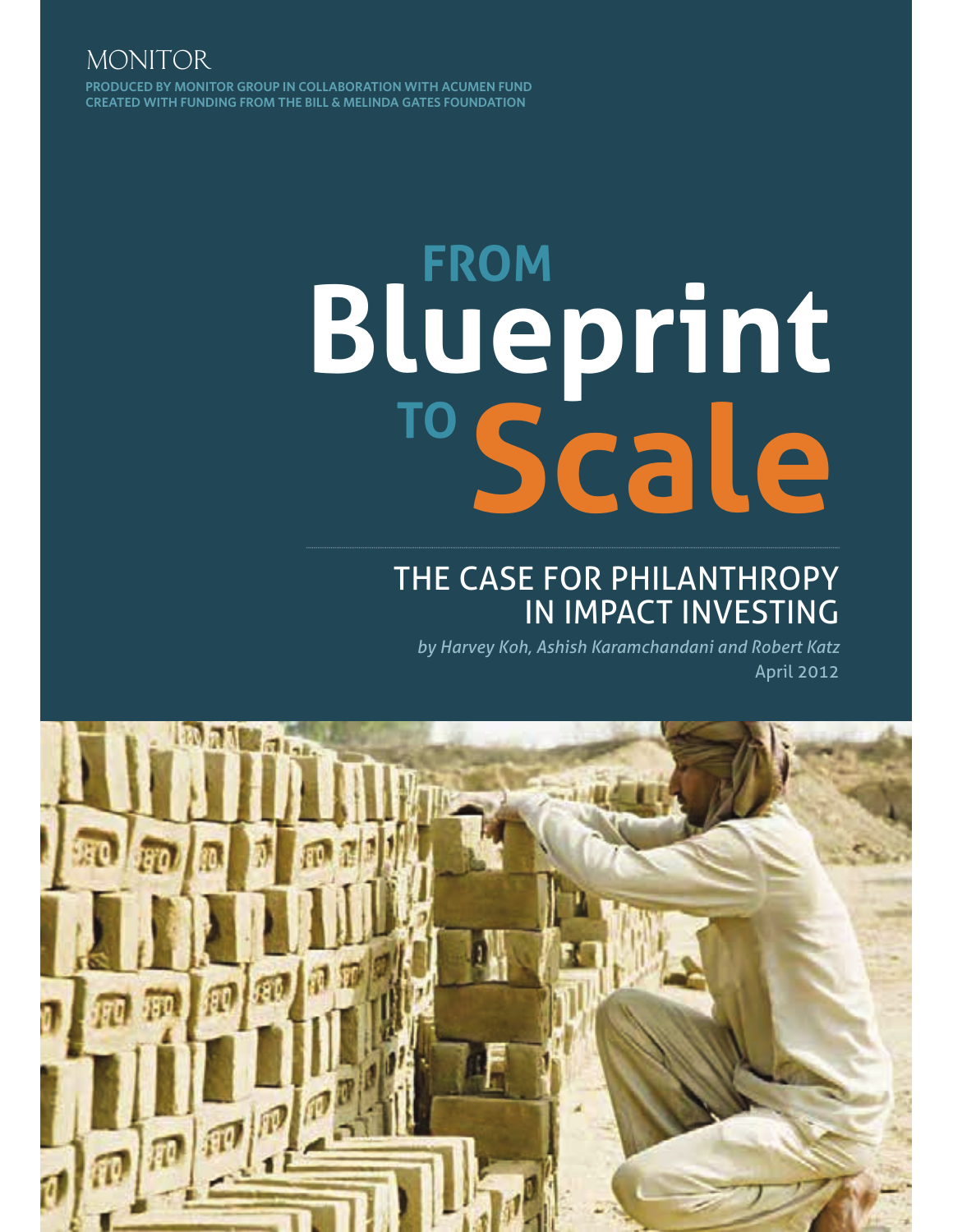**PRODUCED BY MONITOR GROUP IN COLLABORATION WITH ACUMEN FUND CREATED WITH FUNDING FROM THE BILL & MELINDA GATES FOUNDATION** MONITOR

# **Scale FROM Blueprint TO**

# THE CASE FOR PHILANTHROPY IN IMPACT INVESTING

*by Harvey Koh, Ashish Karamchandani and Robert Katz* April 2012

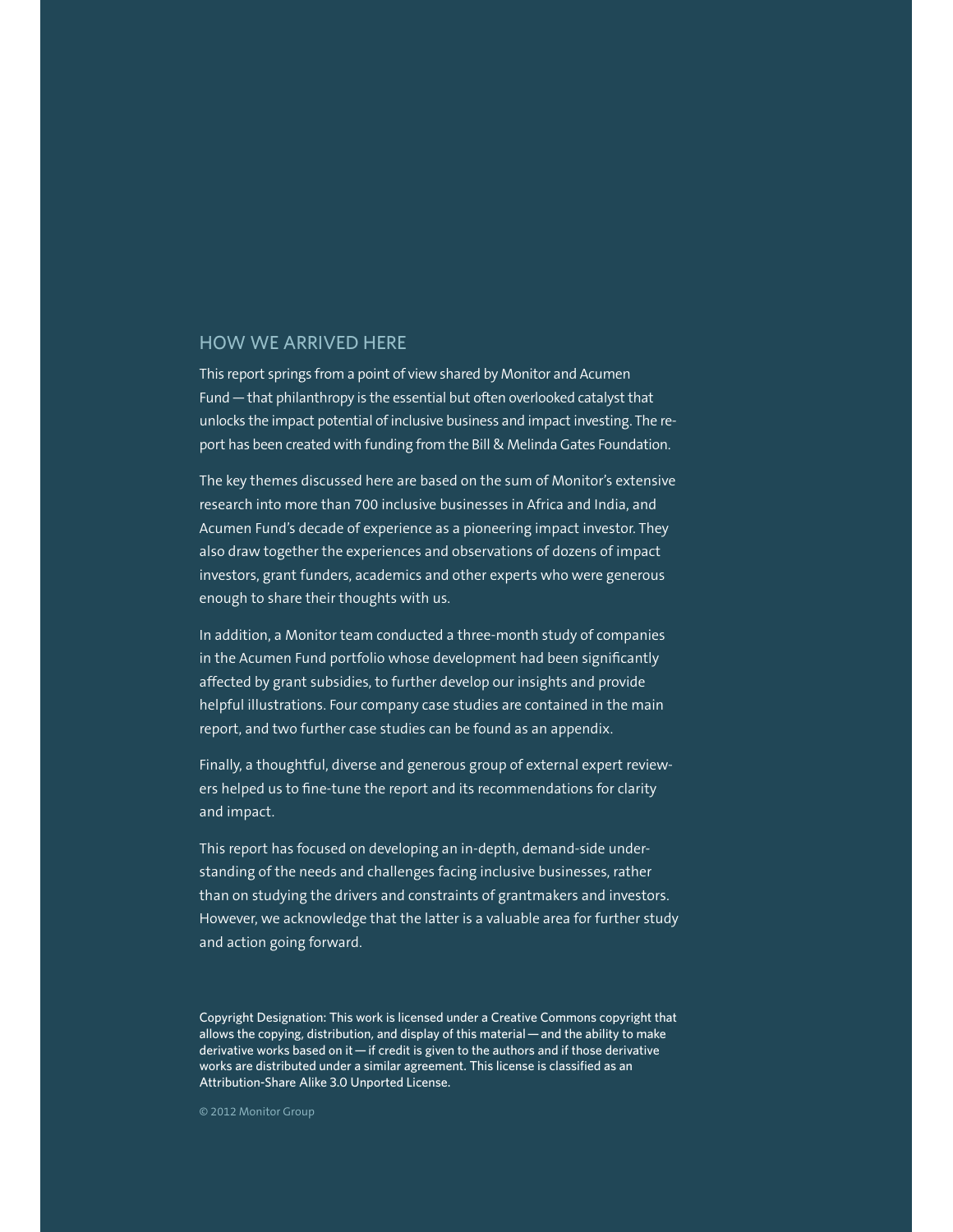#### HOW WE ARRIVED HERE

This report springs from a point of view shared by Monitor and Acumen Fund — that philanthropy is the essential but often overlooked catalyst that unlocks the impact potential of inclusive business and impact investing. The report has been created with funding from the Bill & Melinda Gates Foundation.

The key themes discussed here are based on the sum of Monitor's extensive research into more than 700 inclusive businesses in Africa and India, and Acumen Fund's decade of experience as a pioneering impact investor. They also draw together the experiences and observations of dozens of impact investors, grant funders, academics and other experts who were generous enough to share their thoughts with us.

In addition, a Monitor team conducted a three-month study of companies in the Acumen Fund portfolio whose development had been significantly affected by grant subsidies, to further develop our insights and provide helpful illustrations. Four company case studies are contained in the main report, and two further case studies can be found as an appendix.

Finally, a thoughtful, diverse and generous group of external expert reviewers helped us to fine-tune the report and its recommendations for clarity and impact.

This report has focused on developing an in-depth, demand-side understanding of the needs and challenges facing inclusive businesses, rather than on studying the drivers and constraints of grantmakers and investors. However, we acknowledge that the latter is a valuable area for further study and action going forward.

Copyright Designation: This work is licensed under a Creative Commons copyright that allows the copying, distribution, and display of this material — and the ability to make derivative works based on it — if credit is given to the authors and if those derivative works are distributed under a similar agreement. This license is classified as an Attribution-Share Alike 3.0 Unported License.

© 2012 Monitor Group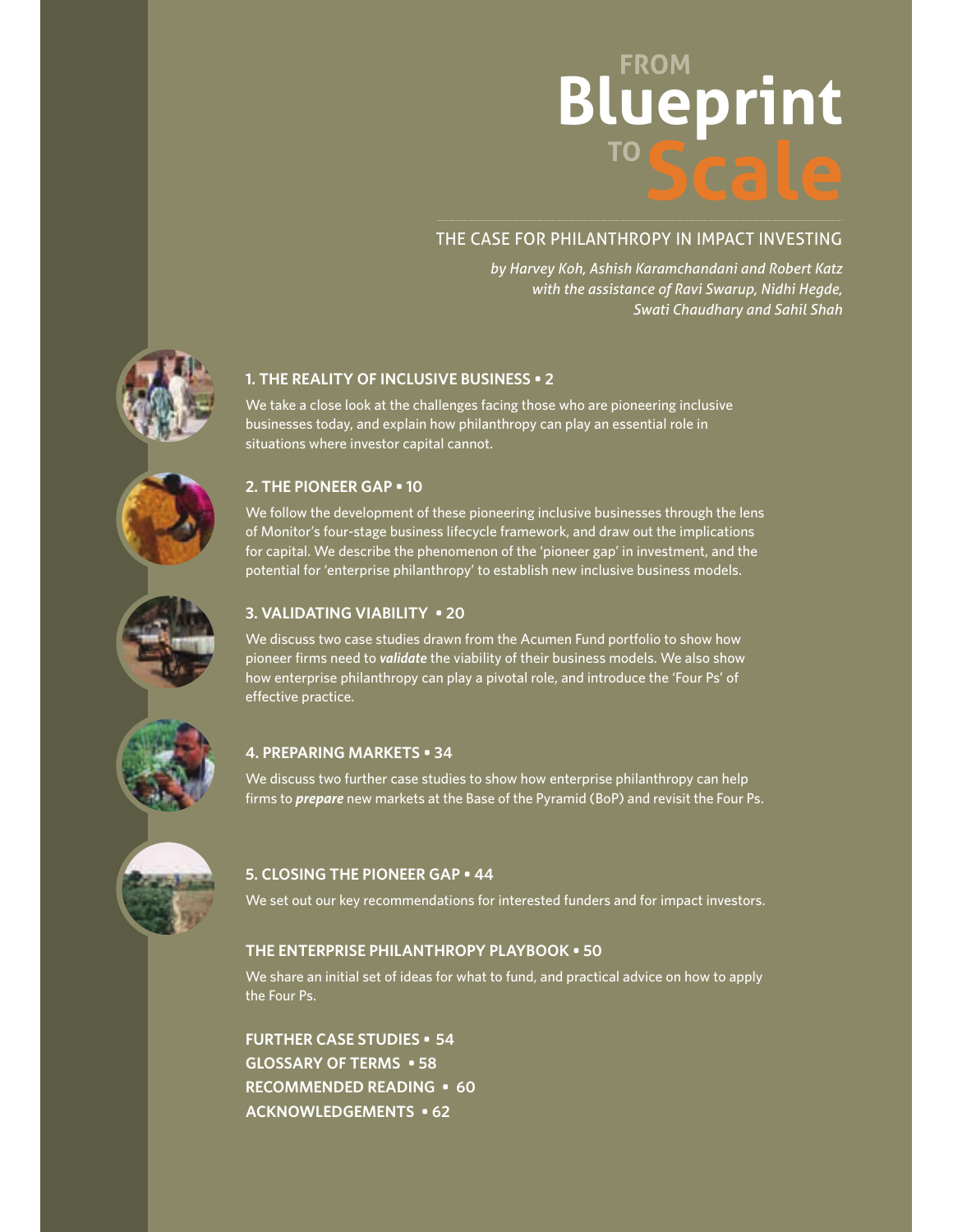# **FROM TO Blueprint**

# THE CASE FOR PHILANTHROPY IN IMPACT INVESTING

*by Harvey Koh, Ashish Karamchandani and Robert Katz with the assistance of Ravi Swarup, Nidhi Hegde, Swati Chaudhary and Sahil Shah*



We take a close look at the challenges facing those who are pioneering inclusive businesses today, and explain how philanthropy can play an essential role in situations where investor capital cannot.

## **2. THE PIONEER GAP • 10**

We follow the development of these pioneering inclusive businesses through the lens of Monitor's four-stage business lifecycle framework, and draw out the implications for capital. We describe the phenomenon of the 'pioneer gap' in investment, and the potential for 'enterprise philanthropy' to establish new inclusive business models.

## **3. VALIDATING VIABILITY . 20**

We discuss two case studies drawn from the Acumen Fund portfolio to show how pioneer firms need to *validate* the viability of their business models. We also show how enterprise philanthropy can play a pivotal role, and introduce the 'Four Ps' of effective practice.

# **4. PREPARING MARKETS . 34**

We discuss two further case studies to show how enterprise philanthropy can help firms to *prepare* new markets at the Base of the Pyramid (BoP) and revisit the Four Ps.

# **5. CLOSING THE PIONEER GAP . 44**

We set out our key recommendations for interested funders and for impact investors.

## **THE ENTERPRISE PHILANTHROPY PLAYBOOK . 50**

We share an initial set of ideas for what to fund, and practical advice on how to apply the Four Ps.

**FURTHER CASE STUDIES • 54 GLOSSARY OF TERMS • 58 RECOMMENDED READING • 60 ACKNOWLEDGEMENTS • 62** 









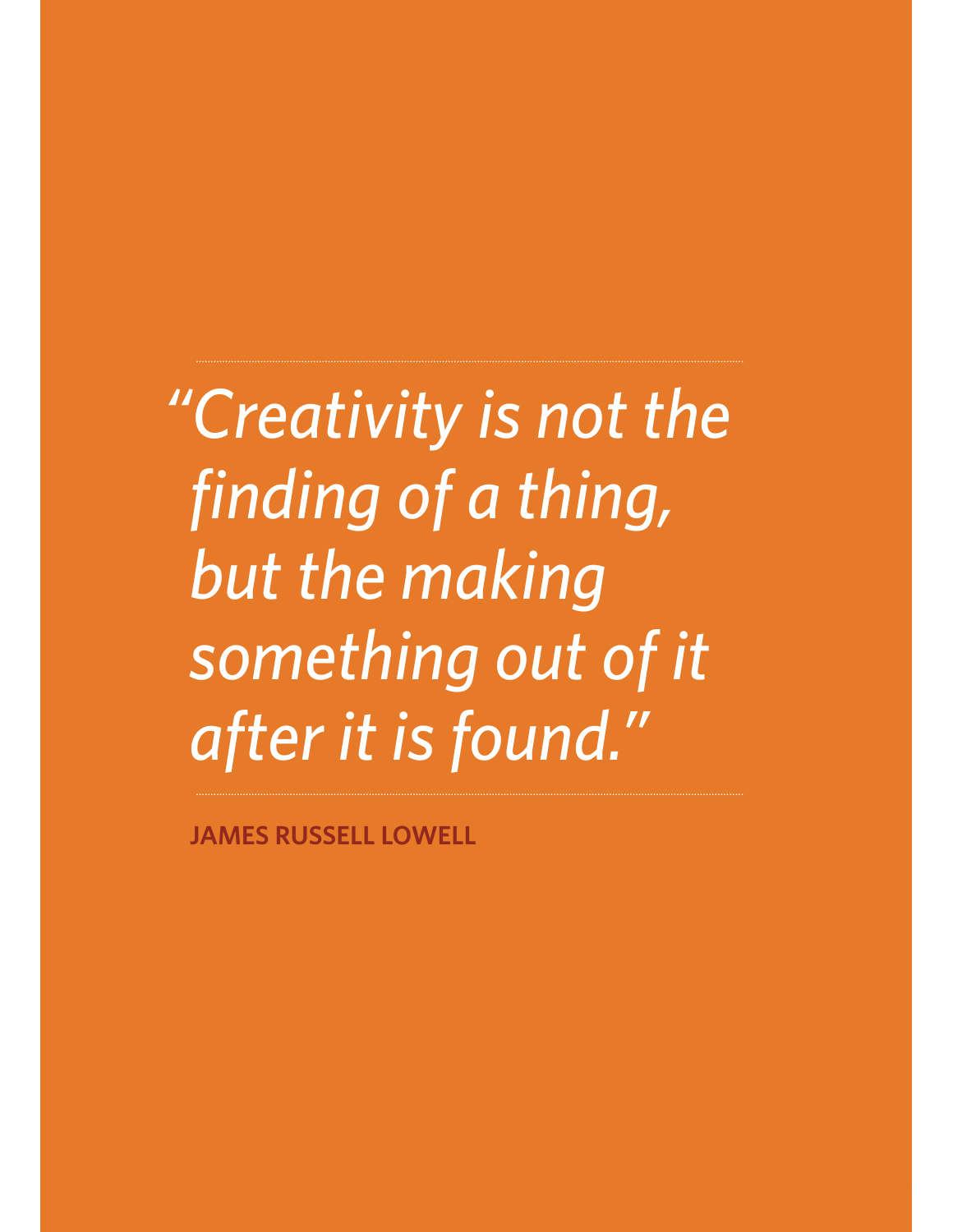*"Creativity is not the finding of a thing, but the making something out of it after it is found."*

**JAMES RUSSELL LOWELL**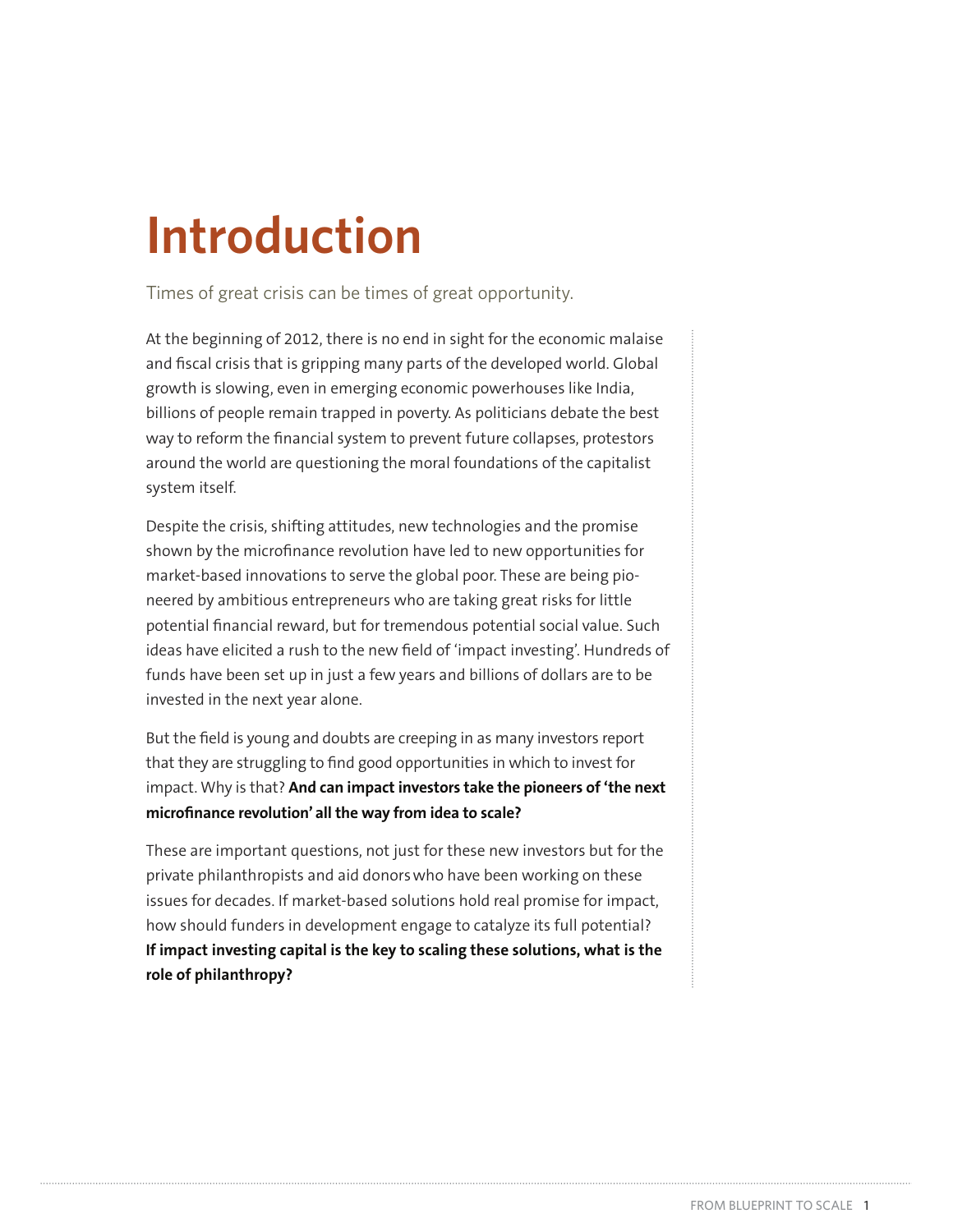# **Introduction**

Times of great crisis can be times of great opportunity.

At the beginning of 2012, there is no end in sight for the economic malaise and fiscal crisis that is gripping many parts of the developed world. Global growth is slowing, even in emerging economic powerhouses like India, billions of people remain trapped in poverty. As politicians debate the best way to reform the financial system to prevent future collapses, protestors around the world are questioning the moral foundations of the capitalist system itself.

Despite the crisis, shifting attitudes, new technologies and the promise shown by the microfinance revolution have led to new opportunities for market-based innovations to serve the global poor. These are being pioneered by ambitious entrepreneurs who are taking great risks for little potential financial reward, but for tremendous potential social value. Such ideas have elicited a rush to the new field of 'impact investing'. Hundreds of funds have been set up in just a few years and billions of dollars are to be invested in the next year alone.

But the field is young and doubts are creeping in as many investors report that they are struggling to find good opportunities in which to invest for impact. Why is that? **And can impact investors take the pioneers of 'the next microfinance revolution' all the way from idea to scale?**

These are important questions, not just for these new investors but for the private philanthropists and aid donors who have been working on these issues for decades. If market-based solutions hold real promise for impact, how should funders in development engage to catalyze its full potential? **If impact investing capital is the key to scaling these solutions, what is the role of philanthropy?**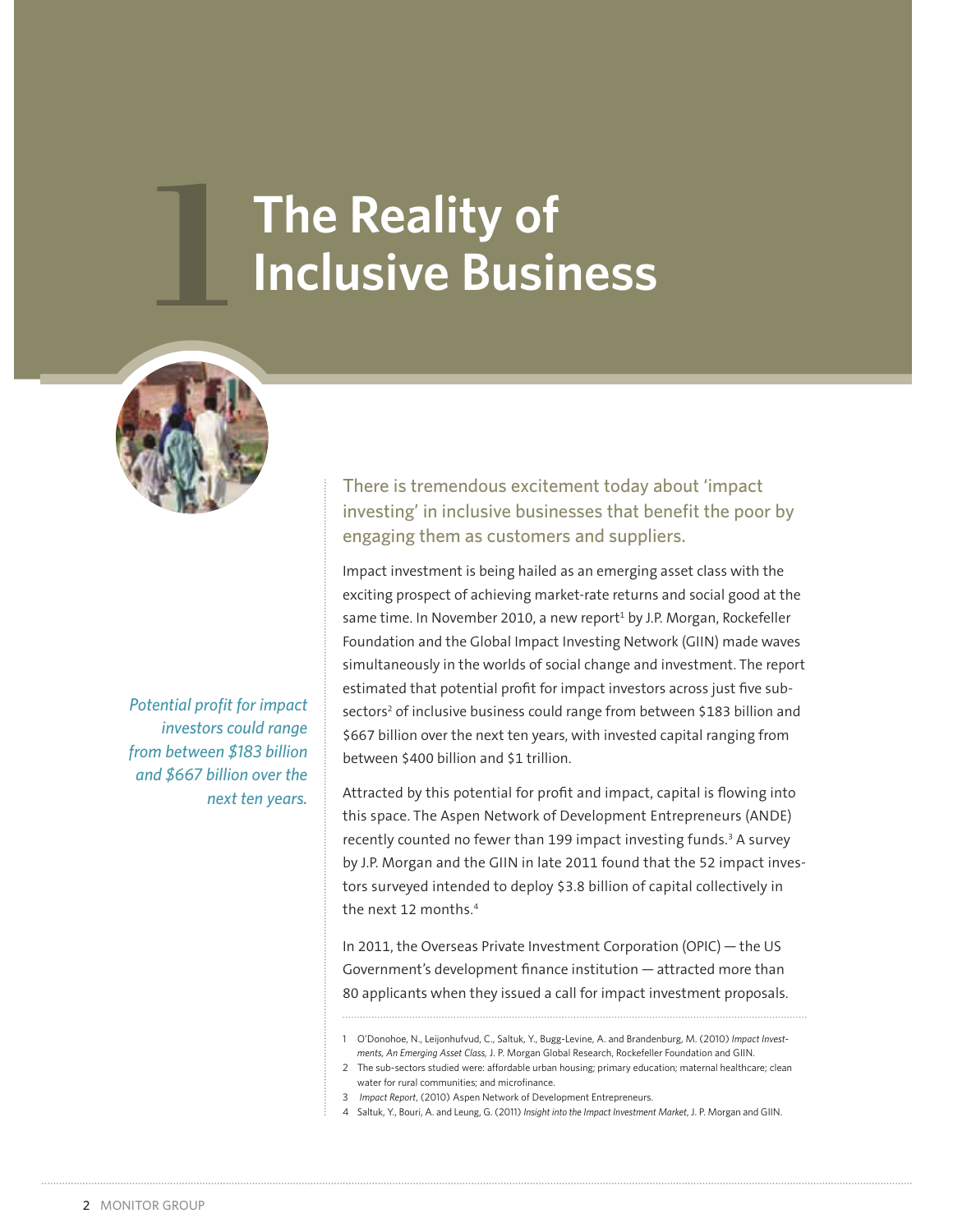# **1 The Reality of Inclusive Business**



*Potential profit for impact investors could range from between \$183 billion and \$667 billion over the next ten years.*

There is tremendous excitement today about 'impact investing' in inclusive businesses that benefit the poor by engaging them as customers and suppliers.

Impact investment is being hailed as an emerging asset class with the exciting prospect of achieving market-rate returns and social good at the same time. In November 2010, a new report<sup>1</sup> by J.P. Morgan, Rockefeller Foundation and the Global Impact Investing Network (GIIN) made waves simultaneously in the worlds of social change and investment. The report estimated that potential profit for impact investors across just five subsectors<sup>2</sup> of inclusive business could range from between \$183 billion and \$667 billion over the next ten years, with invested capital ranging from between \$400 billion and \$1 trillion.

Attracted by this potential for profit and impact, capital is flowing into this space. The Aspen Network of Development Entrepreneurs (ANDE) recently counted no fewer than 199 impact investing funds.<sup>3</sup> A survey by J.P. Morgan and the GIIN in late 2011 found that the 52 impact investors surveyed intended to deploy \$3.8 billion of capital collectively in the next 12 months.<sup>4</sup>

In 2011, the Overseas Private Investment Corporation (OPIC) — the US Government's development finance institution — attracted more than 80 applicants when they issued a call for impact investment proposals.

- 1 O'Donohoe, N., Leijonhufvud, C., Saltuk, Y., Bugg-Levine, A. and Brandenburg, M. (2010) *Impact Investments, An Emerging Asset Class,* J. P. Morgan Global Research, Rockefeller Foundation and GIIN.
- 2 The sub-sectors studied were: affordable urban housing; primary education; maternal healthcare; clean water for rural communities; and microfinance.
- 3 *Impact Report*, (2010) Aspen Network of Development Entrepreneurs.
- 4 Saltuk, Y., Bouri, A. and Leung, G. (2011) *Insight into the Impact Investment Market*, J. P. Morgan and GIIN.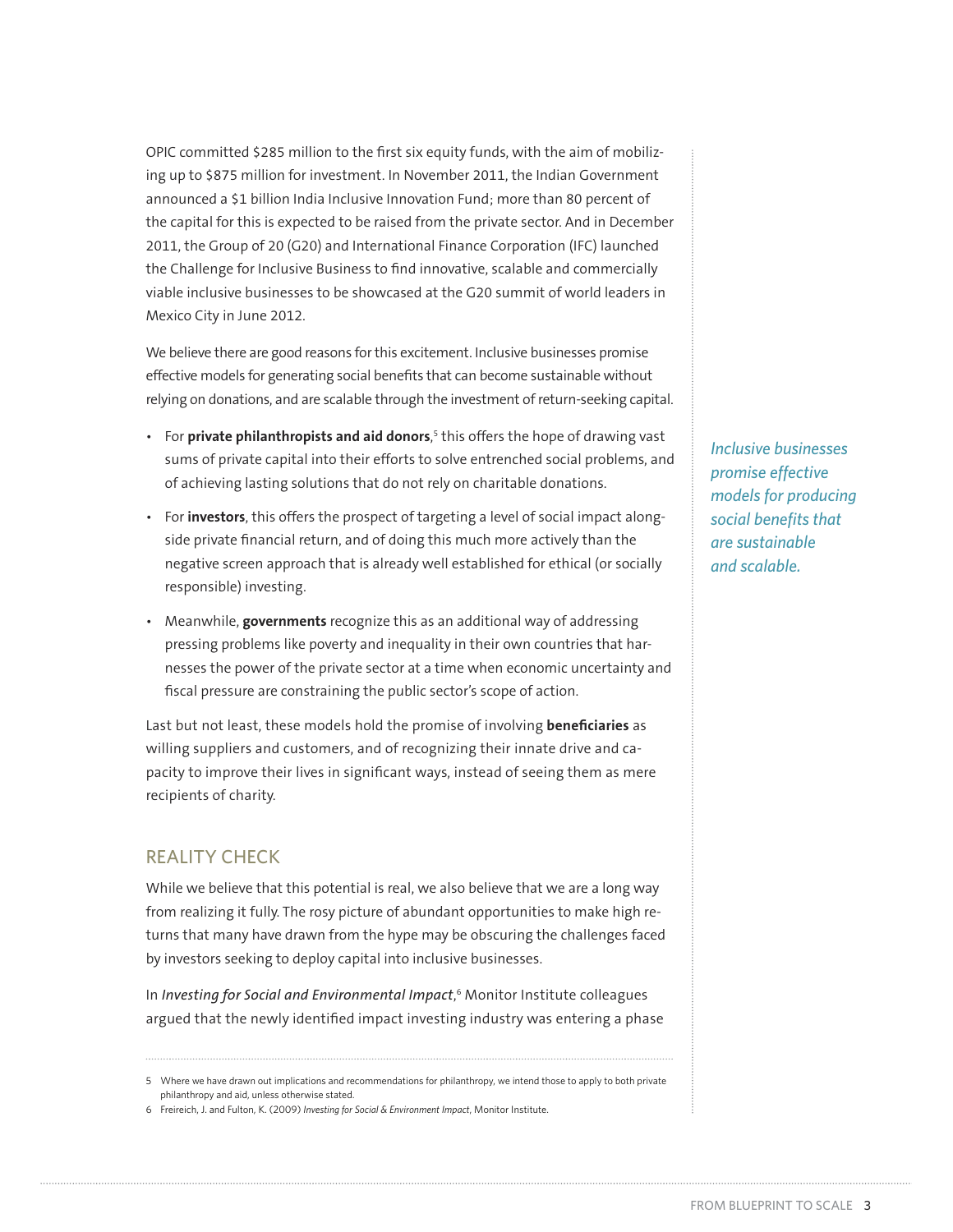OPIC committed \$285 million to the first six equity funds, with the aim of mobilizing up to \$875 million for investment. In November 2011, the Indian Government announced a \$1 billion India Inclusive Innovation Fund; more than 80 percent of the capital for this is expected to be raised from the private sector. And in December 2011, the Group of 20 (G20) and International Finance Corporation (IFC) launched the Challenge for Inclusive Business to find innovative, scalable and commercially viable inclusive businesses to be showcased at the G20 summit of world leaders in Mexico City in June 2012.

We believe there are good reasons for this excitement. Inclusive businesses promise effective models for generating social benefits that can become sustainable without relying on donations, and are scalable through the investment of return-seeking capital.

- For **private philanthropists and aid donors**,<sup>5</sup> this offers the hope of drawing vast sums of private capital into their efforts to solve entrenched social problems, and of achieving lasting solutions that do not rely on charitable donations.
- **For investors**, this offers the prospect of targeting a level of social impact alongside private financial return, and of doing this much more actively than the negative screen approach that is already well established for ethical (or socially responsible) investing.
- **•** Meanwhile, **governments** recognize this as an additional way of addressing pressing problems like poverty and inequality in their own countries that harnesses the power of the private sector at a time when economic uncertainty and fiscal pressure are constraining the public sector's scope of action.

Last but not least, these models hold the promise of involving **beneficiaries** as willing suppliers and customers, and of recognizing their innate drive and capacity to improve their lives in significant ways, instead of seeing them as mere recipients of charity.

## REALITY CHECK

While we believe that this potential is real, we also believe that we are a long way from realizing it fully. The rosy picture of abundant opportunities to make high returns that many have drawn from the hype may be obscuring the challenges faced by investors seeking to deploy capital into inclusive businesses.

In *Investing for Social and Environmental Impact*, 6 Monitor Institute colleagues argued that the newly identified impact investing industry was entering a phase *Inclusive businesses promise effective models for producing social benefits that are sustainable and scalable.*

<sup>5</sup> Where we have drawn out implications and recommendations for philanthropy, we intend those to apply to both private philanthropy and aid, unless otherwise stated.

<sup>6</sup> Freireich, J. and Fulton, K. (2009) *Investing for Social & Environment Impact*, Monitor Institute.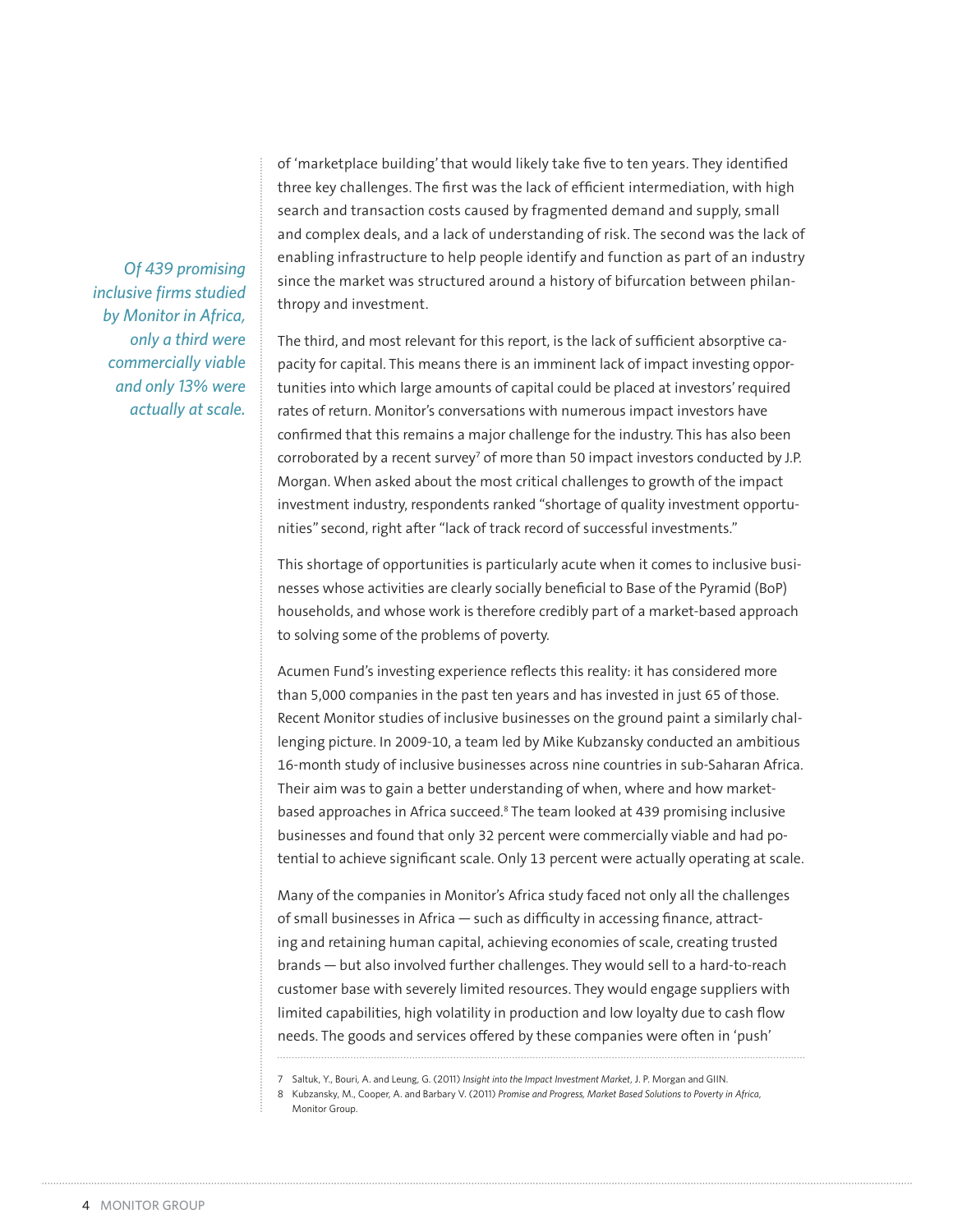*Of 439 promising inclusive firms studied by Monitor in Africa, only a third were commercially viable and only 13% were actually at scale.*

of 'marketplace building' that would likely take five to ten years. They identified three key challenges. The first was the lack of efficient intermediation, with high search and transaction costs caused by fragmented demand and supply, small and complex deals, and a lack of understanding of risk. The second was the lack of enabling infrastructure to help people identify and function as part of an industry since the market was structured around a history of bifurcation between philanthropy and investment.

The third, and most relevant for this report, is the lack of sufficient absorptive capacity for capital. This means there is an imminent lack of impact investing opportunities into which large amounts of capital could be placed at investors' required rates of return. Monitor's conversations with numerous impact investors have confirmed that this remains a major challenge for the industry. This has also been corroborated by a recent survey<sup>7</sup> of more than 50 impact investors conducted by J.P. Morgan. When asked about the most critical challenges to growth of the impact investment industry, respondents ranked "shortage of quality investment opportunities" second, right after "lack of track record of successful investments."

This shortage of opportunities is particularly acute when it comes to inclusive businesses whose activities are clearly socially beneficial to Base of the Pyramid (BoP) households, and whose work is therefore credibly part of a market-based approach to solving some of the problems of poverty.

Acumen Fund's investing experience reflects this reality: it has considered more than 5,000 companies in the past ten years and has invested in just 65 of those. Recent Monitor studies of inclusive businesses on the ground paint a similarly challenging picture. In 2009-10, a team led by Mike Kubzansky conducted an ambitious 16-month study of inclusive businesses across nine countries in sub-Saharan Africa. Their aim was to gain a better understanding of when, where and how marketbased approaches in Africa succeed.<sup>8</sup> The team looked at 439 promising inclusive businesses and found that only 32 percent were commercially viable and had potential to achieve significant scale. Only 13 percent were actually operating at scale.

Many of the companies in Monitor's Africa study faced not only all the challenges of small businesses in Africa — such as difficulty in accessing finance, attracting and retaining human capital, achieving economies of scale, creating trusted brands — but also involved further challenges. They would sell to a hard-to-reach customer base with severely limited resources. They would engage suppliers with limited capabilities, high volatility in production and low loyalty due to cash flow needs. The goods and services offered by these companies were often in 'push'

<sup>7</sup> Saltuk, Y., Bouri, A. and Leung, G. (2011) *Insight into the Impact Investment Market*, J. P. Morgan and GIIN.

<sup>8</sup> Kubzansky, M., Cooper, A. and Barbary V. (2011) *Promise and Progress, Market Based Solutions to Poverty in Africa*, Monitor Group.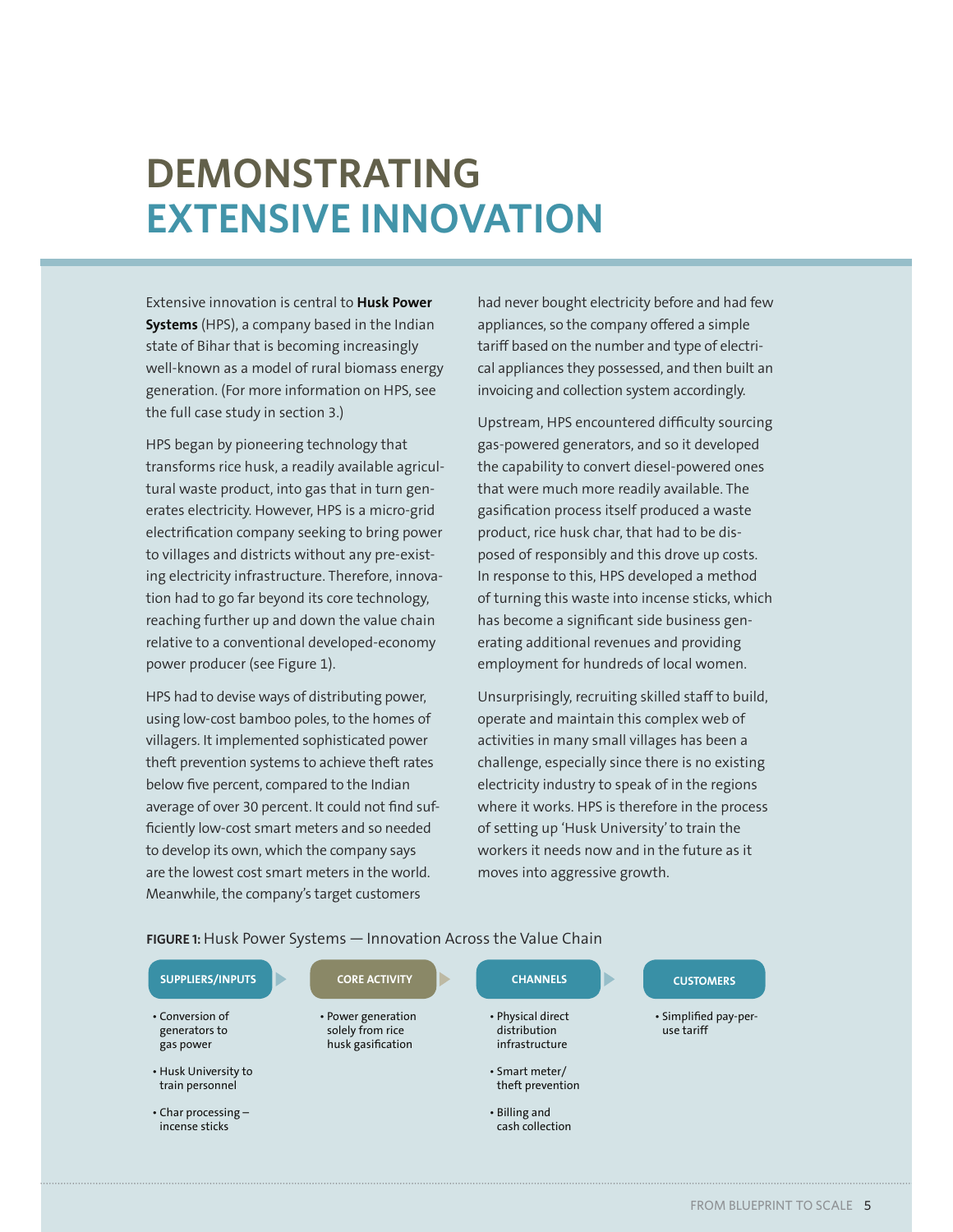# $DEMONSTRATING$ **EXTENSIVE INNOVATION**

Extensive innovation is central to **Husk Power Systems** (HPS), a company based in the Indian state of Bihar that is becoming increasingly well-known as a model of rural biomass energy generation. (For more information on HPS, see the full case study in section 3.)

HPS began by pioneering technology that transforms rice husk, a readily available agricultural waste product, into gas that in turn generates electricity. However, HPS is a micro-grid electrification company seeking to bring power to villages and districts without any pre-existing electricity infrastructure. Therefore, innovation had to go far beyond its core technology, reaching further up and down the value chain relative to a conventional developed-economy power producer (see Figure 1).

HPS had to devise ways of distributing power, using low-cost bamboo poles, to the homes of villagers. It implemented sophisticated power theft prevention systems to achieve theft rates below five percent, compared to the Indian average of over 30 percent. It could not find sufficiently low-cost smart meters and so needed to develop its own, which the company says are the lowest cost smart meters in the world. Meanwhile, the company's target customers

had never bought electricity before and had few appliances, so the company offered a simple tariff based on the number and type of electrical appliances they possessed, and then built an invoicing and collection system accordingly.

Upstream, HPS encountered difficulty sourcing gas-powered generators, and so it developed the capability to convert diesel-powered ones that were much more readily available. The gasification process itself produced a waste product, rice husk char, that had to be disposed of responsibly and this drove up costs. In response to this, HPS developed a method of turning this waste into incense sticks, which has become a significant side business generating additional revenues and providing employment for hundreds of local women.

Unsurprisingly, recruiting skilled staff to build, operate and maintain this complex web of activities in many small villages has been a challenge, especially since there is no existing electricity industry to speak of in the regions where it works. HPS is therefore in the process of setting up 'Husk University' to train the workers it needs now and in the future as it moves into aggressive growth.

FIGURE 1: Husk Power Systems - Innovation Across the Value Chain

| <b>SUPPLIERS/INPUTS</b>                       | <b>CORE ACTIVITY</b>                                        | <b>CHANNELS</b>                                     | <b>CUSTOMERS</b>                    |
|-----------------------------------------------|-------------------------------------------------------------|-----------------------------------------------------|-------------------------------------|
| • Conversion of<br>generators to<br>gas power | • Power generation<br>solely from rice<br>husk gasification | • Physical direct<br>distribution<br>infrastructure | • Simplified pay-per-<br>use tariff |
| • Husk University to<br>train personnel       |                                                             | • Smart meter/<br>theft prevention                  |                                     |
| $\cdot$ Char processing $-$<br>incense sticks |                                                             | $\cdot$ Billing and<br>cash collection              |                                     |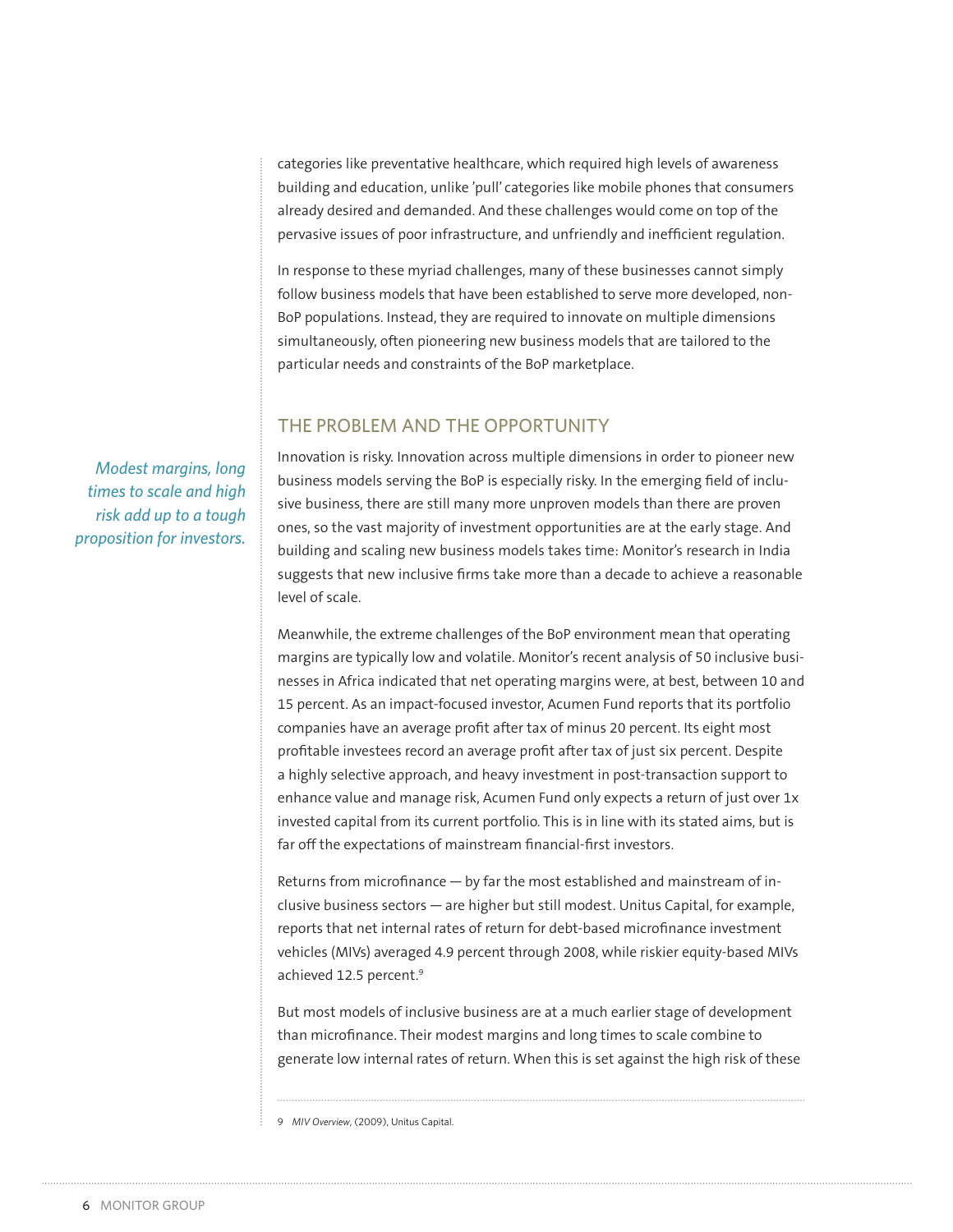categories like preventative healthcare, which required high levels of awareness building and education, unlike 'pull' categories like mobile phones that consumers already desired and demanded. And these challenges would come on top of the pervasive issues of poor infrastructure, and unfriendly and inefficient regulation.

In response to these myriad challenges, many of these businesses cannot simply follow business models that have been established to serve more developed, non-BoP populations. Instead, they are required to innovate on multiple dimensions simultaneously, often pioneering new business models that are tailored to the particular needs and constraints of the BoP marketplace.

## THE PROBLEM AND THE OPPORTUNITY

Innovation is risky. Innovation across multiple dimensions in order to pioneer new business models serving the BoP is especially risky. In the emerging field of inclusive business, there are still many more unproven models than there are proven ones, so the vast majority of investment opportunities are at the early stage. And building and scaling new business models takes time: Monitor's research in India suggests that new inclusive firms take more than a decade to achieve a reasonable level of scale.

Meanwhile, the extreme challenges of the BoP environment mean that operating margins are typically low and volatile. Monitor's recent analysis of 50 inclusive businesses in Africa indicated that net operating margins were, at best, between 10 and 15 percent. As an impact-focused investor, Acumen Fund reports that its portfolio companies have an average profit after tax of minus 20 percent. Its eight most profitable investees record an average profit after tax of just six percent. Despite a highly selective approach, and heavy investment in post-transaction support to enhance value and manage risk, Acumen Fund only expects a return of just over 1x invested capital from its current portfolio. This is in line with its stated aims, but is far off the expectations of mainstream financial-first investors.

Returns from microfinance — by far the most established and mainstream of inclusive business sectors — are higher but still modest. Unitus Capital, for example, reports that net internal rates of return for debt-based microfinance investment vehicles (MIVs) averaged 4.9 percent through 2008, while riskier equity-based MIVs achieved 12.5 percent.<sup>9</sup>

But most models of inclusive business are at a much earlier stage of development than microfinance. Their modest margins and long times to scale combine to generate low internal rates of return. When this is set against the high risk of these

9 *MIV Overview*, (2009), Unitus Capital.

*Modest margins, long times to scale and high risk add up to a tough proposition for investors.*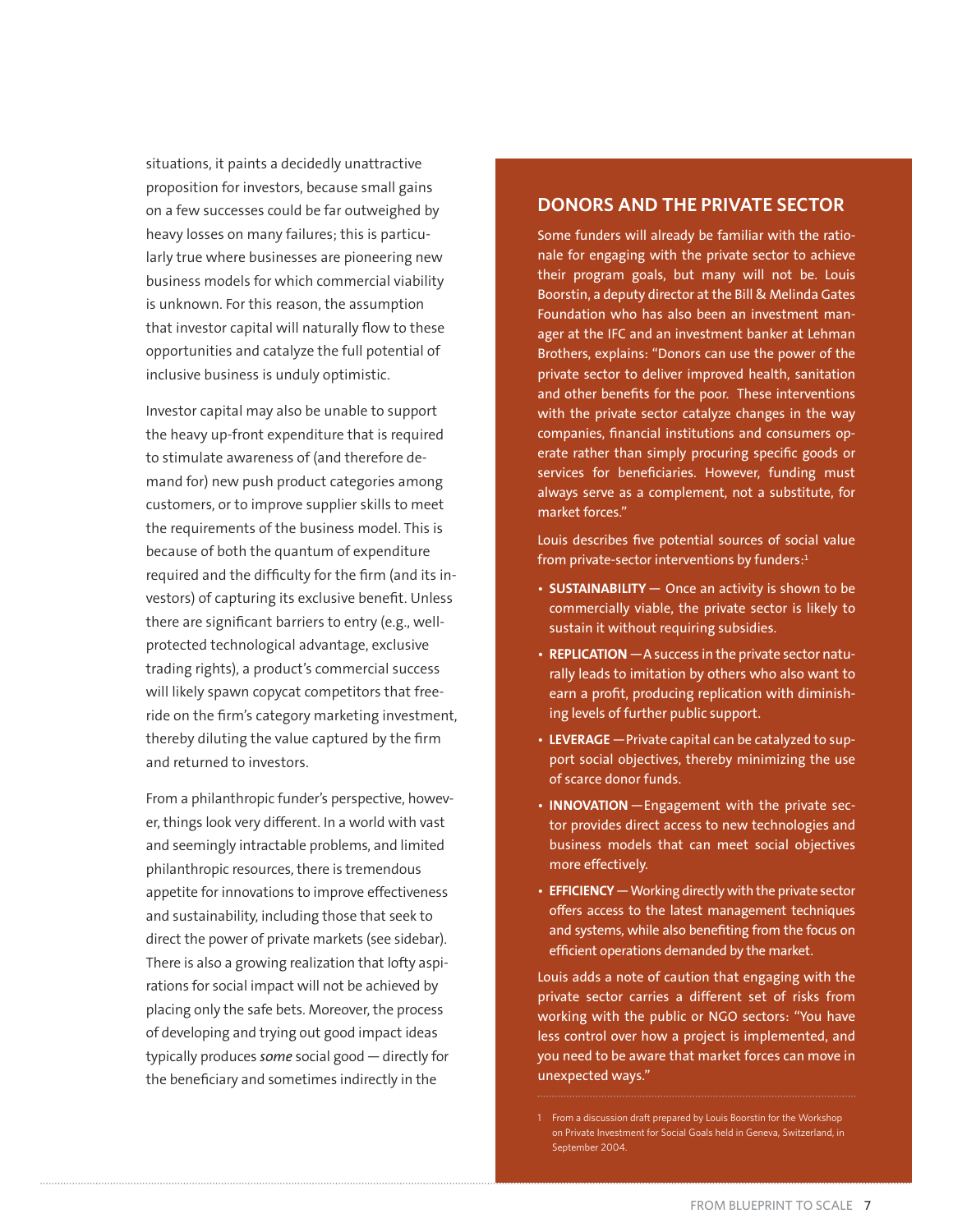situations, it paints a decidedly unattractive proposition for investors, because small gains on a few successes could be far outweighed by heavy losses on many failures; this is particularly true where businesses are pioneering new business models for which commercial viability is unknown. For this reason, the assumption that investor capital will naturally flow to these opportunities and catalyze the full potential of inclusive business is unduly optimistic.

Investor capital may also be unable to support the heavy up-front expenditure that is required to stimulate awareness of (and therefore demand for) new push product categories among customers, or to improve supplier skills to meet the requirements of the business model. This is because of both the quantum of expenditure required and the difficulty for the firm (and its investors) of capturing its exclusive benefit. Unless there are significant barriers to entry (e.g., wellprotected technological advantage, exclusive trading rights), a product's commercial success will likely spawn copycat competitors that freeride on the firm's category marketing investment, thereby diluting the value captured by the firm and returned to investors.

From a philanthropic funder's perspective, however, things look very different. In a world with vast and seemingly intractable problems, and limited philanthropic resources, there is tremendous appetite for innovations to improve effectiveness and sustainability, including those that seek to direct the power of private markets (see sidebar). There is also a growing realization that lofty aspirations for social impact will not be achieved by placing only the safe bets. Moreover, the process of developing and trying out good impact ideas typically produces *some* social good — directly for the beneficiary and sometimes indirectly in the

#### **DONORS AND THE PRIVATE SECTOR**

Some funders will already be familiar with the rationale for engaging with the private sector to achieve their program goals, but many will not be. Louis Boorstin, a deputy director at the Bill & Melinda Gates Foundation who has also been an investment manager at the IFC and an investment banker at Lehman Brothers, explains: "Donors can use the power of the private sector to deliver improved health, sanitation and other benefits for the poor. These interventions with the private sector catalyze changes in the way companies, financial institutions and consumers operate rather than simply procuring specific goods or services for beneficiaries. However, funding must always serve as a complement, not a substitute, for market forces."

Louis describes five potential sources of social value from private-sector interventions by funders: $1$ 

- **SUSTAINABILITY** Once an activity is shown to be commercially viable, the private sector is likely to sustain it without requiring subsidies.
- REPLICATION A success in the private sector naturally leads to imitation by others who also want to earn a profit, producing replication with diminishing levels of further public support.
- LEVERAGE Private capital can be catalyzed to support social objectives, thereby minimizing the use of scarce donor funds.
- **INNOVATION** Engagement with the private sector provides direct access to new technologies and business models that can meet social objectives more effectively.
- **EFFICIENCY** Working directly with the private sector offers access to the latest management techniques and systems, while also benefiting from the focus on efficient operations demanded by the market.

Louis adds a note of caution that engaging with the private sector carries a different set of risks from working with the public or NGO sectors: "You have less control over how a project is implemented, and you need to be aware that market forces can move in unexpected ways."

<sup>1</sup> From a discussion draft prepared by Louis Boorstin for the Workshop on Private Investment for Social Goals held in Geneva, Switzerland, in September 2004.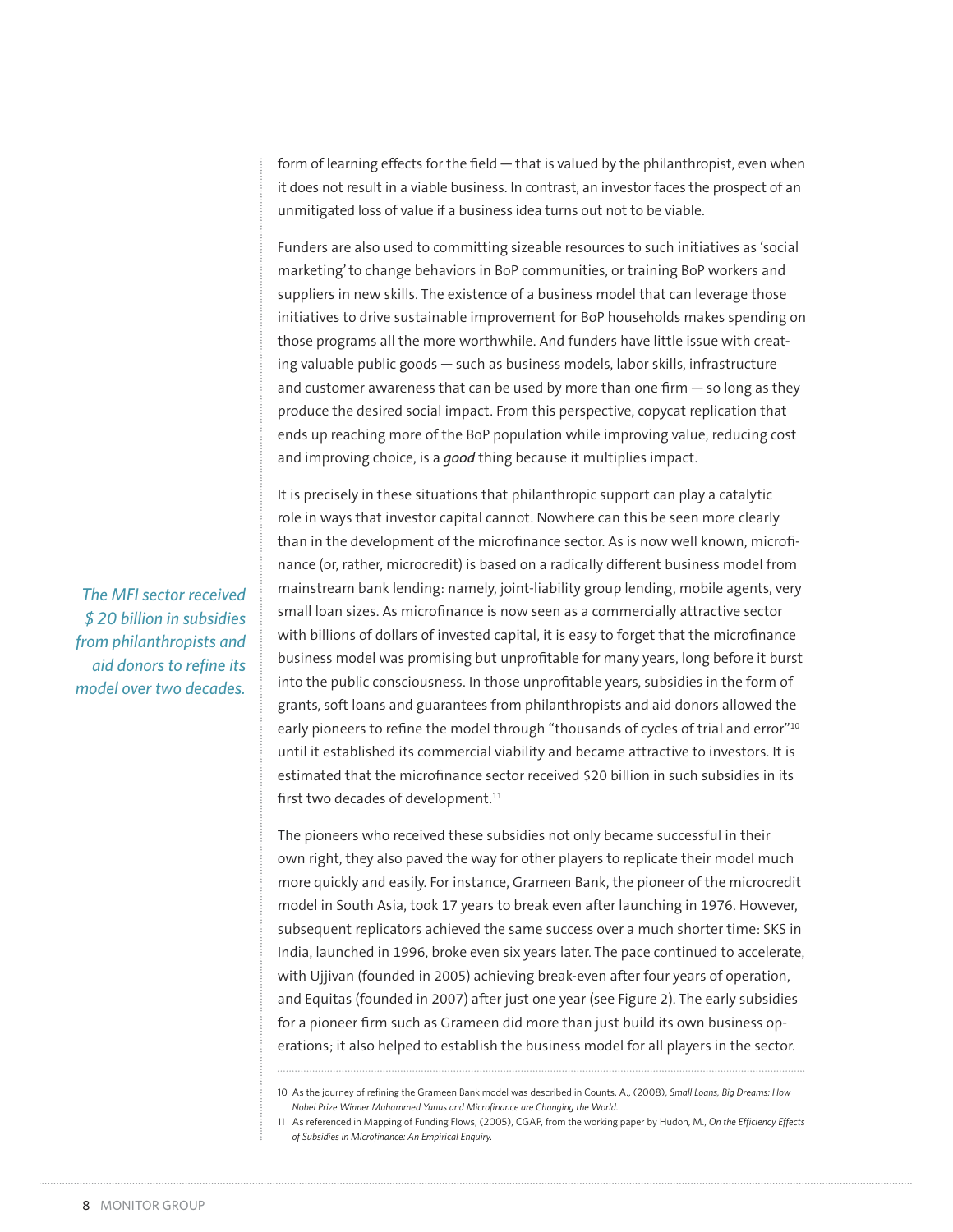form of learning effects for the field — that is valued by the philanthropist, even when it does not result in a viable business. In contrast, an investor faces the prospect of an unmitigated loss of value if a business idea turns out not to be viable.

Funders are also used to committing sizeable resources to such initiatives as 'social marketing' to change behaviors in BoP communities, or training BoP workers and suppliers in new skills. The existence of a business model that can leverage those initiatives to drive sustainable improvement for BoP households makes spending on those programs all the more worthwhile. And funders have little issue with creating valuable public goods — such as business models, labor skills, infrastructure and customer awareness that can be used by more than one firm — so long as they produce the desired social impact. From this perspective, copycat replication that ends up reaching more of the BoP population while improving value, reducing cost and improving choice, is a *good* thing because it multiplies impact.

It is precisely in these situations that philanthropic support can play a catalytic role in ways that investor capital cannot. Nowhere can this be seen more clearly than in the development of the microfinance sector. As is now well known, microfinance (or, rather, microcredit) is based on a radically different business model from mainstream bank lending: namely, joint-liability group lending, mobile agents, very small loan sizes. As microfinance is now seen as a commercially attractive sector with billions of dollars of invested capital, it is easy to forget that the microfinance business model was promising but unprofitable for many years, long before it burst into the public consciousness. In those unprofitable years, subsidies in the form of grants, soft loans and guarantees from philanthropists and aid donors allowed the early pioneers to refine the model through "thousands of cycles of trial and error"<sup>10</sup> until it established its commercial viability and became attractive to investors. It is estimated that the microfinance sector received \$20 billion in such subsidies in its first two decades of development.<sup>11</sup>

The pioneers who received these subsidies not only became successful in their own right, they also paved the way for other players to replicate their model much more quickly and easily. For instance, Grameen Bank, the pioneer of the microcredit model in South Asia, took 17 years to break even after launching in 1976. However, subsequent replicators achieved the same success over a much shorter time: SKS in India, launched in 1996, broke even six years later. The pace continued to accelerate, with Ujjivan (founded in 2005) achieving break-even after four years of operation, and Equitas (founded in 2007) after just one year (see Figure 2). The early subsidies for a pioneer firm such as Grameen did more than just build its own business operations; it also helped to establish the business model for all players in the sector.

10 As the journey of refining the Grameen Bank model was described in Counts, A., (2008), *Small Loans, Big Dreams: How Nobel Prize Winner Muhammed Yunus and Microfinance are Changing the World.*

*The MFI sector received \$ 20 billion in subsidies from philanthropists and aid donors to refine its model over two decades.*

<sup>11</sup> As referenced in Mapping of Funding Flows, (2005), CGAP, from the working paper by Hudon, M., *On the Efficiency Effects of Subsidies in Microfinance: An Empirical Enquiry.*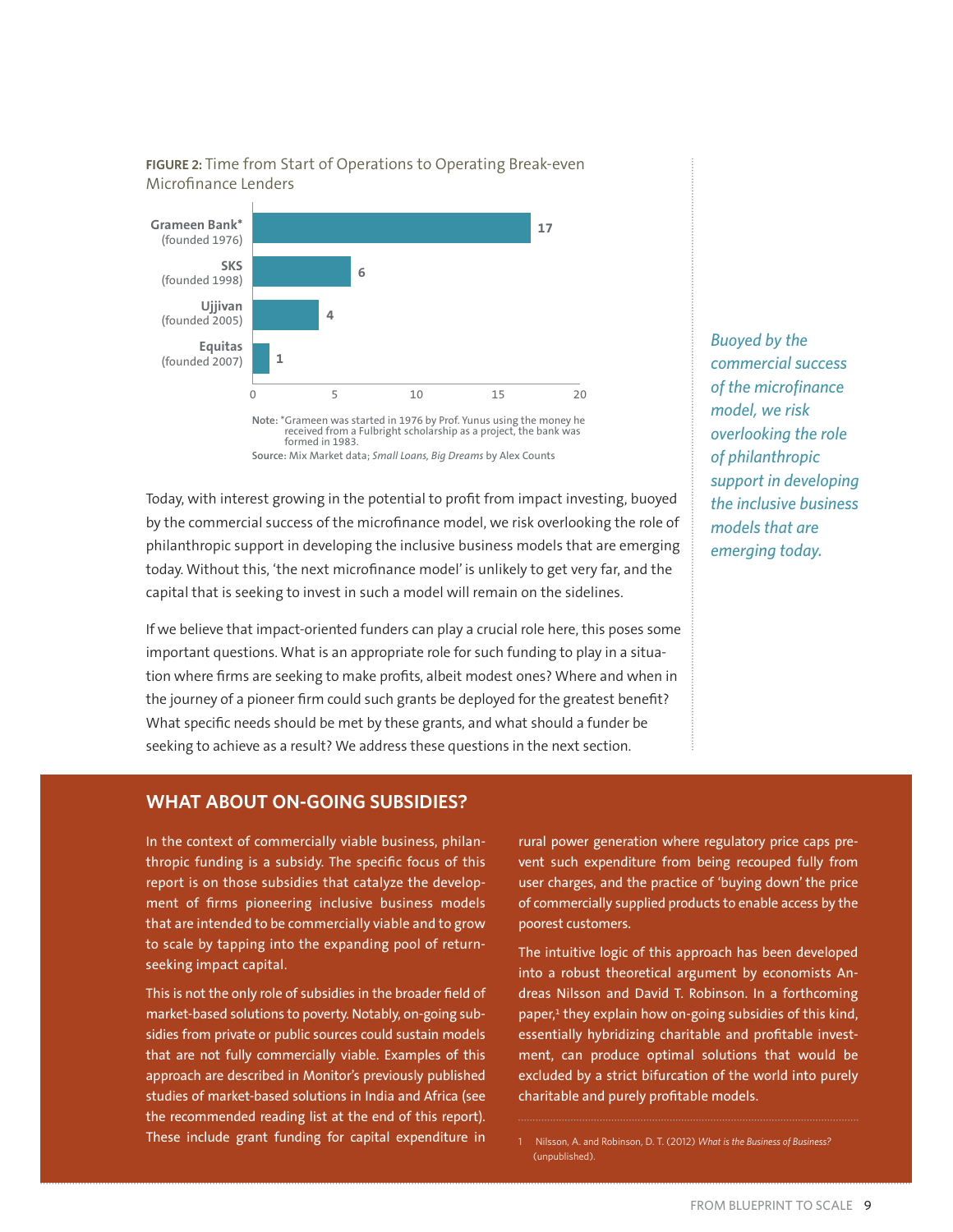

**FIGURE 2:** Time from Start of Operations to Operating Break-even Microfinance Lenders

Today, with interest growing in the potential to profit from impact investing, buoyed by the commercial success of the microfinance model, we risk overlooking the role of philanthropic support in developing the inclusive business models that are emerging today. Without this, 'the next microfinance model' is unlikely to get very far, and the capital that is seeking to invest in such a model will remain on the sidelines.

If we believe that impact-oriented funders can play a crucial role here, this poses some important questions. What is an appropriate role for such funding to play in a situation where firms are seeking to make profits, albeit modest ones? Where and when in the journey of a pioneer firm could such grants be deployed for the greatest benefit? What specific needs should be met by these grants, and what should a funder be seeking to achieve as a result? We address these questions in the next section.

*Buoyed by the commercial success of the microfinance model, we risk overlooking the role of philanthropic support in developing the inclusive business models that are emerging today.* 

#### **WHAT ABOUT ON-GOING SUBSIDIES?**

In the context of commercially viable business, philanthropic funding is a subsidy. The specific focus of this report is on those subsidies that catalyze the development of firms pioneering inclusive business models that are intended to be commercially viable and to grow to scale by tapping into the expanding pool of returnseeking impact capital.

This is not the only role of subsidies in the broader field of market-based solutions to poverty. Notably, on-going subsidies from private or public sources could sustain models that are not fully commercially viable. Examples of this approach are described in Monitor's previously published studies of market-based solutions in India and Africa (see the recommended reading list at the end of this report). These include grant funding for capital expenditure in

rural power generation where regulatory price caps prevent such expenditure from being recouped fully from user charges, and the practice of 'buying down' the price of commercially supplied products to enable access by the poorest customers.

The intuitive logic of this approach has been developed into a robust theoretical argument by economists Andreas Nilsson and David T. Robinson. In a forthcoming paper,<sup>1</sup> they explain how on-going subsidies of this kind, essentially hybridizing charitable and profitable investment, can produce optimal solutions that would be excluded by a strict bifurcation of the world into purely charitable and purely profitable models.

1 Nilsson, A. and Robinson, D. T. (2012) *What is the Business of Business?* (unpublished).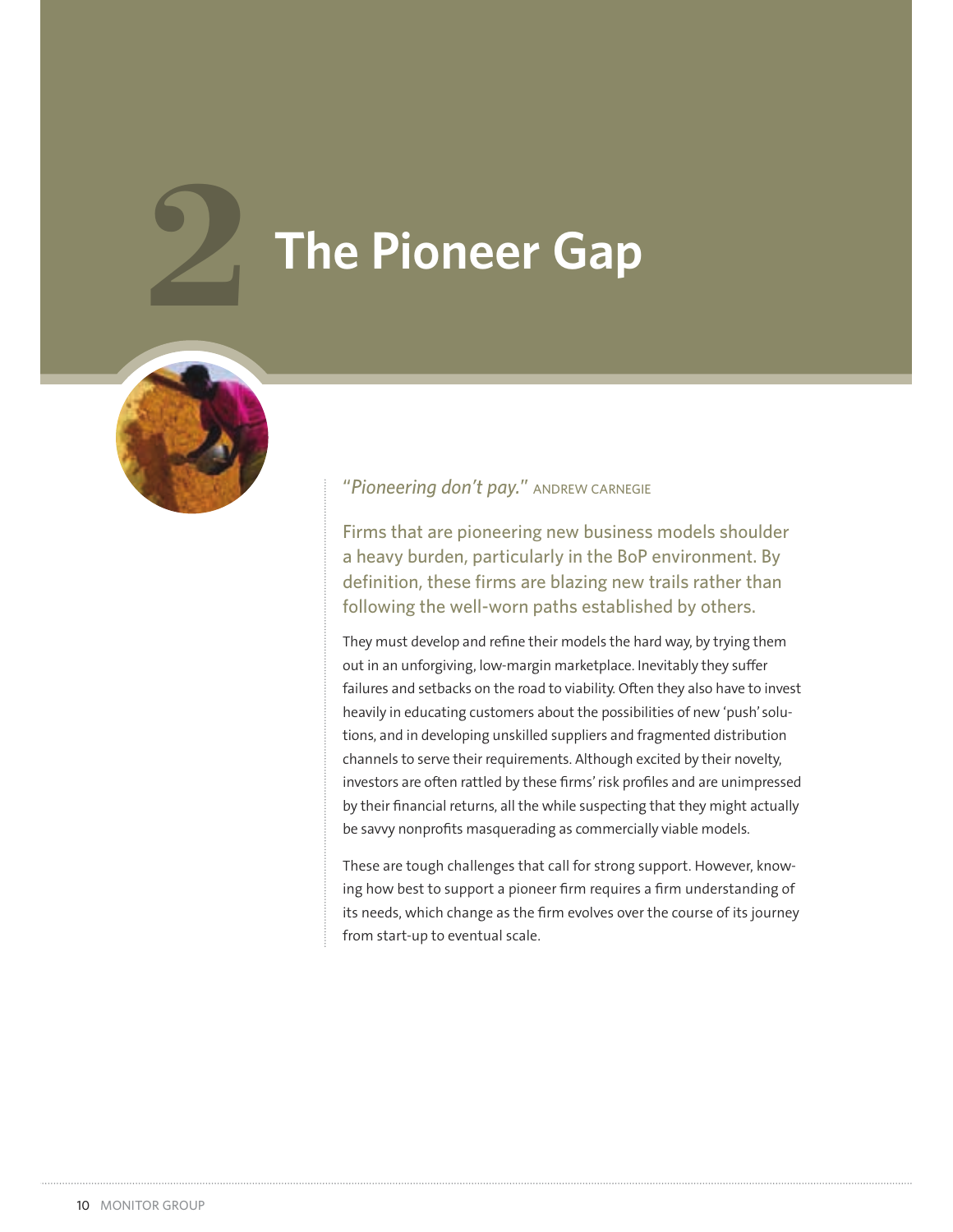# **7he Pioneer Gap**



# "*Pioneering don't pay.*" ANDREW CARNEGIE

Firms that are pioneering new business models shoulder a heavy burden, particularly in the BoP environment. By definition, these firms are blazing new trails rather than following the well-worn paths established by others.

They must develop and refine their models the hard way, by trying them out in an unforgiving, low-margin marketplace. Inevitably they suffer failures and setbacks on the road to viability. Often they also have to invest heavily in educating customers about the possibilities of new 'push' solutions, and in developing unskilled suppliers and fragmented distribution channels to serve their requirements. Although excited by their novelty, investors are often rattled by these firms' risk profiles and are unimpressed by their financial returns, all the while suspecting that they might actually be savvy nonprofits masquerading as commercially viable models.

These are tough challenges that call for strong support. However, knowing how best to support a pioneer firm requires a firm understanding of its needs, which change as the firm evolves over the course of its journey from start-up to eventual scale.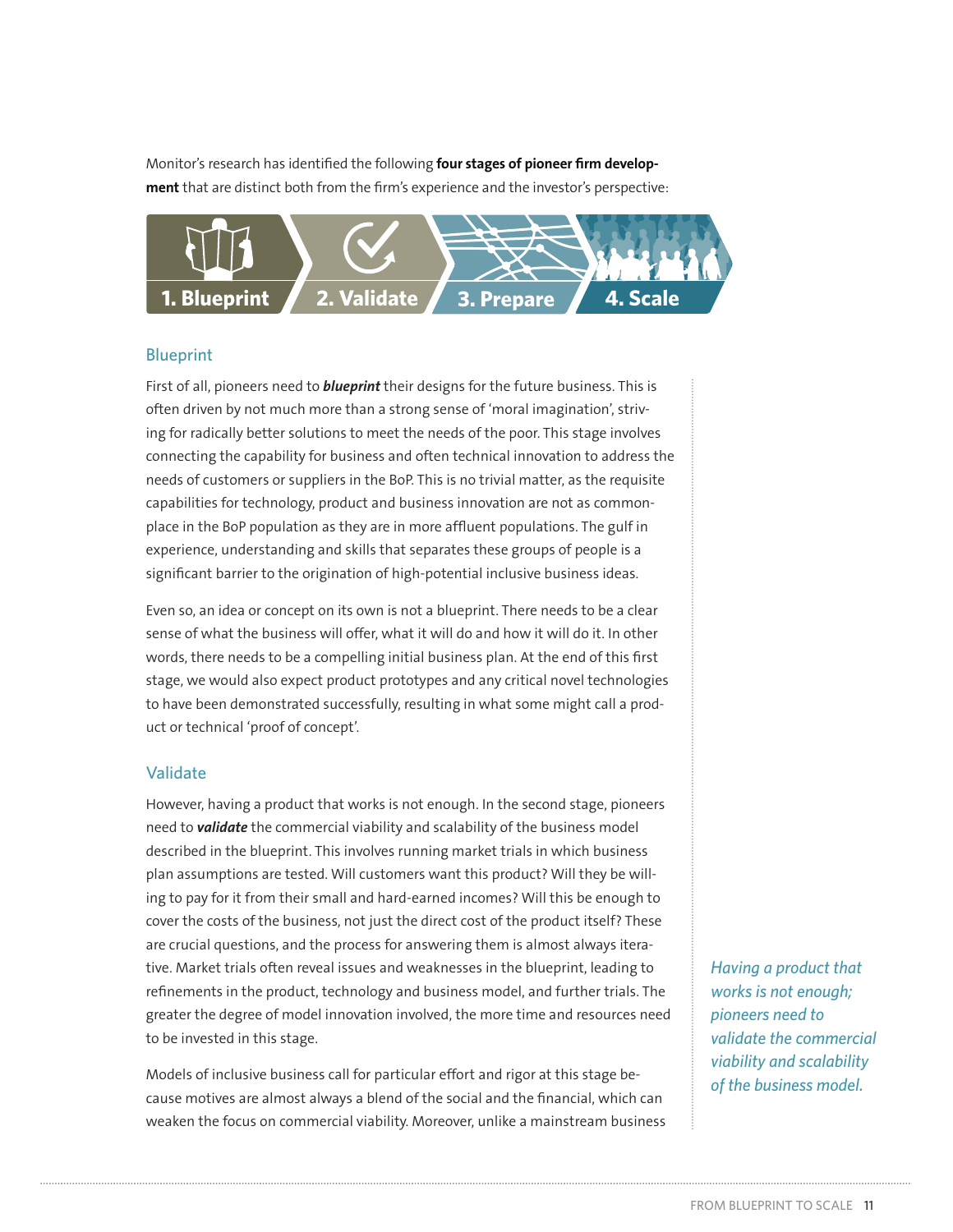Monitor's research has identified the following **four stages of pioneer firm development** that are distinct both from the firm's experience and the investor's perspective:



#### Blueprint

First of all, pioneers need to *blueprint* their designs for the future business. This is often driven by not much more than a strong sense of 'moral imagination', striving for radically better solutions to meet the needs of the poor. This stage involves connecting the capability for business and often technical innovation to address the needs of customers or suppliers in the BoP. This is no trivial matter, as the requisite capabilities for technology, product and business innovation are not as commonplace in the BoP population as they are in more affluent populations. The gulf in experience, understanding and skills that separates these groups of people is a significant barrier to the origination of high-potential inclusive business ideas.

Even so, an idea or concept on its own is not a blueprint. There needs to be a clear sense of what the business will offer, what it will do and how it will do it. In other words, there needs to be a compelling initial business plan. At the end of this first stage, we would also expect product prototypes and any critical novel technologies to have been demonstrated successfully, resulting in what some might call a product or technical 'proof of concept'.

#### Validate

However, having a product that works is not enough. In the second stage, pioneers need to *validate* the commercial viability and scalability of the business model described in the blueprint. This involves running market trials in which business plan assumptions are tested. Will customers want this product? Will they be willing to pay for it from their small and hard-earned incomes? Will this be enough to cover the costs of the business, not just the direct cost of the product itself? These are crucial questions, and the process for answering them is almost always iterative. Market trials often reveal issues and weaknesses in the blueprint, leading to refinements in the product, technology and business model, and further trials. The greater the degree of model innovation involved, the more time and resources need to be invested in this stage.

Models of inclusive business call for particular effort and rigor at this stage because motives are almost always a blend of the social and the financial, which can weaken the focus on commercial viability. Moreover, unlike a mainstream business *Having a product that works is not enough; pioneers need to validate the commercial viability and scalability of the business model.*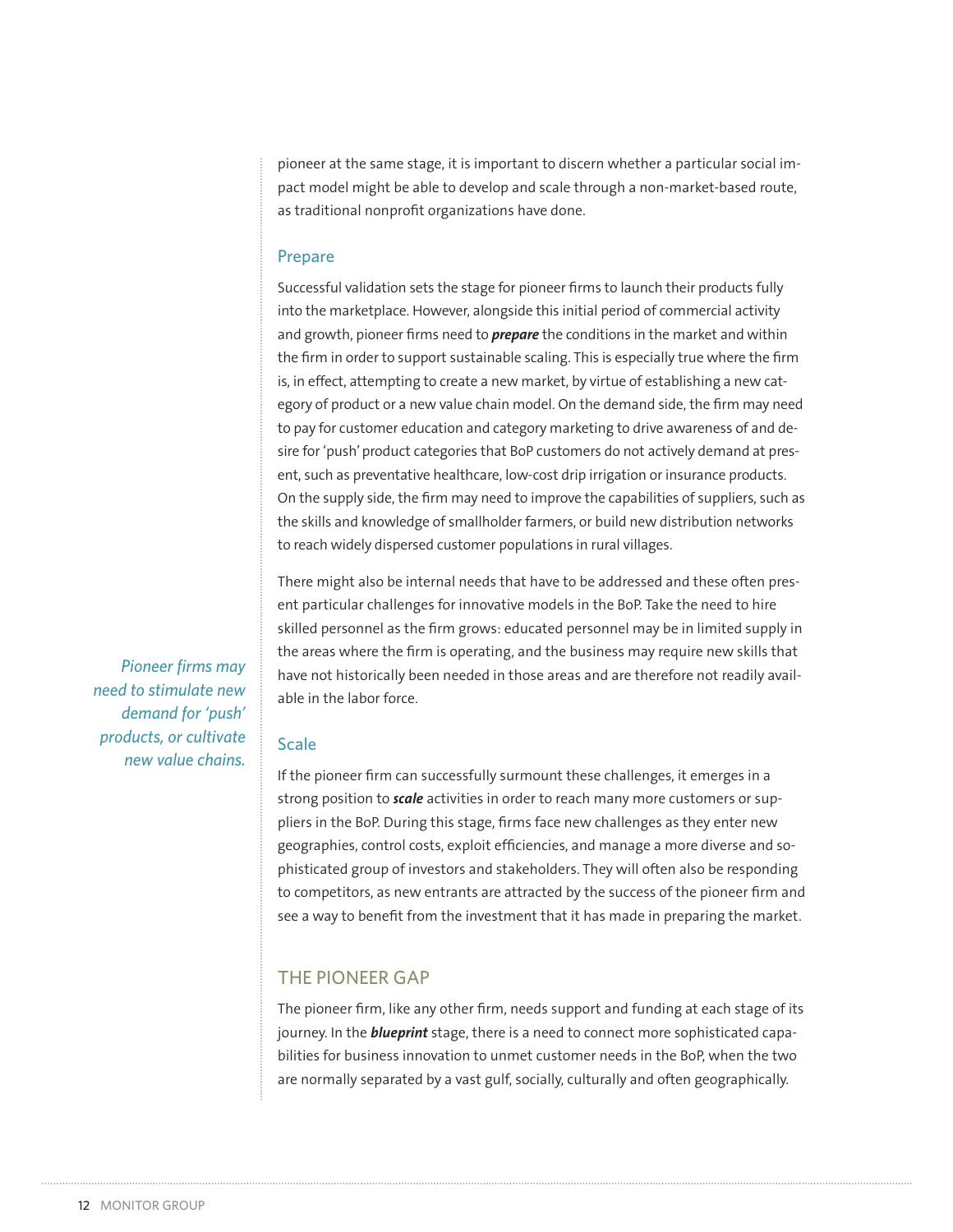pioneer at the same stage, it is important to discern whether a particular social impact model might be able to develop and scale through a non-market-based route, as traditional nonprofit organizations have done.

#### Prepare

Successful validation sets the stage for pioneer firms to launch their products fully into the marketplace. However, alongside this initial period of commercial activity and growth, pioneer firms need to *prepare* the conditions in the market and within the firm in order to support sustainable scaling. This is especially true where the firm is, in effect, attempting to create a new market, by virtue of establishing a new category of product or a new value chain model. On the demand side, the firm may need to pay for customer education and category marketing to drive awareness of and desire for 'push' product categories that BoP customers do not actively demand at present, such as preventative healthcare, low-cost drip irrigation or insurance products. On the supply side, the firm may need to improve the capabilities of suppliers, such as the skills and knowledge of smallholder farmers, or build new distribution networks to reach widely dispersed customer populations in rural villages.

There might also be internal needs that have to be addressed and these often present particular challenges for innovative models in the BoP. Take the need to hire skilled personnel as the firm grows: educated personnel may be in limited supply in the areas where the firm is operating, and the business may require new skills that have not historically been needed in those areas and are therefore not readily available in the labor force.

*Pioneer firms may need to stimulate new demand for 'push' products, or cultivate new value chains.*

#### Scale

If the pioneer firm can successfully surmount these challenges, it emerges in a strong position to *scale* activities in order to reach many more customers or suppliers in the BoP. During this stage, firms face new challenges as they enter new geographies, control costs, exploit efficiencies, and manage a more diverse and sophisticated group of investors and stakeholders. They will often also be responding to competitors, as new entrants are attracted by the success of the pioneer firm and see a way to benefit from the investment that it has made in preparing the market.

#### THE PIONEER GAP

The pioneer firm, like any other firm, needs support and funding at each stage of its journey. In the *blueprint* stage, there is a need to connect more sophisticated capabilities for business innovation to unmet customer needs in the BoP, when the two are normally separated by a vast gulf, socially, culturally and often geographically.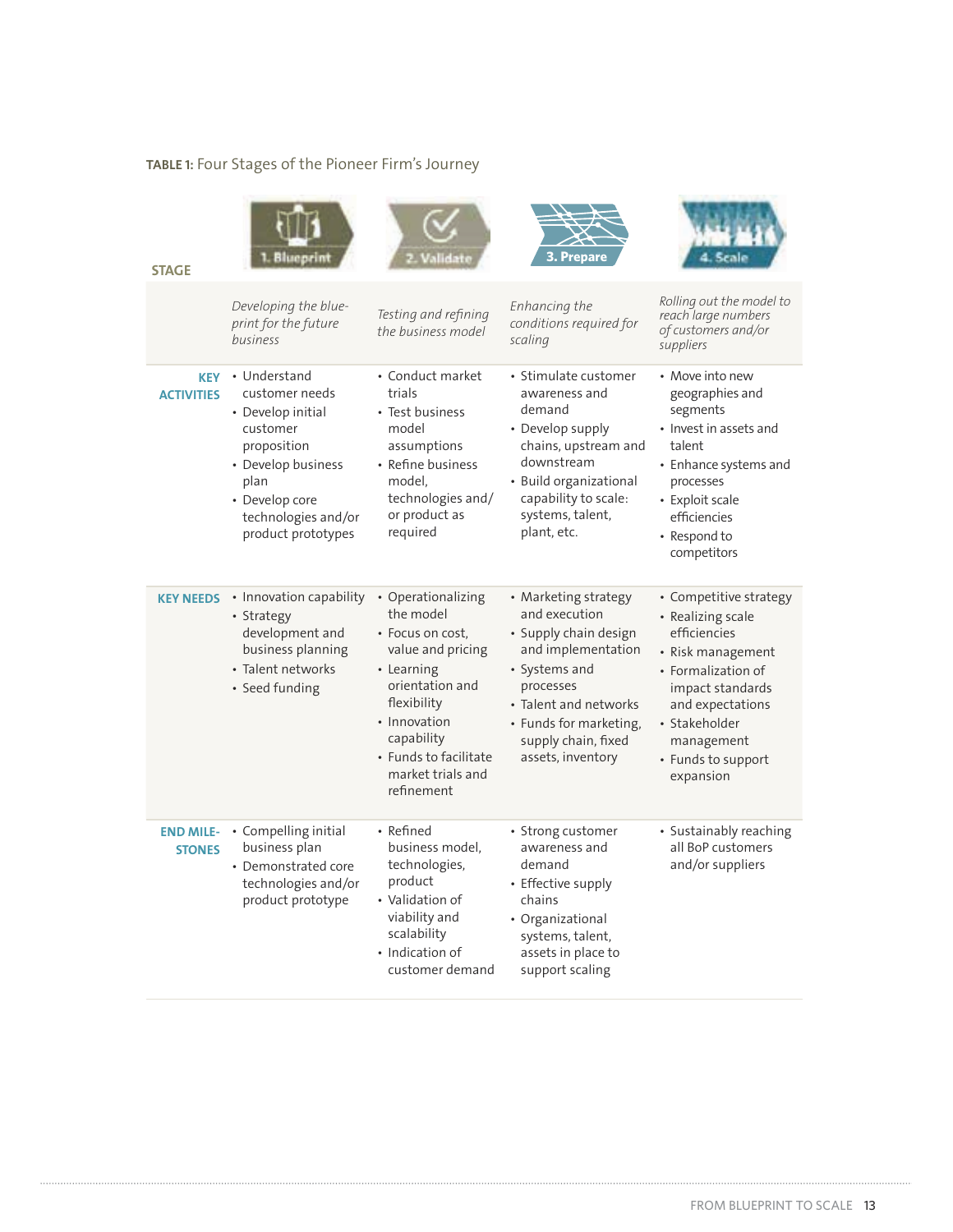# TABLE 1: Four Stages of the Pioneer Firm's Journey

| <b>STAGE</b>                      | Blueprin                                                                                                                                                                    |                                                                                                                                                                                                                    | 3. Prepare                                                                                                                                                                                                        | tera la                                                                                                                                                                                                          |
|-----------------------------------|-----------------------------------------------------------------------------------------------------------------------------------------------------------------------------|--------------------------------------------------------------------------------------------------------------------------------------------------------------------------------------------------------------------|-------------------------------------------------------------------------------------------------------------------------------------------------------------------------------------------------------------------|------------------------------------------------------------------------------------------------------------------------------------------------------------------------------------------------------------------|
|                                   | Developing the blue-<br>print for the future<br>business                                                                                                                    | Testing and refining<br>the business model                                                                                                                                                                         | Enhancing the<br>conditions required for<br>scaling                                                                                                                                                               | Rolling out the model to<br>reach large numbers<br>of customers and/or<br>suppliers                                                                                                                              |
| <b>KEY</b><br><b>ACTIVITIES</b>   | • Understand<br>customer needs<br>• Develop initial<br>customer<br>proposition<br>• Develop business<br>plan<br>• Develop core<br>technologies and/or<br>product prototypes | • Conduct market<br>trials<br>• Test business<br>model<br>assumptions<br>• Refine business<br>model,<br>technologies and/<br>or product as<br>required                                                             | • Stimulate customer<br>awareness and<br>demand<br>• Develop supply<br>chains, upstream and<br>downstream<br>• Build organizational<br>capability to scale:<br>systems, talent,<br>plant, etc.                    | • Move into new<br>geographies and<br>segments<br>• Invest in assets and<br>talent<br>• Enhance systems and<br>processes<br>• Exploit scale<br>efficiencies<br>• Respond to<br>competitors                       |
| <b>KEY NEEDS</b>                  | • Innovation capability<br>• Strategy<br>development and<br>business planning<br>• Talent networks<br>• Seed funding                                                        | • Operationalizing<br>the model<br>• Focus on cost,<br>value and pricing<br>• Learning<br>orientation and<br>flexibility<br>• Innovation<br>capability<br>• Funds to facilitate<br>market trials and<br>refinement | • Marketing strategy<br>and execution<br>· Supply chain design<br>and implementation<br>• Systems and<br>processes<br>• Talent and networks<br>• Funds for marketing,<br>supply chain, fixed<br>assets, inventory | • Competitive strategy<br>• Realizing scale<br>efficiencies<br>• Risk management<br>• Formalization of<br>impact standards<br>and expectations<br>• Stakeholder<br>management<br>• Funds to support<br>expansion |
| <b>END MILE-</b><br><b>STONES</b> | • Compelling initial<br>business plan<br>• Demonstrated core<br>technologies and/or<br>product prototype                                                                    | • Refined<br>business model,<br>technologies,<br>product<br>• Validation of<br>viability and<br>scalability<br>• Indication of<br>customer demand                                                                  | • Strong customer<br>awareness and<br>demand<br>• Effective supply<br>chains<br>• Organizational<br>systems, talent,<br>assets in place to<br>support scaling                                                     | • Sustainably reaching<br>all BoP customers<br>and/or suppliers                                                                                                                                                  |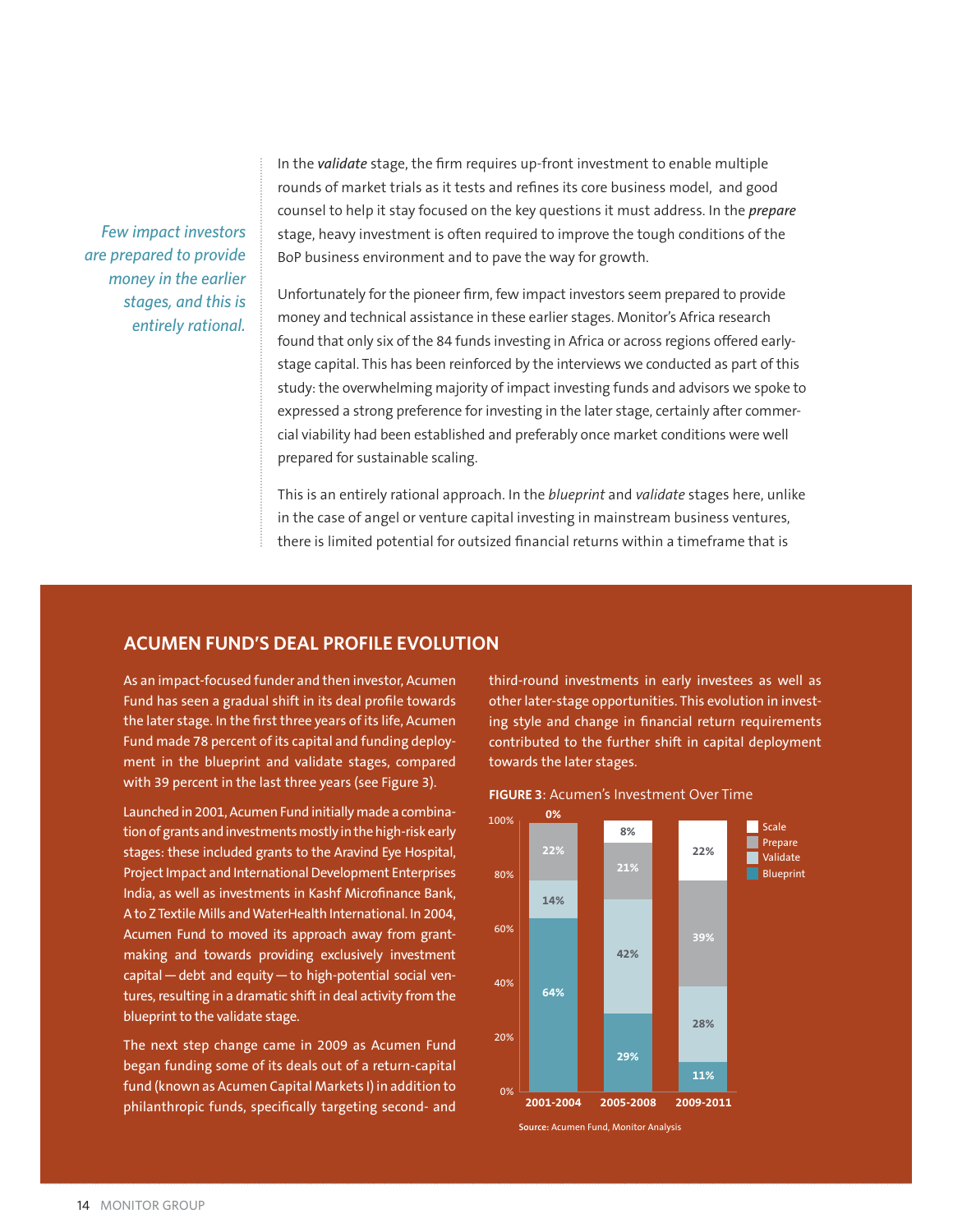*Few impact investors are prepared to provide money in the earlier stages, and this is entirely rational.*

In the *validate* stage, the firm requires up-front investment to enable multiple rounds of market trials as it tests and refines its core business model, and good counsel to help it stay focused on the key questions it must address. In the *prepare* stage, heavy investment is often required to improve the tough conditions of the BoP business environment and to pave the way for growth.

Unfortunately for the pioneer firm, few impact investors seem prepared to provide money and technical assistance in these earlier stages. Monitor's Africa research found that only six of the 84 funds investing in Africa or across regions offered earlystage capital. This has been reinforced by the interviews we conducted as part of this study: the overwhelming majority of impact investing funds and advisors we spoke to expressed a strong preference for investing in the later stage, certainly after commercial viability had been established and preferably once market conditions were well prepared for sustainable scaling.

This is an entirely rational approach. In the *blueprint* and *validate* stages here, unlike in the case of angel or venture capital investing in mainstream business ventures, there is limited potential for outsized financial returns within a timeframe that is

#### **ACUMEN FUND'S DEAL PROFILE EVOLUTION**

As an impact-focused funder and then investor, Acumen Fund has seen a gradual shift in its deal profile towards the later stage. In the first three years of its life, Acumen Fund made 78 percent of its capital and funding deployment in the blueprint and validate stages, compared with 39 percent in the last three years (see Figure 3).

Launched in 2001, Acumen Fund initially made a combination of grants and investments mostly in the high-risk early stages: these included grants to the Aravind Eye Hospital, Project Impact and International Development Enterprises India, as well as investments in Kashf Microfinance Bank, A to Z Textile Mills and WaterHealth International. In 2004, Acumen Fund to moved its approach away from grantmaking and towards providing exclusively investment  $\overline{b}$ capital – debt and equity – to high-potential social ventures, resulting in a dramatic shift in deal activity from the blueprint to the validate stage.

The next step change came in 2009 as Acumen Fund began funding some of its deals out of a return-capital fund (known as Acumen Capital Markets I) in addition to philanthropic funds, specifically targeting second- and

third-round investments in early investees as well as other later-stage opportunities. This evolution in investing style and change in financial return requirements contributed to the further shift in capital deployment towards the later stages.



**FIGURE 3: Acumen's Investment Over Time**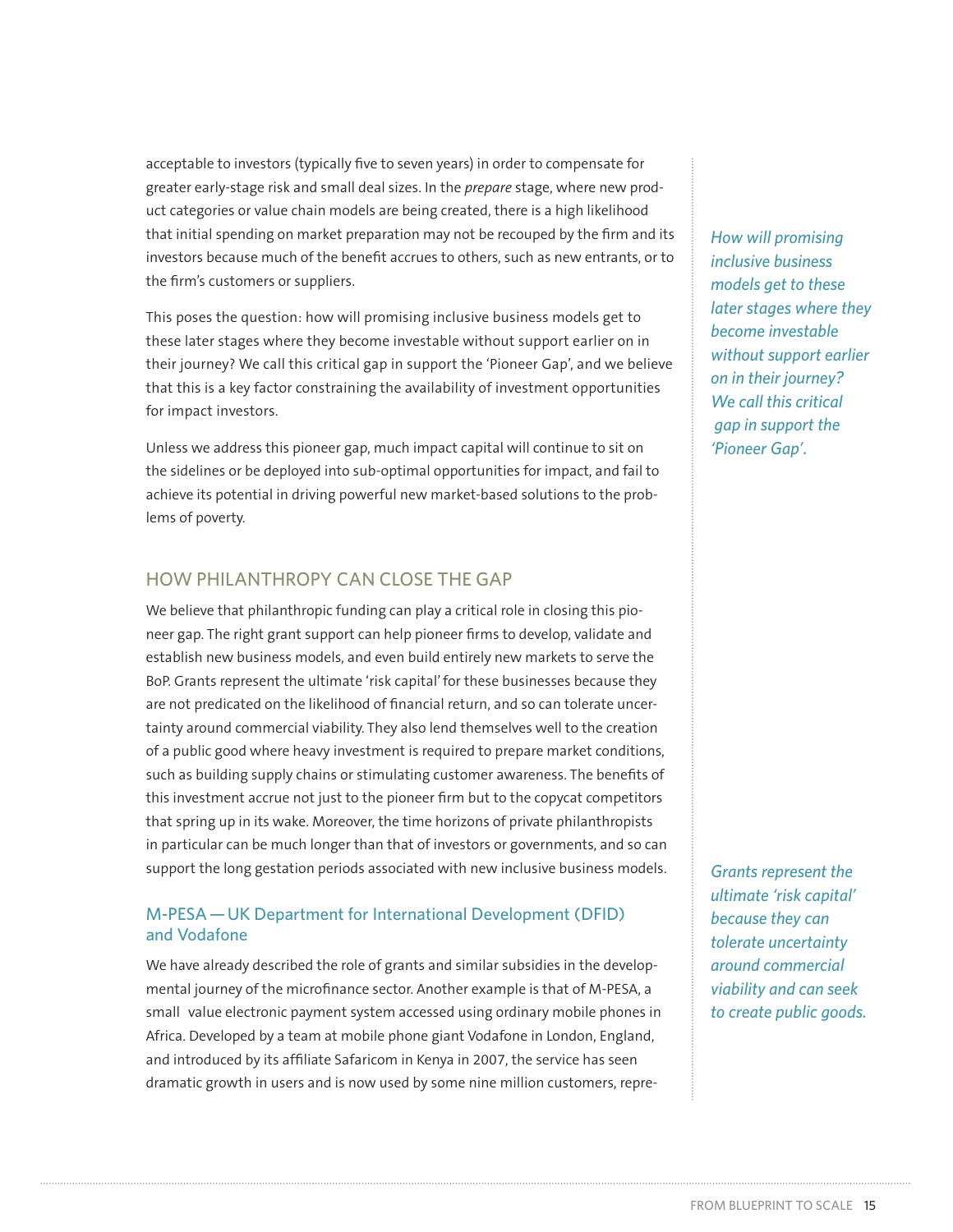acceptable to investors (typically five to seven years) in order to compensate for greater early-stage risk and small deal sizes. In the *prepare* stage, where new product categories or value chain models are being created, there is a high likelihood that initial spending on market preparation may not be recouped by the firm and its investors because much of the benefit accrues to others, such as new entrants, or to the firm's customers or suppliers.

This poses the question: how will promising inclusive business models get to these later stages where they become investable without support earlier on in their journey? We call this critical gap in support the 'Pioneer Gap', and we believe that this is a key factor constraining the availability of investment opportunities for impact investors.

Unless we address this pioneer gap, much impact capital will continue to sit on the sidelines or be deployed into sub-optimal opportunities for impact, and fail to achieve its potential in driving powerful new market-based solutions to the problems of poverty.

# HOW PHILANTHROPY CAN CLOSE THE GAP

We believe that philanthropic funding can play a critical role in closing this pioneer gap. The right grant support can help pioneer firms to develop, validate and establish new business models, and even build entirely new markets to serve the BoP. Grants represent the ultimate 'risk capital' for these businesses because they are not predicated on the likelihood of financial return, and so can tolerate uncertainty around commercial viability. They also lend themselves well to the creation of a public good where heavy investment is required to prepare market conditions, such as building supply chains or stimulating customer awareness. The benefits of this investment accrue not just to the pioneer firm but to the copycat competitors that spring up in its wake. Moreover, the time horizons of private philanthropists in particular can be much longer than that of investors or governments, and so can support the long gestation periods associated with new inclusive business models.

## M-PESA — UK Department for International Development (DFID) and Vodafone

We have already described the role of grants and similar subsidies in the developmental journey of the microfinance sector. Another example is that of M-PESA, a small value electronic payment system accessed using ordinary mobile phones in Africa. Developed by a team at mobile phone giant Vodafone in London, England, and introduced by its affiliate Safaricom in Kenya in 2007, the service has seen dramatic growth in users and is now used by some nine million customers, repre*How will promising inclusive business models get to these later stages where they become investable without support earlier on in their journey? We call this critical gap in support the 'Pioneer Gap'.*

*Grants represent the ultimate 'risk capital' because they can tolerate uncertainty around commercial viability and can seek to create public goods.*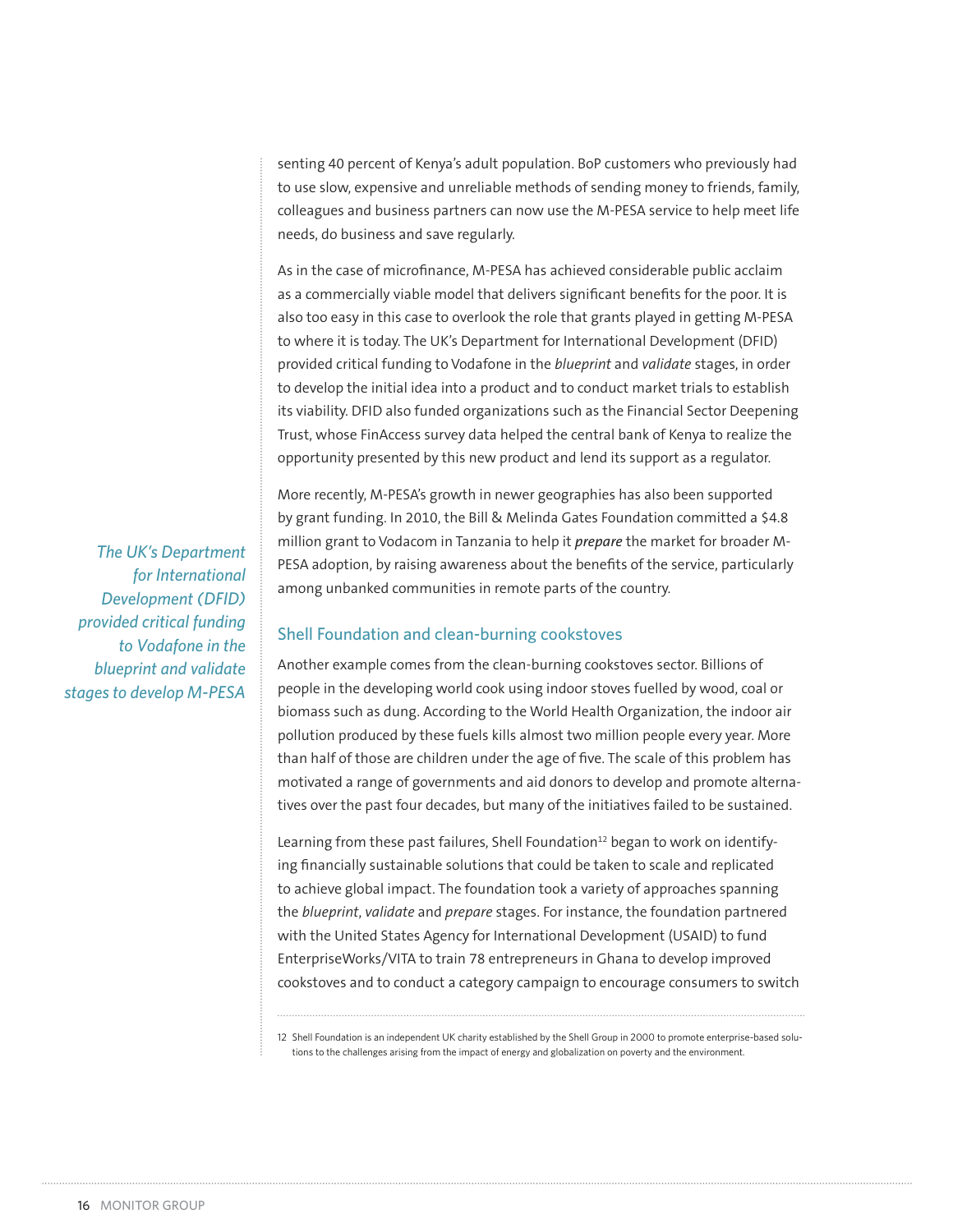senting 40 percent of Kenya's adult population. BoP customers who previously had to use slow, expensive and unreliable methods of sending money to friends, family, colleagues and business partners can now use the M-PESA service to help meet life needs, do business and save regularly.

As in the case of microfinance, M-PESA has achieved considerable public acclaim as a commercially viable model that delivers significant benefits for the poor. It is also too easy in this case to overlook the role that grants played in getting M-PESA to where it is today. The UK's Department for International Development (DFID) provided critical funding to Vodafone in the *blueprint* and *validate* stages, in order to develop the initial idea into a product and to conduct market trials to establish its viability. DFID also funded organizations such as the Financial Sector Deepening Trust, whose FinAccess survey data helped the central bank of Kenya to realize the opportunity presented by this new product and lend its support as a regulator.

More recently, M-PESA's growth in newer geographies has also been supported by grant funding. In 2010, the Bill & Melinda Gates Foundation committed a \$4.8 million grant to Vodacom in Tanzania to help it *prepare* the market for broader M-PESA adoption, by raising awareness about the benefits of the service, particularly among unbanked communities in remote parts of the country.

#### Shell Foundation and clean-burning cookstoves

Another example comes from the clean-burning cookstoves sector. Billions of people in the developing world cook using indoor stoves fuelled by wood, coal or biomass such as dung. According to the World Health Organization, the indoor air pollution produced by these fuels kills almost two million people every year. More than half of those are children under the age of five. The scale of this problem has motivated a range of governments and aid donors to develop and promote alternatives over the past four decades, but many of the initiatives failed to be sustained.

Learning from these past failures, Shell Foundation<sup>12</sup> began to work on identifying financially sustainable solutions that could be taken to scale and replicated to achieve global impact. The foundation took a variety of approaches spanning the *blueprint*, *validate* and *prepare* stages. For instance, the foundation partnered with the United States Agency for International Development (USAID) to fund EnterpriseWorks/VITA to train 78 entrepreneurs in Ghana to develop improved cookstoves and to conduct a category campaign to encourage consumers to switch

12 Shell Foundation is an independent UK charity established by the Shell Group in 2000 to promote enterprise-based solutions to the challenges arising from the impact of energy and globalization on poverty and the environment.

*The UK's Department for International Development (DFID) provided critical funding to Vodafone in the blueprint and validate stages to develop M-PESA*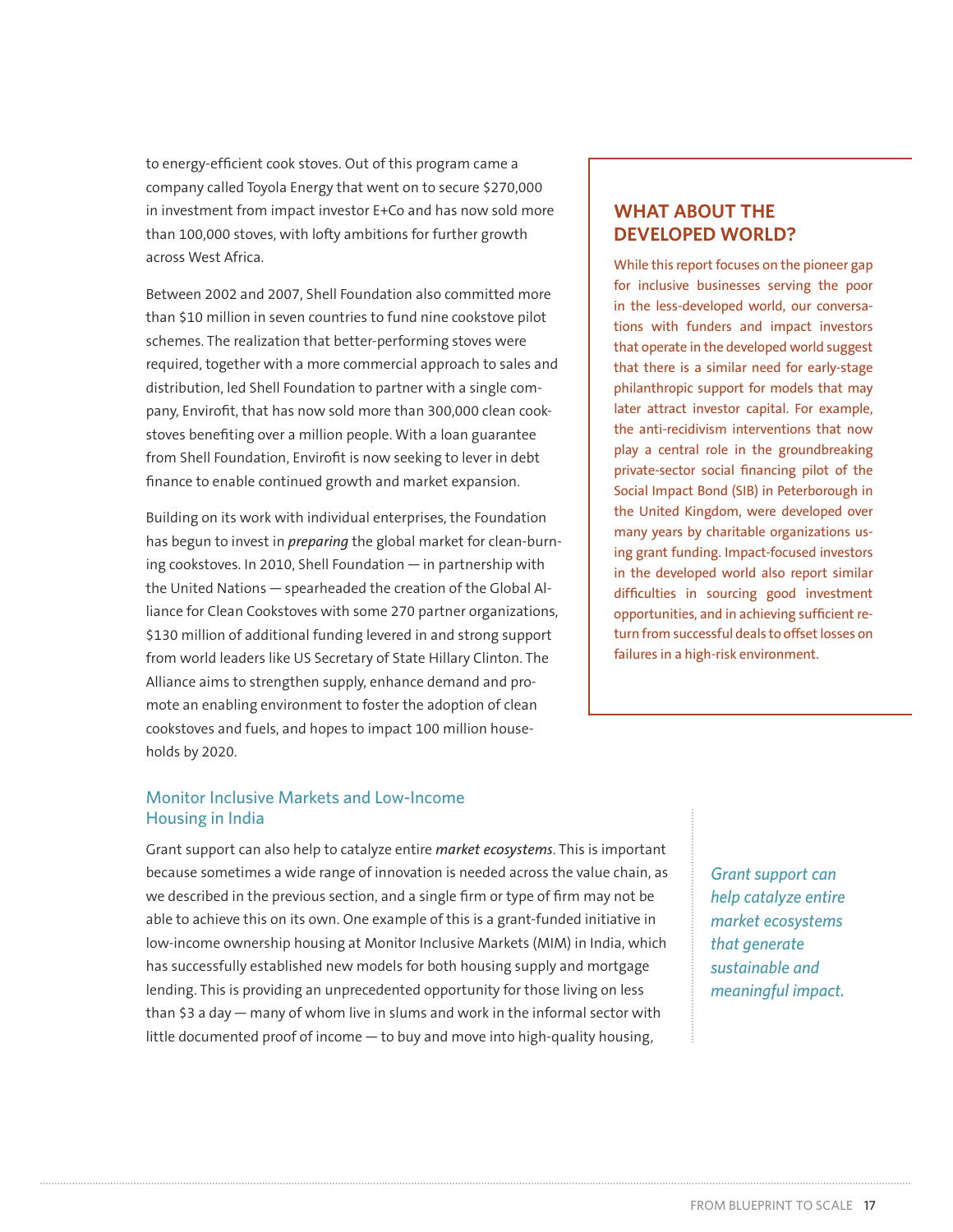to energy-efficient cook stoves. Out of this program came a company called Toyola Energy that went on to secure \$270,000 in investment from impact investor E+Co and has now sold more than 100,000 stoves, with lofty ambitions for further growth across West Africa.

Between 2002 and 2007, Shell Foundation also committed more than \$10 million in seven countries to fund nine cookstove pilot schemes. The realization that better-performing stoves were required, together with a more commercial approach to sales and distribution, led Shell Foundation to partner with a single company, Envirofit, that has now sold more than 300,000 clean cookstoves benefiting over a million people. With a loan guarantee from Shell Foundation, Envirofit is now seeking to lever in debt finance to enable continued growth and market expansion.

Building on its work with individual enterprises, the Foundation has begun to invest in *preparing* the global market for clean-burning cookstoves. In 2010, Shell Foundation — in partnership with the United Nations — spearheaded the creation of the Global Alliance for Clean Cookstoves with some 270 partner organizations, \$130 million of additional funding levered in and strong support from world leaders like US Secretary of State Hillary Clinton. The Alliance aims to strengthen supply, enhance demand and promote an enabling environment to foster the adoption of clean cookstoves and fuels, and hopes to impact 100 million households by 2020.

# **WHAT ABOUT THE DEVELOPED WORLD?**

While this report focuses on the pioneer gap for inclusive businesses serving the poor in the less-developed world, our conversations with funders and impact investors that operate in the developed world suggest that there is a similar need for early-stage philanthropic support for models that may later attract investor capital. For example, the anti-recidivism interventions that now play a central role in the groundbreaking private-sector social financing pilot of the Social Impact Bond (SIB) in Peterborough in the United Kingdom, were developed over many years by charitable organizations using grant funding. Impact-focused investors in the developed world also report similar difficulties in sourcing good investment opportunities, and in achieving sufficient return from successful deals to offset losses on failures in a high-risk environment.

#### Monitor Inclusive Markets and Low-Income Housing in India

Grant support can also help to catalyze entire *market ecosystems*. This is important because sometimes a wide range of innovation is needed across the value chain, as we described in the previous section, and a single firm or type of firm may not be able to achieve this on its own. One example of this is a grant-funded initiative in low-income ownership housing at Monitor Inclusive Markets (MIM) in India, which has successfully established new models for both housing supply and mortgage lending. This is providing an unprecedented opportunity for those living on less than \$3 a day — many of whom live in slums and work in the informal sector with little documented proof of income — to buy and move into high-quality housing,

*Grant support can help catalyze entire market ecosystems that generate sustainable and meaningful impact.*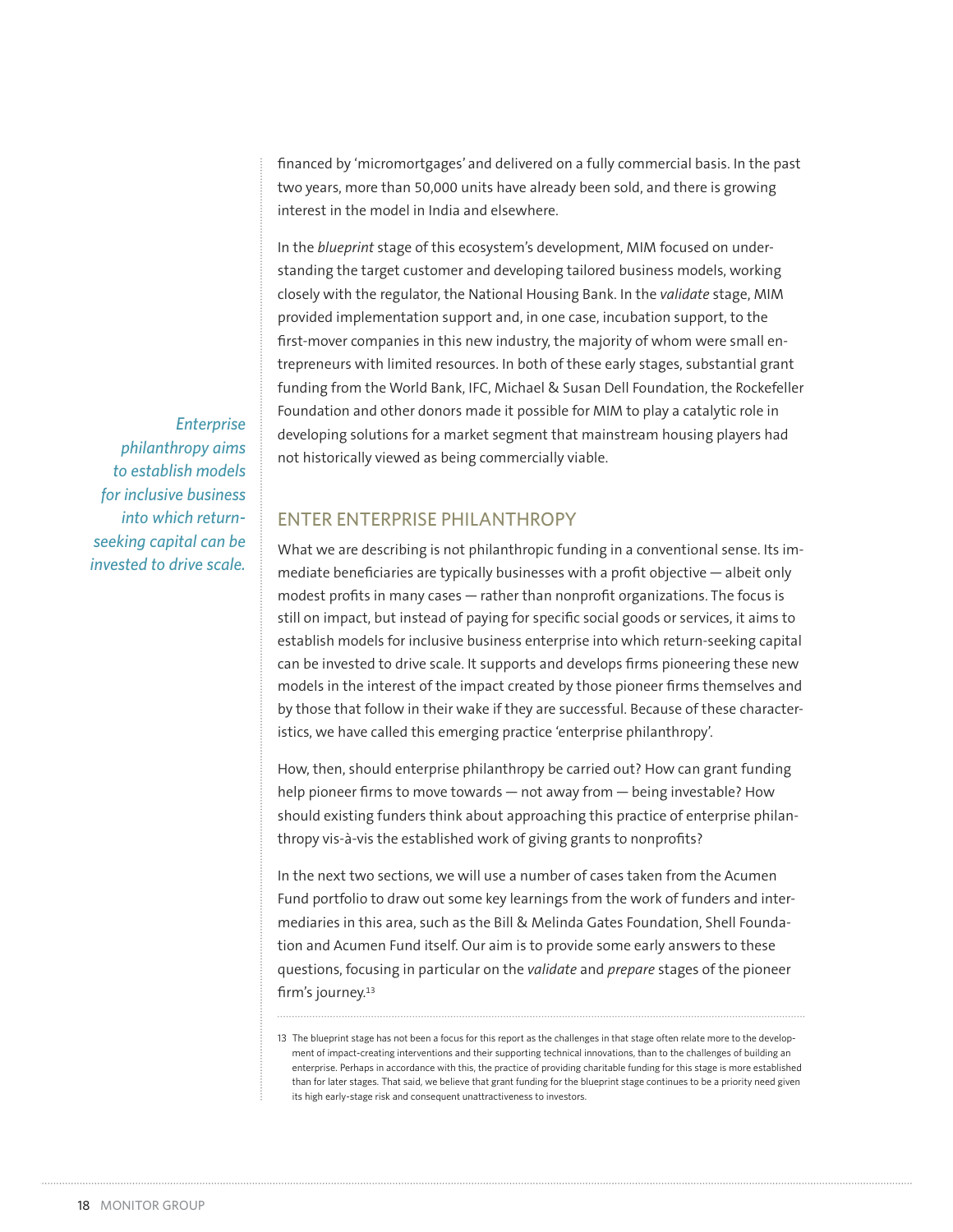financed by 'micromortgages' and delivered on a fully commercial basis. In the past two years, more than 50,000 units have already been sold, and there is growing interest in the model in India and elsewhere.

In the *blueprint* stage of this ecosystem's development, MIM focused on understanding the target customer and developing tailored business models, working closely with the regulator, the National Housing Bank. In the *validate* stage, MIM provided implementation support and, in one case, incubation support, to the first-mover companies in this new industry, the majority of whom were small entrepreneurs with limited resources. In both of these early stages, substantial grant funding from the World Bank, IFC, Michael & Susan Dell Foundation, the Rockefeller Foundation and other donors made it possible for MIM to play a catalytic role in developing solutions for a market segment that mainstream housing players had not historically viewed as being commercially viable.

*Enterprise philanthropy aims to establish models for inclusive business into which returnseeking capital can be invested to drive scale.*

## ENTER ENTERPRISE PHILANTHROPY

What we are describing is not philanthropic funding in a conventional sense. Its immediate beneficiaries are typically businesses with a profit objective — albeit only modest profits in many cases — rather than nonprofit organizations. The focus is still on impact, but instead of paying for specific social goods or services, it aims to establish models for inclusive business enterprise into which return-seeking capital can be invested to drive scale. It supports and develops firms pioneering these new models in the interest of the impact created by those pioneer firms themselves and by those that follow in their wake if they are successful. Because of these characteristics, we have called this emerging practice 'enterprise philanthropy'.

How, then, should enterprise philanthropy be carried out? How can grant funding help pioneer firms to move towards — not away from — being investable? How should existing funders think about approaching this practice of enterprise philanthropy vis-à-vis the established work of giving grants to nonprofits?

In the next two sections, we will use a number of cases taken from the Acumen Fund portfolio to draw out some key learnings from the work of funders and intermediaries in this area, such as the Bill & Melinda Gates Foundation, Shell Foundation and Acumen Fund itself. Our aim is to provide some early answers to these questions, focusing in particular on the *validate* and *prepare* stages of the pioneer firm's journey.<sup>13</sup>

<sup>13</sup> The blueprint stage has not been a focus for this report as the challenges in that stage often relate more to the development of impact-creating interventions and their supporting technical innovations, than to the challenges of building an enterprise. Perhaps in accordance with this, the practice of providing charitable funding for this stage is more established than for later stages. That said, we believe that grant funding for the blueprint stage continues to be a priority need given its high early-stage risk and consequent unattractiveness to investors.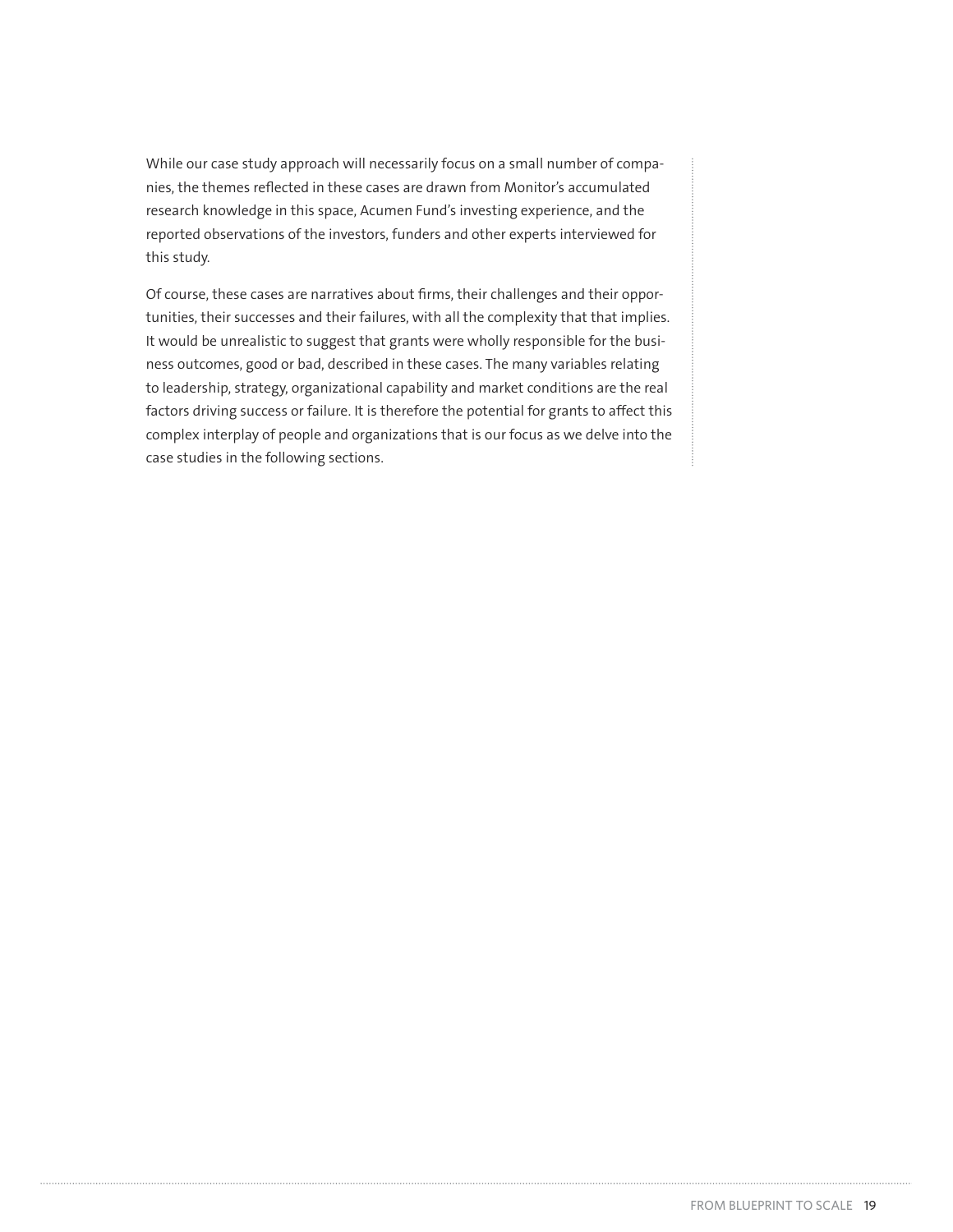While our case study approach will necessarily focus on a small number of companies, the themes reflected in these cases are drawn from Monitor's accumulated research knowledge in this space, Acumen Fund's investing experience, and the reported observations of the investors, funders and other experts interviewed for this study.

Of course, these cases are narratives about firms, their challenges and their opportunities, their successes and their failures, with all the complexity that that implies. It would be unrealistic to suggest that grants were wholly responsible for the business outcomes, good or bad, described in these cases. The many variables relating to leadership, strategy, organizational capability and market conditions are the real factors driving success or failure. It is therefore the potential for grants to affect this complex interplay of people and organizations that is our focus as we delve into the case studies in the following sections.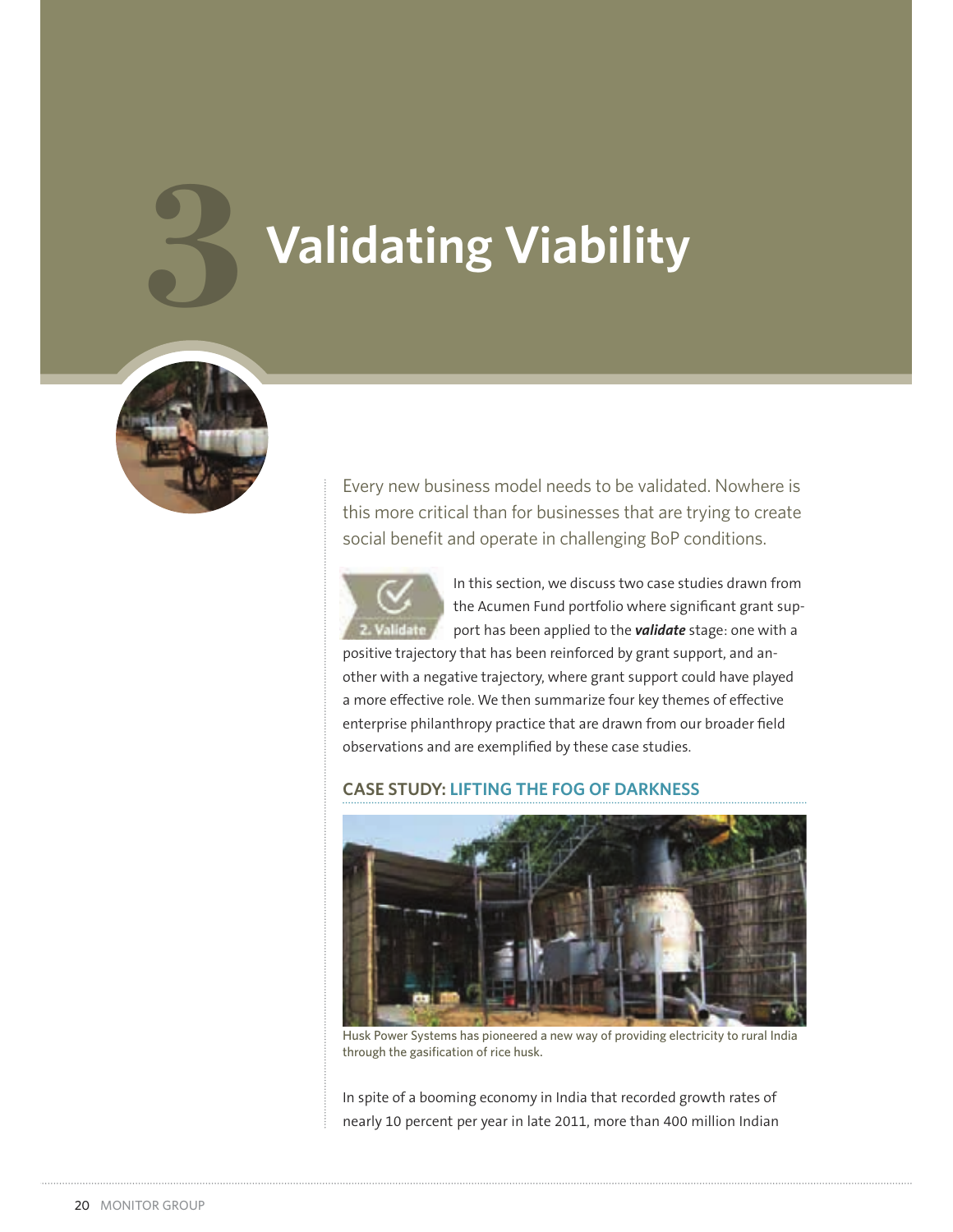# **3 Validating Viability**



Every new business model needs to be validated. Nowhere is this more critical than for businesses that are trying to create social benefit and operate in challenging BoP conditions.



In this section, we discuss two case studies drawn from the Acumen Fund portfolio where significant grant support has been applied to the *validate* stage: one with a

positive trajectory that has been reinforced by grant support, and another with a negative trajectory, where grant support could have played a more effective role. We then summarize four key themes of effective enterprise philanthropy practice that are drawn from our broader field observations and are exemplified by these case studies.

#### **CASE STUDY: LIFTING THE FOG OF DARKNESS**



Husk Power Systems has pioneered a new way of providing electricity to rural India through the gasification of rice husk.

In spite of a booming economy in India that recorded growth rates of nearly 10 percent per year in late 2011, more than 400 million Indian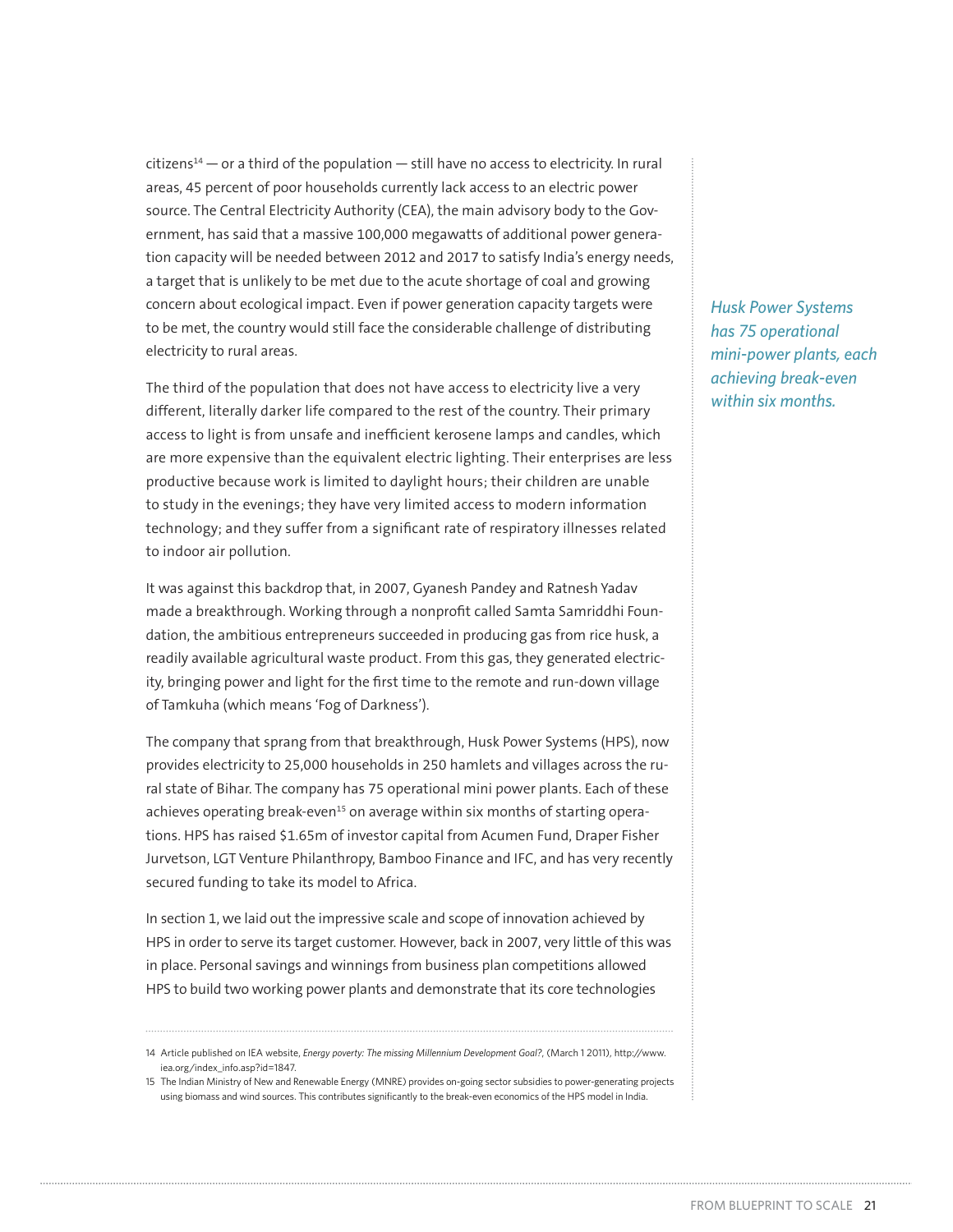$citizens<sup>14</sup>$  – or a third of the population – still have no access to electricity. In rural areas, 45 percent of poor households currently lack access to an electric power source. The Central Electricity Authority (CEA), the main advisory body to the Government, has said that a massive 100,000 megawatts of additional power generation capacity will be needed between 2012 and 2017 to satisfy India's energy needs, a target that is unlikely to be met due to the acute shortage of coal and growing concern about ecological impact. Even if power generation capacity targets were to be met, the country would still face the considerable challenge of distributing electricity to rural areas.

The third of the population that does not have access to electricity live a very different, literally darker life compared to the rest of the country. Their primary access to light is from unsafe and inefficient kerosene lamps and candles, which are more expensive than the equivalent electric lighting. Their enterprises are less productive because work is limited to daylight hours; their children are unable to study in the evenings; they have very limited access to modern information technology; and they suffer from a significant rate of respiratory illnesses related to indoor air pollution.

It was against this backdrop that, in 2007, Gyanesh Pandey and Ratnesh Yadav made a breakthrough. Working through a nonprofit called Samta Samriddhi Foundation, the ambitious entrepreneurs succeeded in producing gas from rice husk, a readily available agricultural waste product. From this gas, they generated electricity, bringing power and light for the first time to the remote and run-down village of Tamkuha (which means 'Fog of Darkness').

The company that sprang from that breakthrough, Husk Power Systems (HPS), now provides electricity to 25,000 households in 250 hamlets and villages across the rural state of Bihar. The company has 75 operational mini power plants. Each of these achieves operating break-even<sup>15</sup> on average within six months of starting operations. HPS has raised \$1.65m of investor capital from Acumen Fund, Draper Fisher Jurvetson, LGT Venture Philanthropy, Bamboo Finance and IFC, and has very recently secured funding to take its model to Africa.

In section 1, we laid out the impressive scale and scope of innovation achieved by HPS in order to serve its target customer. However, back in 2007, very little of this was in place. Personal savings and winnings from business plan competitions allowed HPS to build two working power plants and demonstrate that its core technologies

*Husk Power Systems has 75 operational mini-power plants, each achieving break-even within six months.*

<sup>14</sup> Article published on IEA website, *Energy poverty: The missing Millennium Development Goal?*, (March 1 2011), http://www. iea.org/index\_info.asp?id=1847.

<sup>15</sup> The Indian Ministry of New and Renewable Energy (MNRE) provides on-going sector subsidies to power-generating projects using biomass and wind sources. This contributes significantly to the break-even economics of the HPS model in India.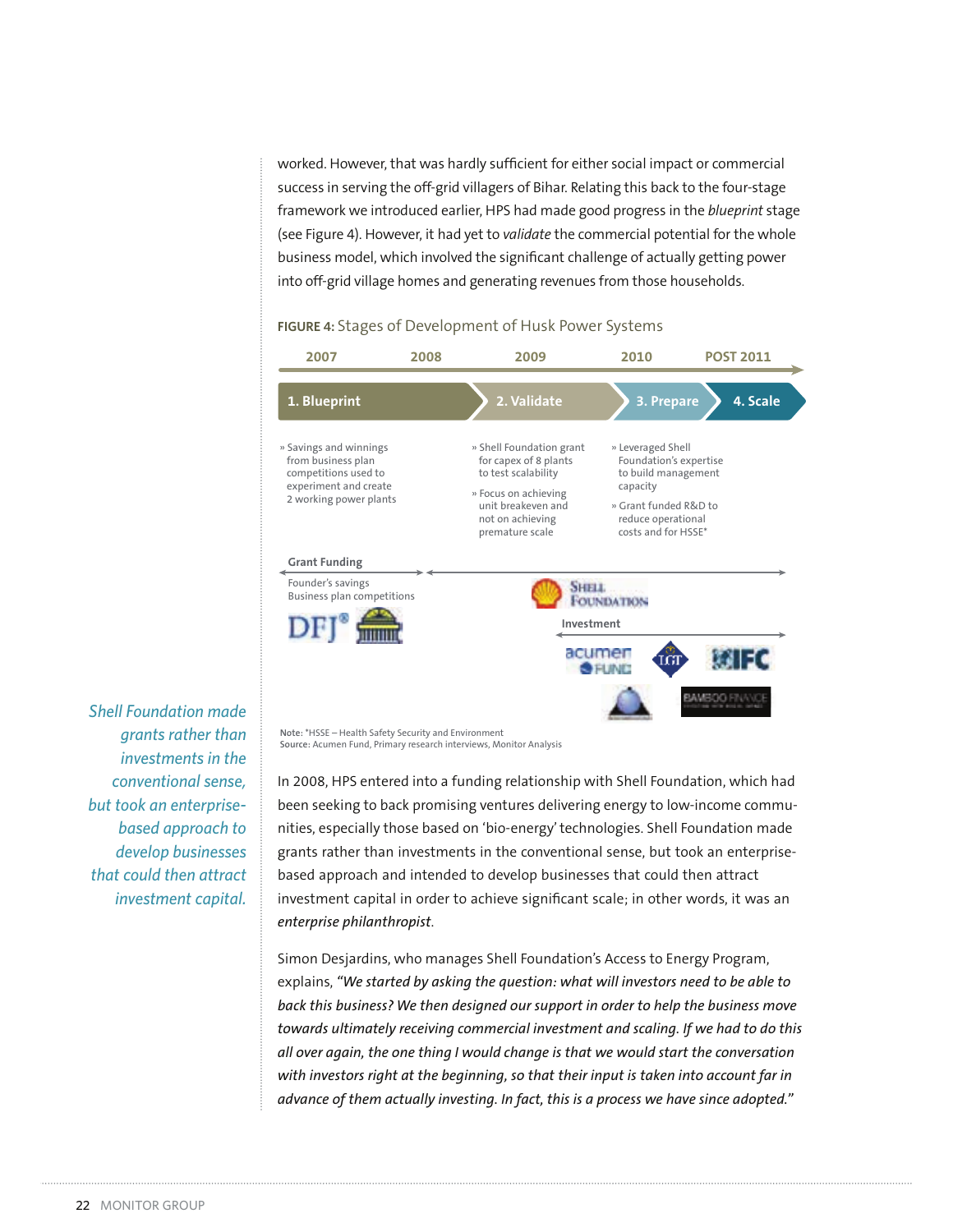worked. However, that was hardly sufficient for either social impact or commercial success in serving the off-grid villagers of Bihar. Relating this back to the four-stage framework we introduced earlier, HPS had made good progress in the *blueprint* stage (see Figure 4). However, it had yet to *validate* the commercial potential for the whole business model, which involved the significant challenge of actually getting power into off-grid village homes and generating revenues from those households.

#### FIGURE 4: Stages of Development of Husk Power Systems



*Shell Foundation made grants rather than investments in the conventional sense, but took an enterprisebased approach to develop businesses that could then attract investment capital.*

**Note:** \*HSSE – Health Safety Security and Environment **Source:** Acumen Fund, Primary research interviews, Monitor Analysis

In 2008, HPS entered into a funding relationship with Shell Foundation, which had been seeking to back promising ventures delivering energy to low-income communities, especially those based on 'bio-energy' technologies. Shell Foundation made grants rather than investments in the conventional sense, but took an enterprisebased approach and intended to develop businesses that could then attract investment capital in order to achieve significant scale; in other words, it was an *enterprise philanthropist*.

Simon Desjardins, who manages Shell Foundation's Access to Energy Program, explains, *"We started by asking the question: what will investors need to be able to back this business? We then designed our support in order to help the business move towards ultimately receiving commercial investment and scaling. If we had to do this all over again, the one thing I would change is that we would start the conversation with investors right at the beginning, so that their input is taken into account far in advance of them actually investing. In fact, this is a process we have since adopted."*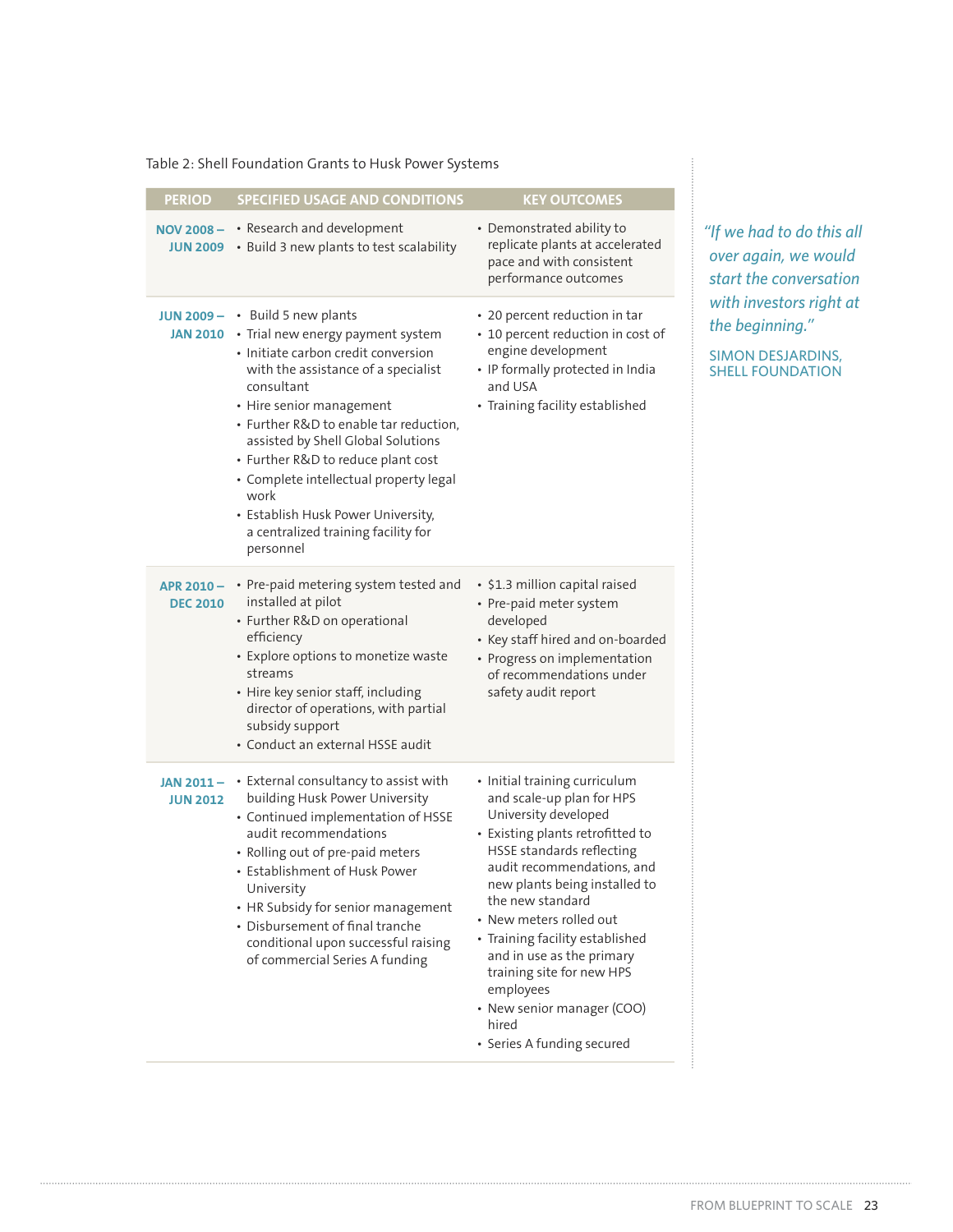#### Table 2: Shell Foundation Grants to Husk Power Systems

| <b>PERIOD</b>                 | <b>SPECIFIED USAGE AND CONDITIONS</b>                                                                                                                                                                                                                                                                                                                                                                                                                                          | <b>KEY OUTCOMES</b>                                                                                                                                                                                                                                                                                                                                                                                                                              |
|-------------------------------|--------------------------------------------------------------------------------------------------------------------------------------------------------------------------------------------------------------------------------------------------------------------------------------------------------------------------------------------------------------------------------------------------------------------------------------------------------------------------------|--------------------------------------------------------------------------------------------------------------------------------------------------------------------------------------------------------------------------------------------------------------------------------------------------------------------------------------------------------------------------------------------------------------------------------------------------|
| <b>JUN 2009</b>               | NOV 2008 - • Research and development<br>• Build 3 new plants to test scalability                                                                                                                                                                                                                                                                                                                                                                                              | • Demonstrated ability to<br>replicate plants at accelerated<br>pace and with consistent<br>performance outcomes                                                                                                                                                                                                                                                                                                                                 |
|                               | <b>JUN 2009 - •</b> Build 5 new plants<br>JAN 2010 • Trial new energy payment system<br>• Initiate carbon credit conversion<br>with the assistance of a specialist<br>consultant<br>• Hire senior management<br>• Further R&D to enable tar reduction,<br>assisted by Shell Global Solutions<br>• Further R&D to reduce plant cost<br>· Complete intellectual property legal<br>work<br>• Establish Husk Power University,<br>a centralized training facility for<br>personnel | • 20 percent reduction in tar<br>• 10 percent reduction in cost of<br>engine development<br>• IP formally protected in India<br>and USA<br>• Training facility established                                                                                                                                                                                                                                                                       |
| APR 2010-<br><b>DEC 2010</b>  | • Pre-paid metering system tested and<br>installed at pilot<br>• Further R&D on operational<br>efficiency<br>• Explore options to monetize waste<br>streams<br>• Hire key senior staff, including<br>director of operations, with partial<br>subsidy support<br>· Conduct an external HSSE audit                                                                                                                                                                               | • \$1.3 million capital raised<br>• Pre-paid meter system<br>developed<br>• Key staff hired and on-boarded<br>• Progress on implementation<br>of recommendations under<br>safety audit report                                                                                                                                                                                                                                                    |
| JAN 2011 -<br><b>JUN 2012</b> | • External consultancy to assist with<br>building Husk Power University<br>• Continued implementation of HSSE<br>audit recommendations<br>• Rolling out of pre-paid meters<br>• Establishment of Husk Power<br>University<br>• HR Subsidy for senior management<br>• Disbursement of final tranche<br>conditional upon successful raising<br>of commercial Series A funding                                                                                                    | · Initial training curriculum<br>and scale-up plan for HPS<br>University developed<br>• Existing plants retrofitted to<br>HSSE standards reflecting<br>audit recommendations, and<br>new plants being installed to<br>the new standard<br>• New meters rolled out<br>• Training facility established<br>and in use as the primary<br>training site for new HPS<br>employees<br>• New senior manager (COO)<br>hired<br>• Series A funding secured |

*"If we had to do this all over again, we would start the conversation with investors right at the beginning."*

SIMON DESJARDINS, SHELL FOUNDATION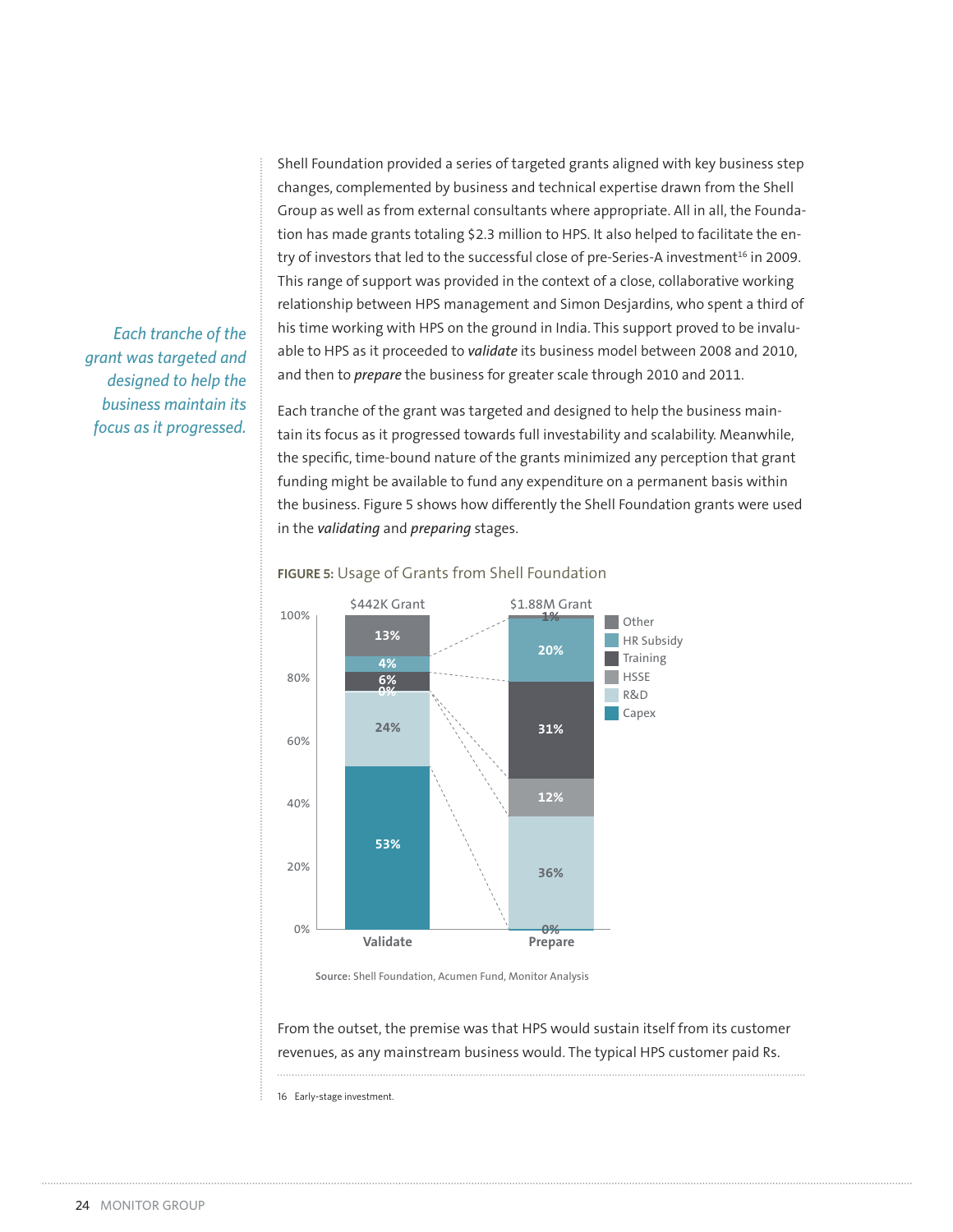Shell Foundation provided a series of targeted grants aligned with key business step changes, complemented by business and technical expertise drawn from the Shell Group as well as from external consultants where appropriate. All in all, the Foundation has made grants totaling \$2.3 million to HPS. It also helped to facilitate the entry of investors that led to the successful close of pre-Series-A investment<sup>16</sup> in 2009. This range of support was provided in the context of a close, collaborative working relationship between HPS management and Simon Desjardins, who spent a third of his time working with HPS on the ground in India. This support proved to be invaluable to HPS as it proceeded to *validate* its business model between 2008 and 2010, and then to *prepare* the business for greater scale through 2010 and 2011.

Each tranche of the grant was targeted and designed to help the business maintain its focus as it progressed towards full investability and scalability. Meanwhile, the specific, time-bound nature of the grants minimized any perception that grant funding might be available to fund any expenditure on a permanent basis within the business. Figure 5 shows how differently the Shell Foundation grants were used in the *validating* and *preparing* stages.



#### FIGURE 5: Usage of Grants from Shell Foundation

**Source:** Shell Foundation, Acumen Fund, Monitor Analysis

From the outset, the premise was that HPS would sustain itself from its customer revenues, as any mainstream business would. The typical HPS customer paid Rs.

16 Early-stage investment.

*Each tranche of the grant was targeted and designed to help the business maintain its focus as it progressed.*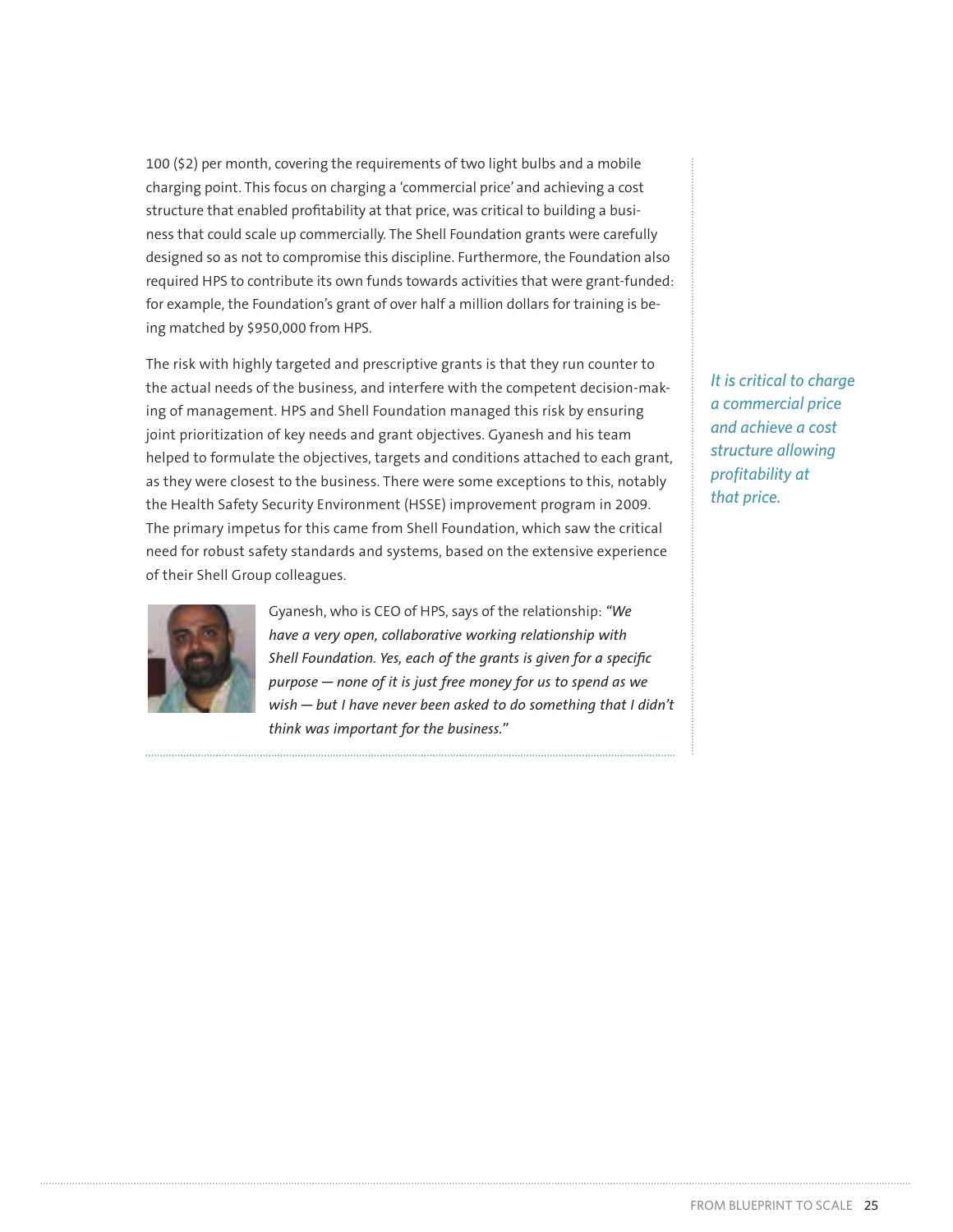100 (\$2) per month, covering the requirements of two light bulbs and a mobile charging point. This focus on charging a 'commercial price' and achieving a cost structure that enabled profitability at that price, was critical to building a business that could scale up commercially. The Shell Foundation grants were carefully designed so as not to compromise this discipline. Furthermore, the Foundation also required HPS to contribute its own funds towards activities that were grant-funded: for example, the Foundation's grant of over half a million dollars for training is being matched by \$950,000 from HPS.

The risk with highly targeted and prescriptive grants is that they run counter to the actual needs of the business, and interfere with the competent decision-making of management. HPS and Shell Foundation managed this risk by ensuring joint prioritization of key needs and grant objectives. Gyanesh and his team helped to formulate the objectives, targets and conditions attached to each grant, as they were closest to the business. There were some exceptions to this, notably the Health Safety Security Environment (HSSE) improvement program in 2009. The primary impetus for this came from Shell Foundation, which saw the critical need for robust safety standards and systems, based on the extensive experience of their Shell Group colleagues.



Gyanesh, who is CEO of HPS, says of the relationship: *"We have a very open, collaborative working relationship with Shell Foundation. Yes, each of the grants is given for a specific purpose — none of it is just free money for us to spend as we wish — but I have never been asked to do something that I didn't think was important for the business."*

*It is critical to charge a commercial price and achieve a cost structure allowing profitability at that price.*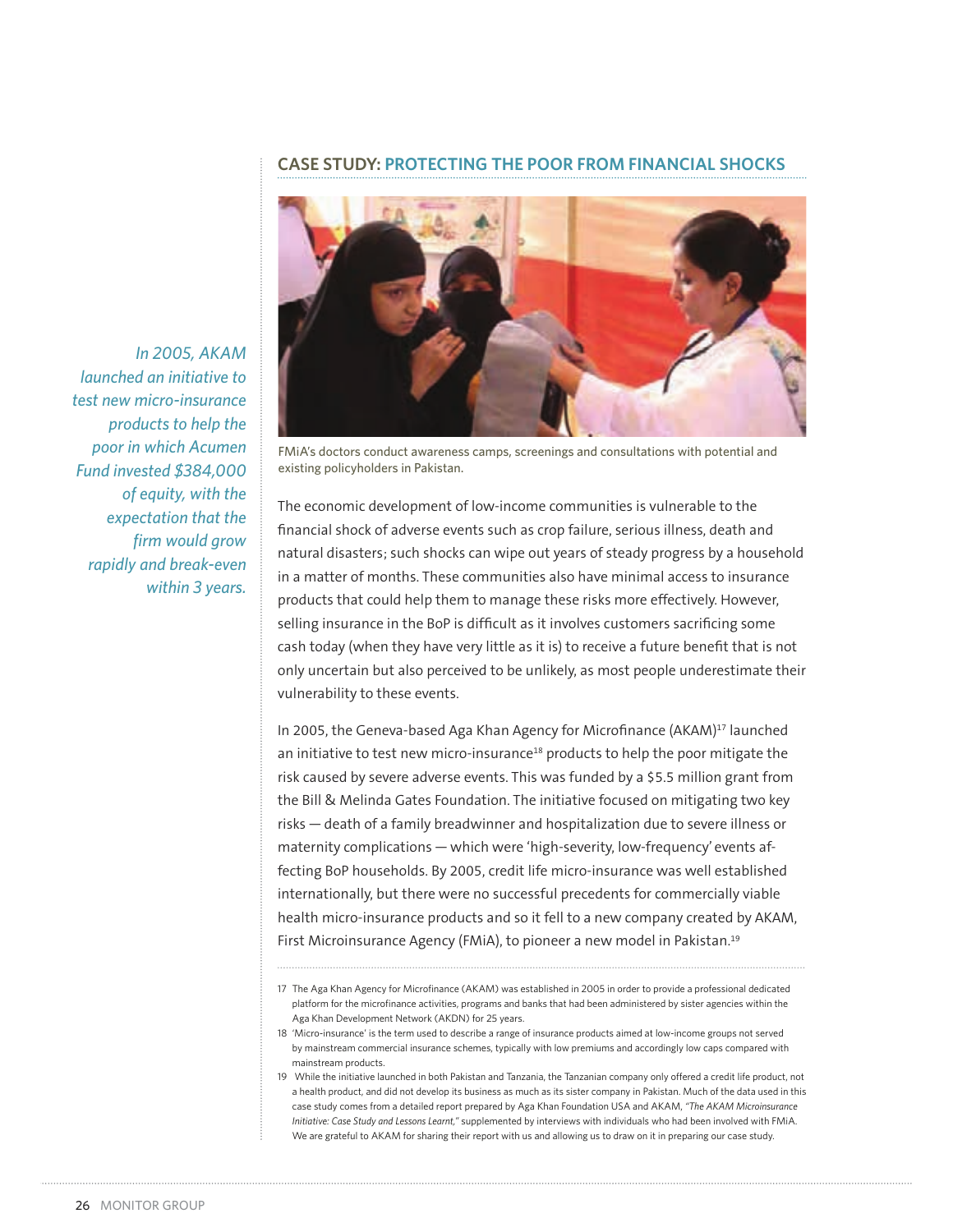#### **CASE STUDY: PROTECTING THE POOR FROM FINANCIAL SHOCKS**



*In 2005, AKAM launched an initiative to test new micro-insurance products to help the poor in which Acumen Fund invested \$384,000 of equity, with the expectation that the firm would grow rapidly and break-even within 3 years.*

FMiA's doctors conduct awareness camps, screenings and consultations with potential and existing policyholders in Pakistan.

The economic development of low-income communities is vulnerable to the financial shock of adverse events such as crop failure, serious illness, death and natural disasters; such shocks can wipe out years of steady progress by a household in a matter of months. These communities also have minimal access to insurance products that could help them to manage these risks more effectively. However, selling insurance in the BoP is difficult as it involves customers sacrificing some cash today (when they have very little as it is) to receive a future benefit that is not only uncertain but also perceived to be unlikely, as most people underestimate their vulnerability to these events.

In 2005, the Geneva-based Aga Khan Agency for Microfinance (AKAM)<sup>17</sup> launched an initiative to test new micro-insurance<sup>18</sup> products to help the poor mitigate the risk caused by severe adverse events. This was funded by a \$5.5 million grant from the Bill & Melinda Gates Foundation. The initiative focused on mitigating two key risks — death of a family breadwinner and hospitalization due to severe illness or maternity complications — which were 'high-severity, low-frequency' events affecting BoP households. By 2005, credit life micro-insurance was well established internationally, but there were no successful precedents for commercially viable health micro-insurance products and so it fell to a new company created by AKAM, First Microinsurance Agency (FMiA), to pioneer a new model in Pakistan.<sup>19</sup>

<sup>17</sup> The Aga Khan Agency for Microfinance (AKAM) was established in 2005 in order to provide a professional dedicated platform for the microfinance activities, programs and banks that had been administered by sister agencies within the Aga Khan Development Network (AKDN) for 25 years.

<sup>18 &#</sup>x27;Micro-insurance' is the term used to describe a range of insurance products aimed at low-income groups not served by mainstream commercial insurance schemes, typically with low premiums and accordingly low caps compared with mainstream products.

<sup>19</sup> While the initiative launched in both Pakistan and Tanzania, the Tanzanian company only offered a credit life product, not a health product, and did not develop its business as much as its sister company in Pakistan. Much of the data used in this case study comes from a detailed report prepared by Aga Khan Foundation USA and AKAM, *"The AKAM Microinsurance Initiative: Case Study and Lessons Learnt,"* supplemented by interviews with individuals who had been involved with FMiA. We are grateful to AKAM for sharing their report with us and allowing us to draw on it in preparing our case study.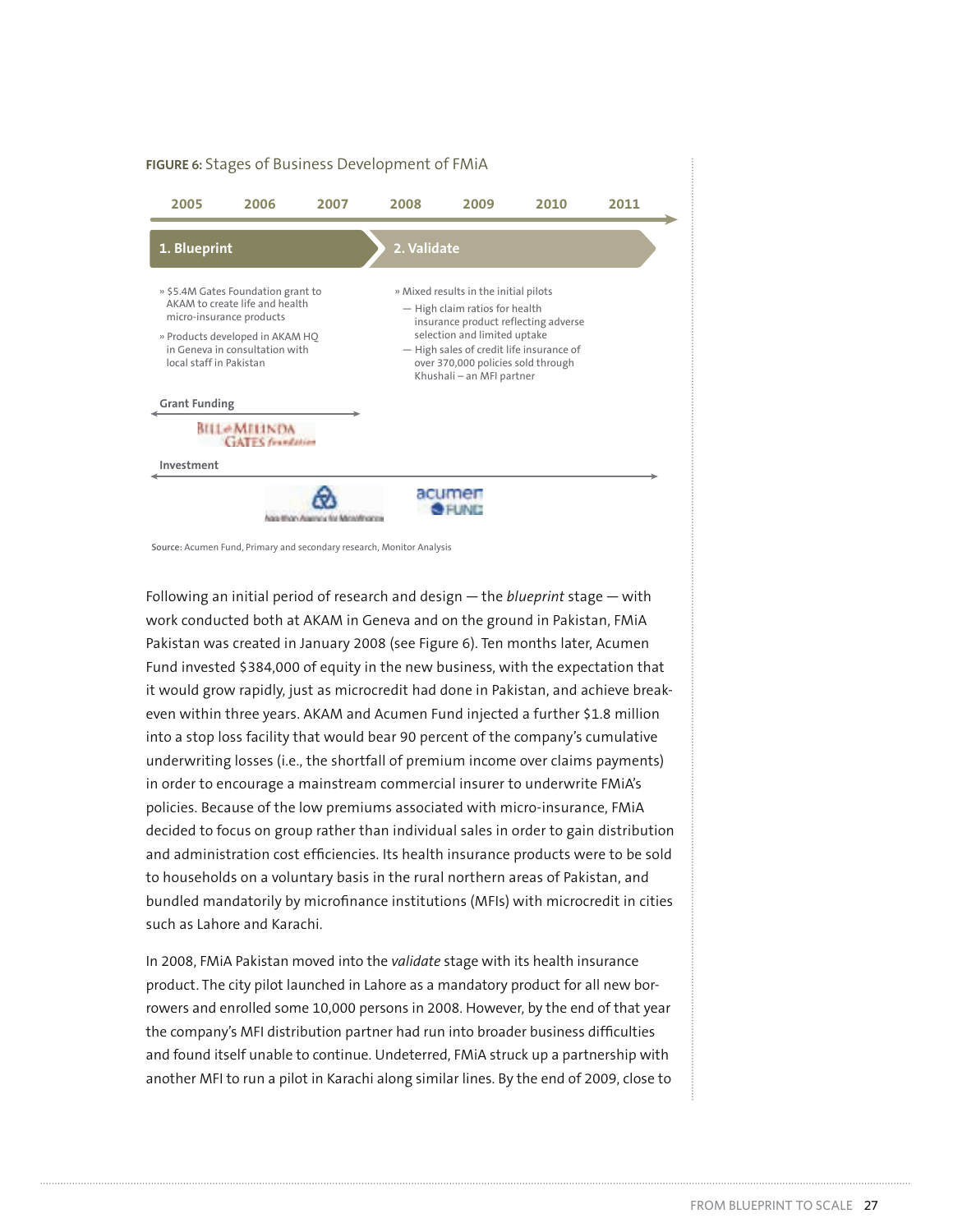

**Source:** Acumen Fund, Primary and secondary research, Monitor Analysis

Following an initial period of research and design — the *blueprint* stage — with work conducted both at AKAM in Geneva and on the ground in Pakistan, FMiA Pakistan was created in January 2008 (see Figure 6). Ten months later, Acumen Fund invested \$384,000 of equity in the new business, with the expectation that it would grow rapidly, just as microcredit had done in Pakistan, and achieve breakeven within three years. AKAM and Acumen Fund injected a further \$1.8 million into a stop loss facility that would bear 90 percent of the company's cumulative underwriting losses (i.e., the shortfall of premium income over claims payments) in order to encourage a mainstream commercial insurer to underwrite FMiA's policies. Because of the low premiums associated with micro-insurance, FMiA decided to focus on group rather than individual sales in order to gain distribution and administration cost efficiencies. Its health insurance products were to be sold to households on a voluntary basis in the rural northern areas of Pakistan, and bundled mandatorily by microfinance institutions (MFIs) with microcredit in cities such as Lahore and Karachi.

In 2008, FMiA Pakistan moved into the *validate* stage with its health insurance product. The city pilot launched in Lahore as a mandatory product for all new borrowers and enrolled some 10,000 persons in 2008. However, by the end of that year the company's MFI distribution partner had run into broader business difficulties and found itself unable to continue. Undeterred, FMiA struck up a partnership with another MFI to run a pilot in Karachi along similar lines. By the end of 2009, close to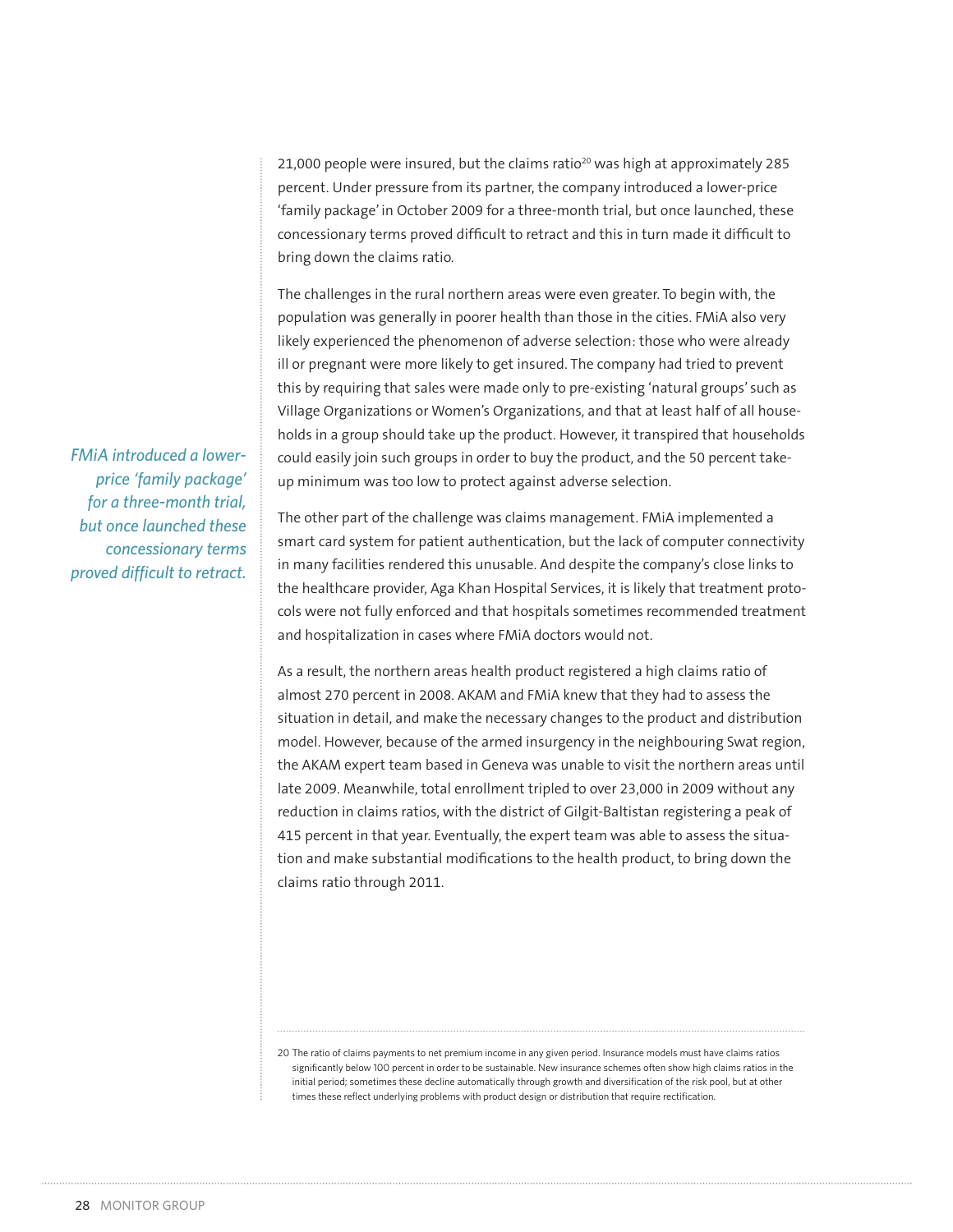21,000 people were insured, but the claims ratio<sup>20</sup> was high at approximately 285 percent. Under pressure from its partner, the company introduced a lower-price 'family package' in October 2009 for a three-month trial, but once launched, these concessionary terms proved difficult to retract and this in turn made it difficult to bring down the claims ratio.

The challenges in the rural northern areas were even greater. To begin with, the population was generally in poorer health than those in the cities. FMiA also very likely experienced the phenomenon of adverse selection: those who were already ill or pregnant were more likely to get insured. The company had tried to prevent this by requiring that sales were made only to pre-existing 'natural groups' such as Village Organizations or Women's Organizations, and that at least half of all households in a group should take up the product. However, it transpired that households could easily join such groups in order to buy the product, and the 50 percent takeup minimum was too low to protect against adverse selection.

*FMiA introduced a lowerprice 'family package' for a three-month trial, but once launched these concessionary terms proved difficult to retract.*

The other part of the challenge was claims management. FMiA implemented a smart card system for patient authentication, but the lack of computer connectivity in many facilities rendered this unusable. And despite the company's close links to the healthcare provider, Aga Khan Hospital Services, it is likely that treatment protocols were not fully enforced and that hospitals sometimes recommended treatment and hospitalization in cases where FMiA doctors would not.

As a result, the northern areas health product registered a high claims ratio of almost 270 percent in 2008. AKAM and FMiA knew that they had to assess the situation in detail, and make the necessary changes to the product and distribution model. However, because of the armed insurgency in the neighbouring Swat region, the AKAM expert team based in Geneva was unable to visit the northern areas until late 2009. Meanwhile, total enrollment tripled to over 23,000 in 2009 without any reduction in claims ratios, with the district of Gilgit-Baltistan registering a peak of 415 percent in that year. Eventually, the expert team was able to assess the situation and make substantial modifications to the health product, to bring down the claims ratio through 2011.

<sup>20</sup> The ratio of claims payments to net premium income in any given period. Insurance models must have claims ratios significantly below 100 percent in order to be sustainable. New insurance schemes often show high claims ratios in the initial period; sometimes these decline automatically through growth and diversification of the risk pool, but at other times these reflect underlying problems with product design or distribution that require rectification.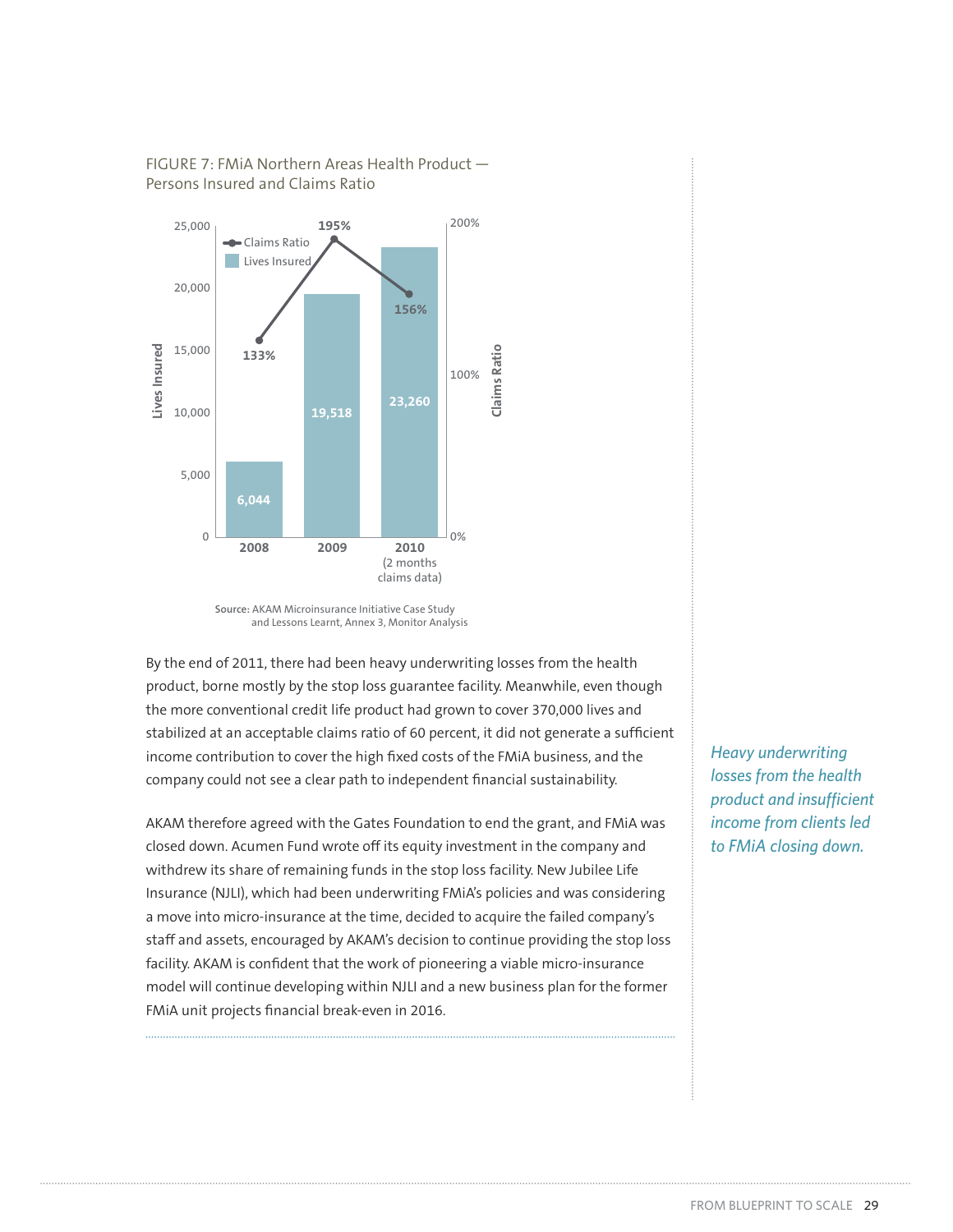

# FIGURE 7: FMiA Northern Areas Health Product — Persons Insured and Claims Ratio

By the end of 2011, there had been heavy underwriting losses from the health product, borne mostly by the stop loss guarantee facility. Meanwhile, even though the more conventional credit life product had grown to cover 370,000 lives and stabilized at an acceptable claims ratio of 60 percent, it did not generate a sufficient income contribution to cover the high fixed costs of the FMiA business, and the company could not see a clear path to independent financial sustainability.

AKAM therefore agreed with the Gates Foundation to end the grant, and FMiA was closed down. Acumen Fund wrote off its equity investment in the company and withdrew its share of remaining funds in the stop loss facility. New Jubilee Life Insurance (NJLI), which had been underwriting FMiA's policies and was considering a move into micro-insurance at the time, decided to acquire the failed company's staff and assets, encouraged by AKAM's decision to continue providing the stop loss facility. AKAM is confident that the work of pioneering a viable micro-insurance model will continue developing within NJLI and a new business plan for the former FMiA unit projects financial break-even in 2016.

*Heavy underwriting losses from the health product and insufficient income from clients led to FMiA closing down.*

**Source:** AKAM Microinsurance Initiative Case Study and Lessons Learnt, Annex 3, Monitor Analysis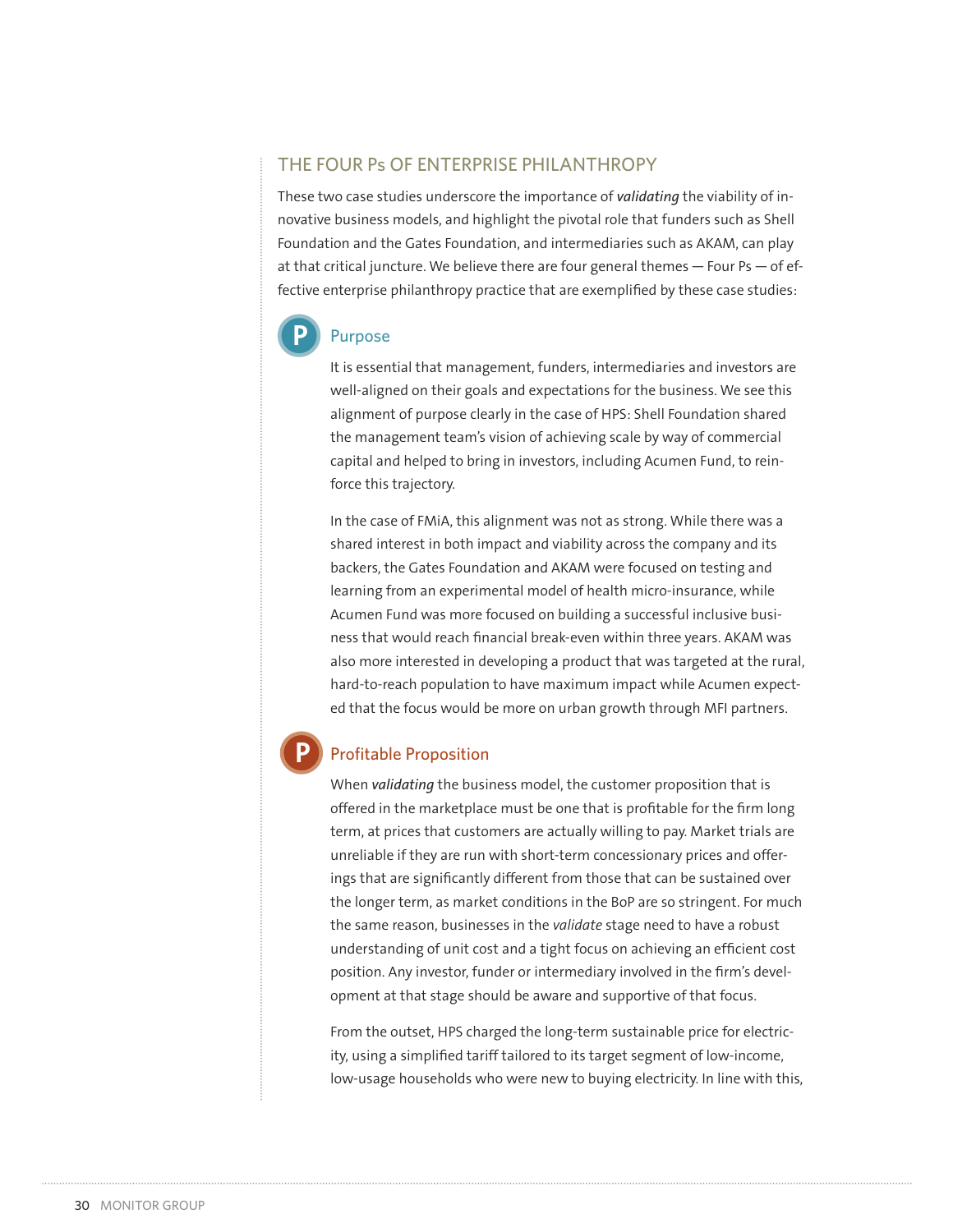## THE FOUR Ps OF ENTERPRISE PHILANTHROPY

These two case studies underscore the importance of *validating* the viability of innovative business models, and highlight the pivotal role that funders such as Shell Foundation and the Gates Foundation, and intermediaries such as AKAM, can play at that critical juncture. We believe there are four general themes  $-$  Four Ps  $-$  of effective enterprise philanthropy practice that are exemplified by these case studies:



#### Purpose

It is essential that management, funders, intermediaries and investors are well-aligned on their goals and expectations for the business. We see this alignment of purpose clearly in the case of HPS: Shell Foundation shared the management team's vision of achieving scale by way of commercial capital and helped to bring in investors, including Acumen Fund, to reinforce this trajectory.

In the case of FMiA, this alignment was not as strong. While there was a shared interest in both impact and viability across the company and its backers, the Gates Foundation and AKAM were focused on testing and learning from an experimental model of health micro-insurance, while Acumen Fund was more focused on building a successful inclusive business that would reach financial break-even within three years. AKAM was also more interested in developing a product that was targeted at the rural, hard-to-reach population to have maximum impact while Acumen expected that the focus would be more on urban growth through MFI partners.

# **P**

## Profitable Proposition

When *validating* the business model, the customer proposition that is offered in the marketplace must be one that is profitable for the firm long term, at prices that customers are actually willing to pay. Market trials are unreliable if they are run with short-term concessionary prices and offerings that are significantly different from those that can be sustained over the longer term, as market conditions in the BoP are so stringent. For much the same reason, businesses in the *validate* stage need to have a robust understanding of unit cost and a tight focus on achieving an efficient cost position. Any investor, funder or intermediary involved in the firm's development at that stage should be aware and supportive of that focus.

From the outset, HPS charged the long-term sustainable price for electricity, using a simplified tariff tailored to its target segment of low-income, low-usage households who were new to buying electricity. In line with this,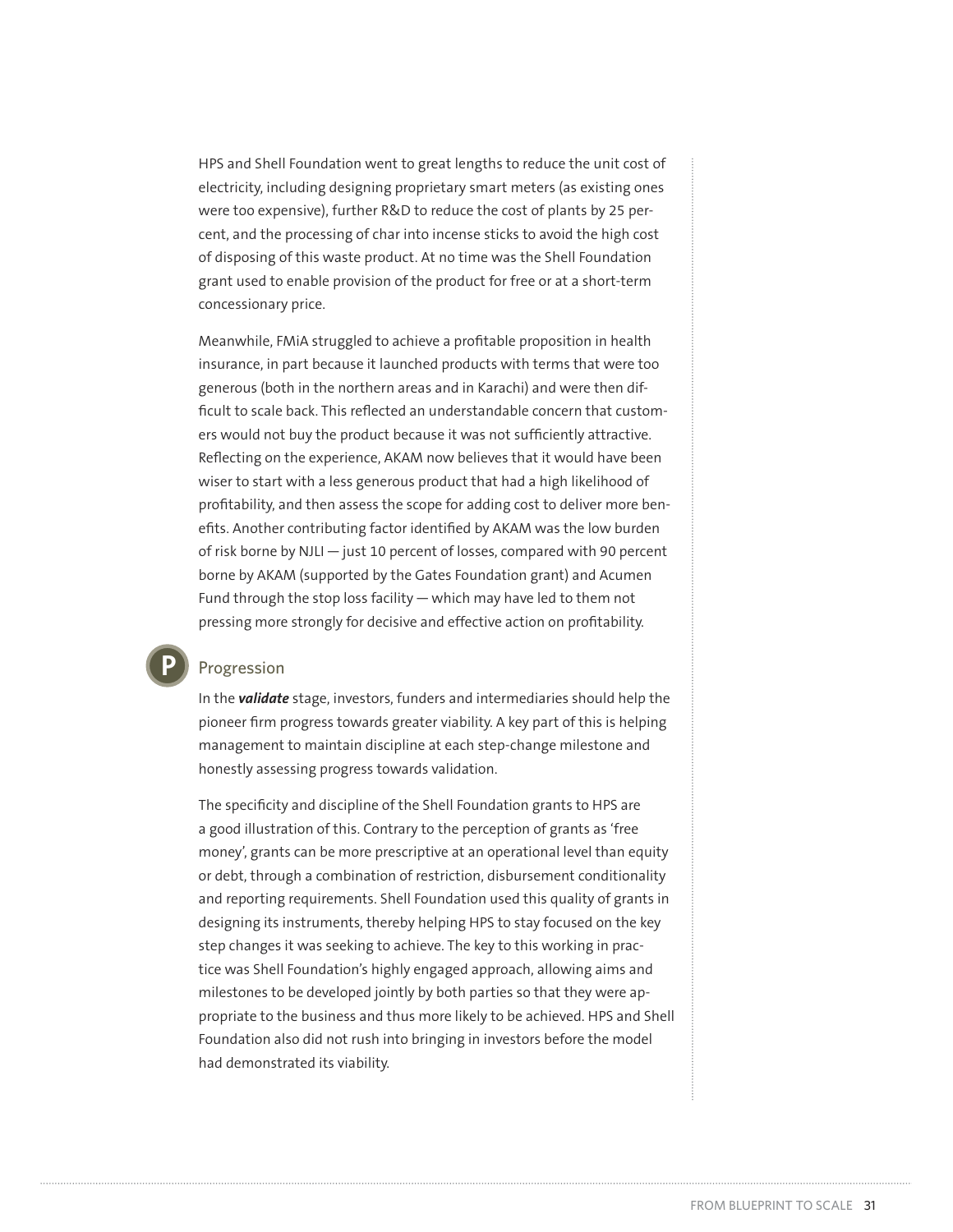HPS and Shell Foundation went to great lengths to reduce the unit cost of electricity, including designing proprietary smart meters (as existing ones were too expensive), further R&D to reduce the cost of plants by 25 percent, and the processing of char into incense sticks to avoid the high cost of disposing of this waste product. At no time was the Shell Foundation grant used to enable provision of the product for free or at a short-term concessionary price.

Meanwhile, FMiA struggled to achieve a profitable proposition in health insurance, in part because it launched products with terms that were too generous (both in the northern areas and in Karachi) and were then difficult to scale back. This reflected an understandable concern that customers would not buy the product because it was not sufficiently attractive. Reflecting on the experience, AKAM now believes that it would have been wiser to start with a less generous product that had a high likelihood of profitability, and then assess the scope for adding cost to deliver more benefits. Another contributing factor identified by AKAM was the low burden of risk borne by NJLI — just 10 percent of losses, compared with 90 percent borne by AKAM (supported by the Gates Foundation grant) and Acumen Fund through the stop loss facility — which may have led to them not pressing more strongly for decisive and effective action on profitability.

#### Progression

**P**

In the *validate* stage, investors, funders and intermediaries should help the pioneer firm progress towards greater viability. A key part of this is helping management to maintain discipline at each step-change milestone and honestly assessing progress towards validation.

The specificity and discipline of the Shell Foundation grants to HPS are a good illustration of this. Contrary to the perception of grants as 'free money', grants can be more prescriptive at an operational level than equity or debt, through a combination of restriction, disbursement conditionality and reporting requirements. Shell Foundation used this quality of grants in designing its instruments, thereby helping HPS to stay focused on the key step changes it was seeking to achieve. The key to this working in practice was Shell Foundation's highly engaged approach, allowing aims and milestones to be developed jointly by both parties so that they were appropriate to the business and thus more likely to be achieved. HPS and Shell Foundation also did not rush into bringing in investors before the model had demonstrated its viability.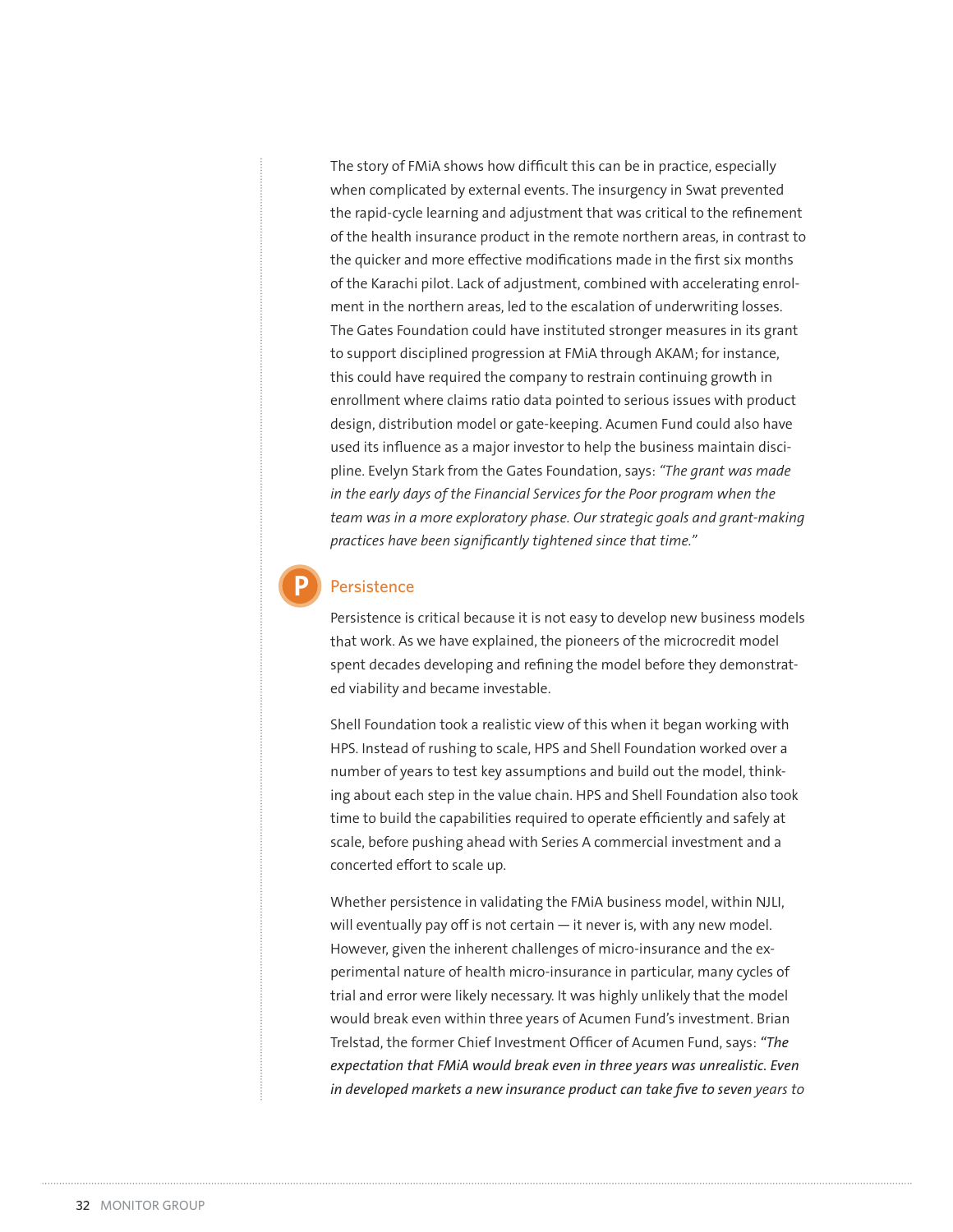The story of FMiA shows how difficult this can be in practice, especially when complicated by external events. The insurgency in Swat prevented the rapid-cycle learning and adjustment that was critical to the refinement of the health insurance product in the remote northern areas, in contrast to the quicker and more effective modifications made in the first six months of the Karachi pilot. Lack of adjustment, combined with accelerating enrolment in the northern areas, led to the escalation of underwriting losses. The Gates Foundation could have instituted stronger measures in its grant to support disciplined progression at FMiA through AKAM; for instance, this could have required the company to restrain continuing growth in enrollment where claims ratio data pointed to serious issues with product design, distribution model or gate-keeping. Acumen Fund could also have used its influence as a major investor to help the business maintain discipline. Evelyn Stark from the Gates Foundation, says: *"The grant was made in the early days of the Financial Services for the Poor program when the team was in a more exploratory phase. Our strategic goals and grant-making practices have been significantly tightened since that time."*

#### **Persistence**

**P**

Persistence is critical because it is not easy to develop new business models that work. As we have explained, the pioneers of the microcredit model spent decades developing and refining the model before they demonstrated viability and became investable.

Shell Foundation took a realistic view of this when it began working with HPS. Instead of rushing to scale, HPS and Shell Foundation worked over a number of years to test key assumptions and build out the model, thinking about each step in the value chain. HPS and Shell Foundation also took time to build the capabilities required to operate efficiently and safely at scale, before pushing ahead with Series A commercial investment and a concerted effort to scale up.

Whether persistence in validating the FMiA business model, within NJLI, will eventually pay off is not certain — it never is, with any new model. However, given the inherent challenges of micro-insurance and the experimental nature of health micro-insurance in particular, many cycles of trial and error were likely necessary. It was highly unlikely that the model would break even within three years of Acumen Fund's investment. Brian Trelstad, the former Chief Investment Officer of Acumen Fund, says: *"The expectation that FMiA would break even in three years was unrealistic. Even in developed markets a new insurance product can take five to seven years to*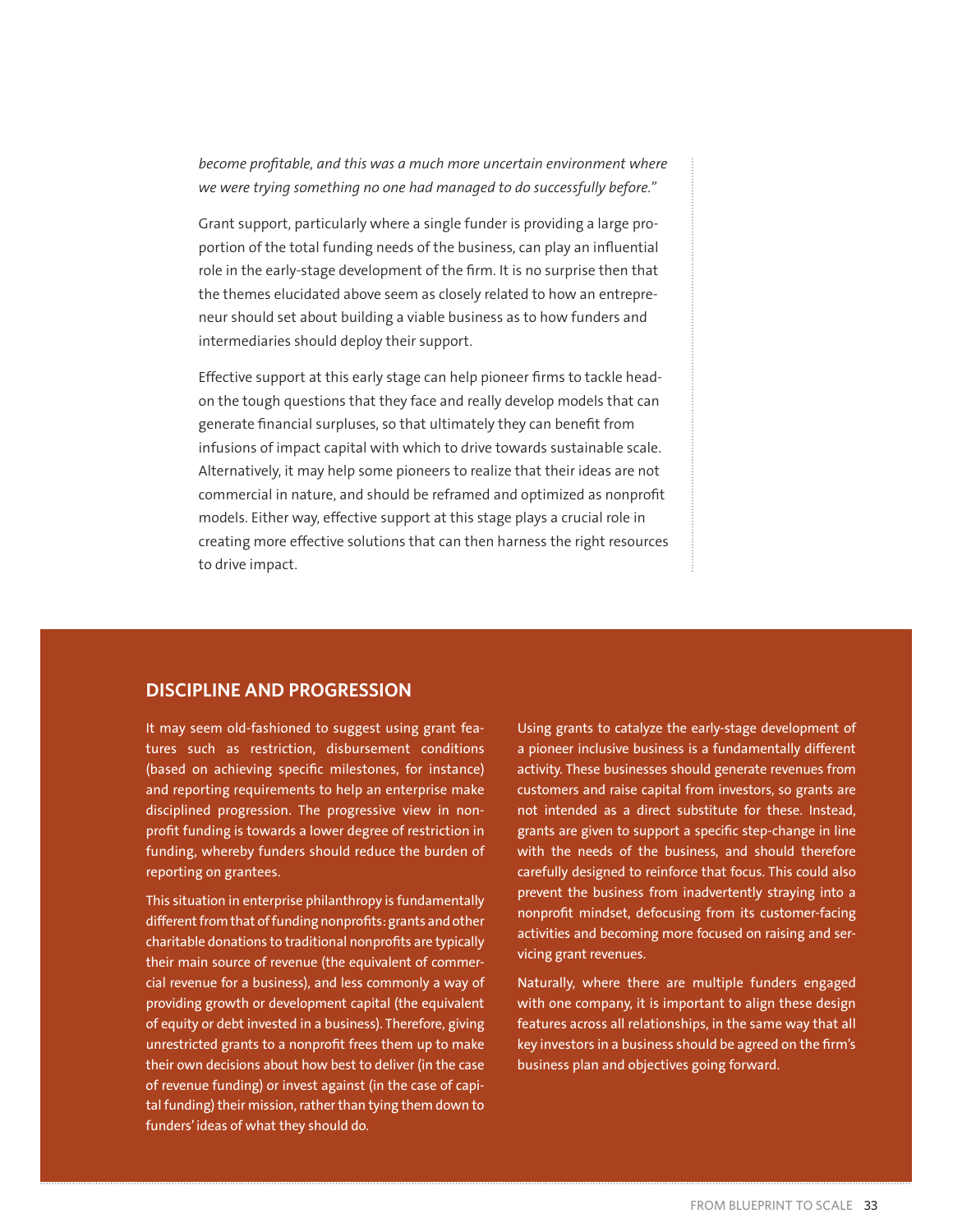*become profitable, and this was a much more uncertain environment where we were trying something no one had managed to do successfully before."*

Grant support, particularly where a single funder is providing a large proportion of the total funding needs of the business, can play an influential role in the early-stage development of the firm. It is no surprise then that the themes elucidated above seem as closely related to how an entrepreneur should set about building a viable business as to how funders and intermediaries should deploy their support.

Effective support at this early stage can help pioneer firms to tackle headon the tough questions that they face and really develop models that can generate financial surpluses, so that ultimately they can benefit from infusions of impact capital with which to drive towards sustainable scale. Alternatively, it may help some pioneers to realize that their ideas are not commercial in nature, and should be reframed and optimized as nonprofit models. Either way, effective support at this stage plays a crucial role in creating more effective solutions that can then harness the right resources to drive impact.

#### **DISCIPLINE AND PROGRESSION**

It may seem old-fashioned to suggest using grant features such as restriction, disbursement conditions (based on achieving specific milestones, for instance) and reporting requirements to help an enterprise make disciplined progression. The progressive view in nonprofit funding is towards a lower degree of restriction in funding, whereby funders should reduce the burden of reporting on grantees.

This situation in enterprise philanthropy is fundamentally different from that of funding nonprofits: grants and other charitable donations to traditional nonprofits are typically their main source of revenue (the equivalent of commercial revenue for a business), and less commonly a way of providing growth or development capital (the equivalent of equity or debt invested in a business). Therefore, giving unrestricted grants to a nonprofit frees them up to make their own decisions about how best to deliver (in the case of revenue funding) or invest against (in the case of capital funding) their mission, rather than tying them down to funders' ideas of what they should do.

Using grants to catalyze the early-stage development of a pioneer inclusive business is a fundamentally different activity. These businesses should generate revenues from customers and raise capital from investors, so grants are not intended as a direct substitute for these. Instead, grants are given to support a specific step-change in line with the needs of the business, and should therefore carefully designed to reinforce that focus. This could also prevent the business from inadvertently straying into a nonprofit mindset, defocusing from its customer-facing activities and becoming more focused on raising and servicing grant revenues.

Naturally, where there are multiple funders engaged with one company, it is important to align these design features across all relationships, in the same way that all key investors in a business should be agreed on the firm's business plan and objectives going forward.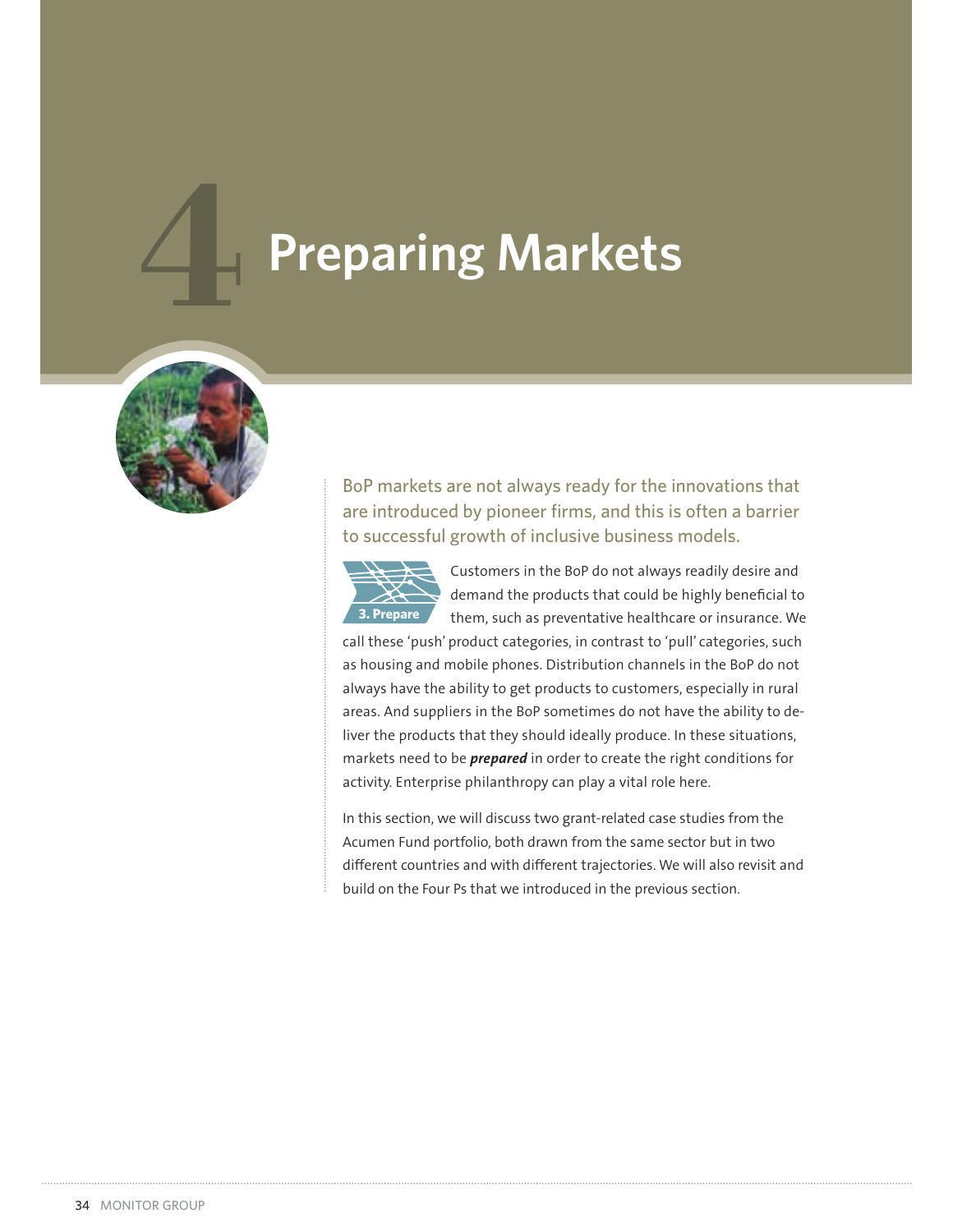# **Preparing Markets**



BoP markets are not always ready for the innovations that are introduced by pioneer firms, and this is often a barrier to successful growth of inclusive business models.



Customers in the BoP do not always readily desire and demand the products that could be highly beneficial to them, such as preventative healthcare or insurance. We

call these 'push' product categories, in contrast to 'pull' categories, such as housing and mobile phones. Distribution channels in the BoP do not always have the ability to get products to customers, especially in rural areas. And suppliers in the BoP sometimes do not have the ability to deliver the products that they should ideally produce. In these situations, markets need to be *prepared* in order to create the right conditions for activity. Enterprise philanthropy can play a vital role here.

In this section, we will discuss two grant-related case studies from the Acumen Fund portfolio, both drawn from the same sector but in two different countries and with different trajectories. We will also revisit and build on the Four Ps that we introduced in the previous section.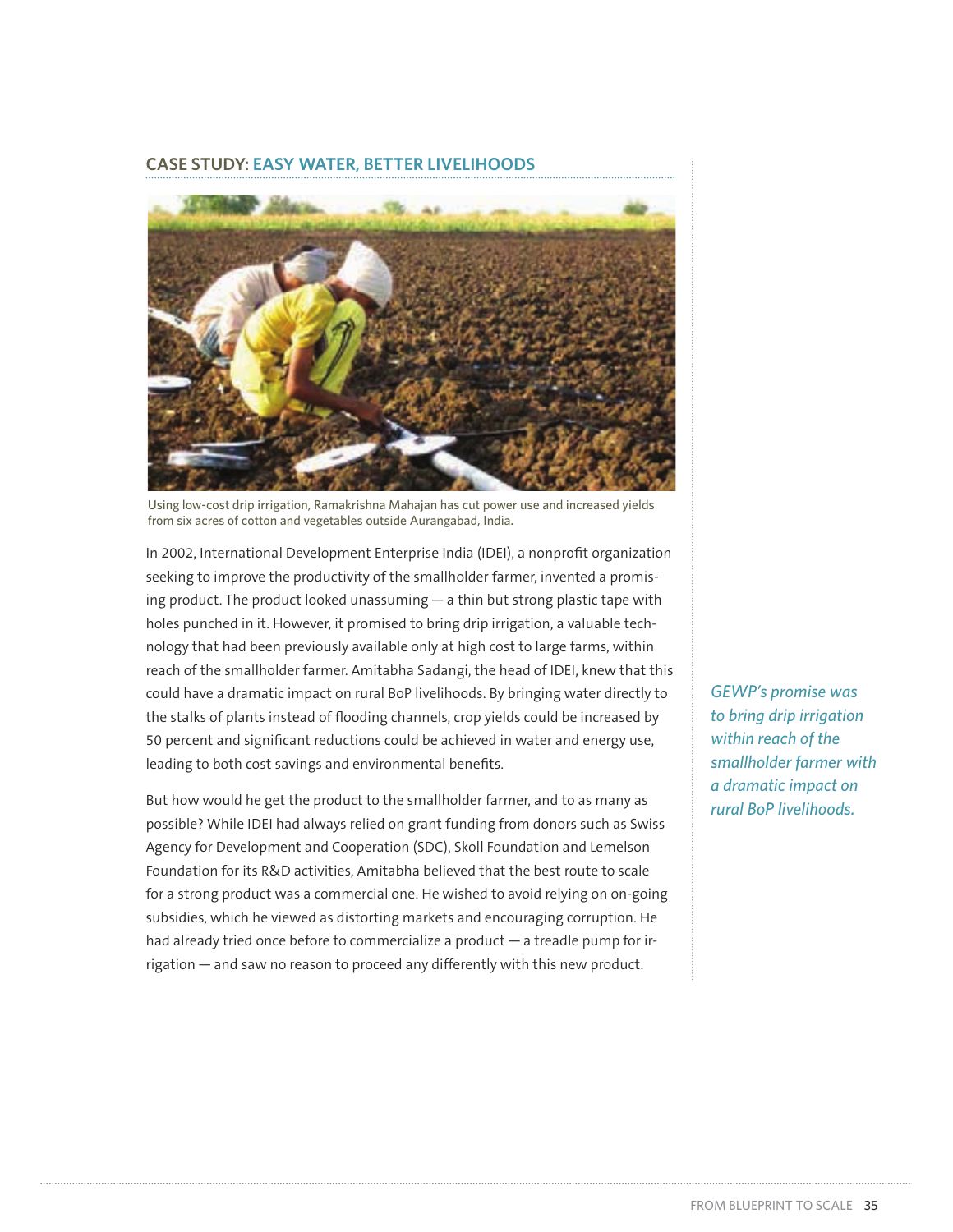#### **CASE STUDY: EASY WATER, BETTER LIVELIHOODS**



Using low-cost drip irrigation, Ramakrishna Mahajan has cut power use and increased yields from six acres of cotton and vegetables outside Aurangabad, India.

In 2002, International Development Enterprise India (IDEI), a nonprofit organization seeking to improve the productivity of the smallholder farmer, invented a promising product. The product looked unassuming — a thin but strong plastic tape with holes punched in it. However, it promised to bring drip irrigation, a valuable technology that had been previously available only at high cost to large farms, within reach of the smallholder farmer. Amitabha Sadangi, the head of IDEI, knew that this could have a dramatic impact on rural BoP livelihoods. By bringing water directly to the stalks of plants instead of flooding channels, crop yields could be increased by 50 percent and significant reductions could be achieved in water and energy use, leading to both cost savings and environmental benefits.

But how would he get the product to the smallholder farmer, and to as many as possible? While IDEI had always relied on grant funding from donors such as Swiss Agency for Development and Cooperation (SDC), Skoll Foundation and Lemelson Foundation for its R&D activities, Amitabha believed that the best route to scale for a strong product was a commercial one. He wished to avoid relying on on-going subsidies, which he viewed as distorting markets and encouraging corruption. He had already tried once before to commercialize a product — a treadle pump for irrigation — and saw no reason to proceed any differently with this new product.

*GEWP's promise was to bring drip irrigation within reach of the smallholder farmer with a dramatic impact on rural BoP livelihoods.*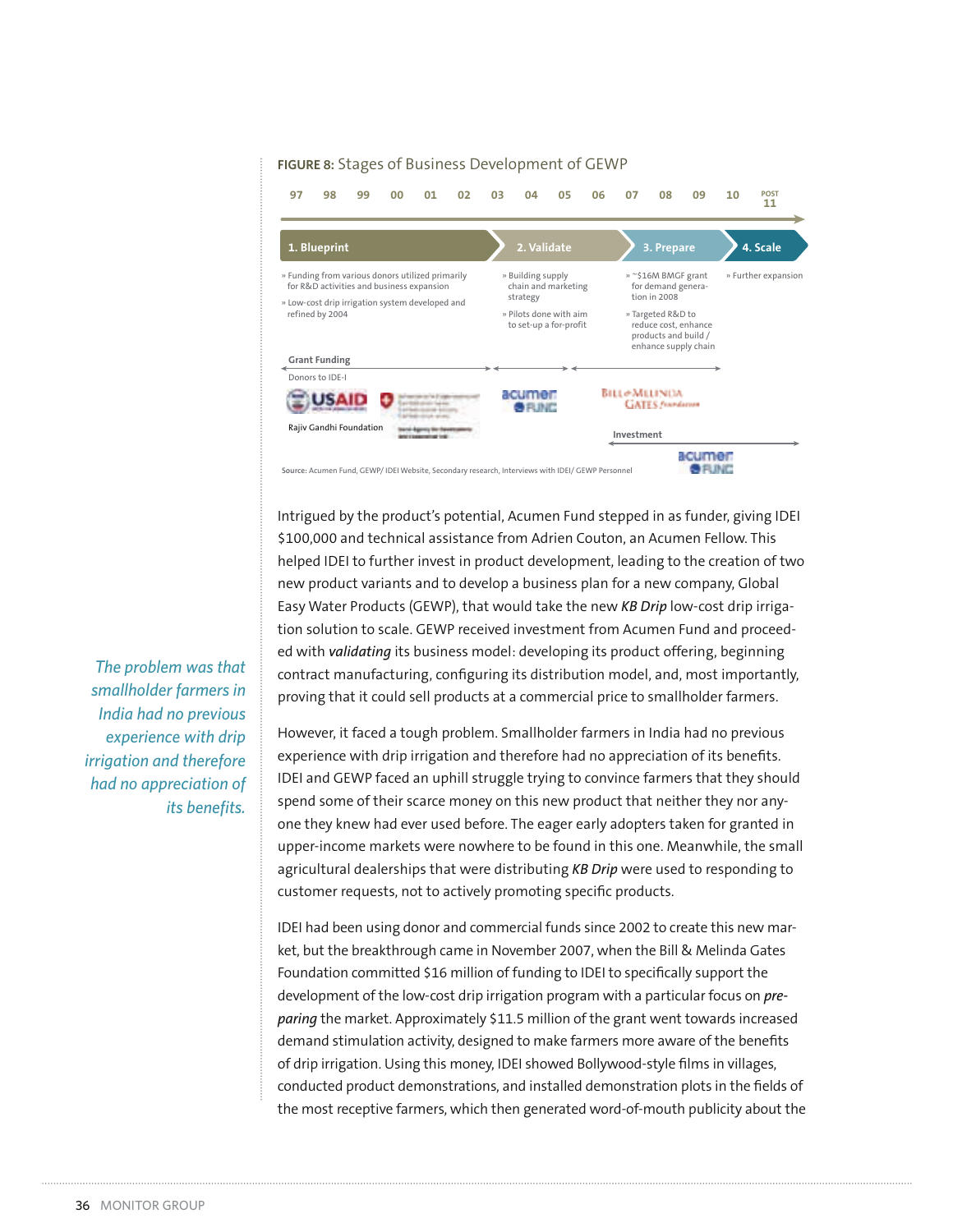#### **FIGURE 8:** Stages of Business Development of GEWP



Intrigued by the product's potential, Acumen Fund stepped in as funder, giving IDEI \$100,000 and technical assistance from Adrien Couton, an Acumen Fellow. This helped IDEI to further invest in product development, leading to the creation of two new product variants and to develop a business plan for a new company, Global Easy Water Products (GEWP), that would take the new *KB Drip* low-cost drip irrigation solution to scale. GEWP received investment from Acumen Fund and proceeded with *validating* its business model: developing its product offering, beginning contract manufacturing, configuring its distribution model, and, most importantly, proving that it could sell products at a commercial price to smallholder farmers.

However, it faced a tough problem. Smallholder farmers in India had no previous experience with drip irrigation and therefore had no appreciation of its benefits. IDEI and GEWP faced an uphill struggle trying to convince farmers that they should spend some of their scarce money on this new product that neither they nor anyone they knew had ever used before. The eager early adopters taken for granted in upper-income markets were nowhere to be found in this one. Meanwhile, the small agricultural dealerships that were distributing *KB Drip* were used to responding to customer requests, not to actively promoting specific products.

IDEI had been using donor and commercial funds since 2002 to create this new market, but the breakthrough came in November 2007, when the Bill & Melinda Gates Foundation committed \$16 million of funding to IDEI to specifically support the development of the low-cost drip irrigation program with a particular focus on *preparing* the market. Approximately \$11.5 million of the grant went towards increased demand stimulation activity, designed to make farmers more aware of the benefits of drip irrigation. Using this money, IDEI showed Bollywood-style films in villages, conducted product demonstrations, and installed demonstration plots in the fields of the most receptive farmers, which then generated word-of-mouth publicity about the

*The problem was that smallholder farmers in India had no previous experience with drip irrigation and therefore had no appreciation of its benefits.*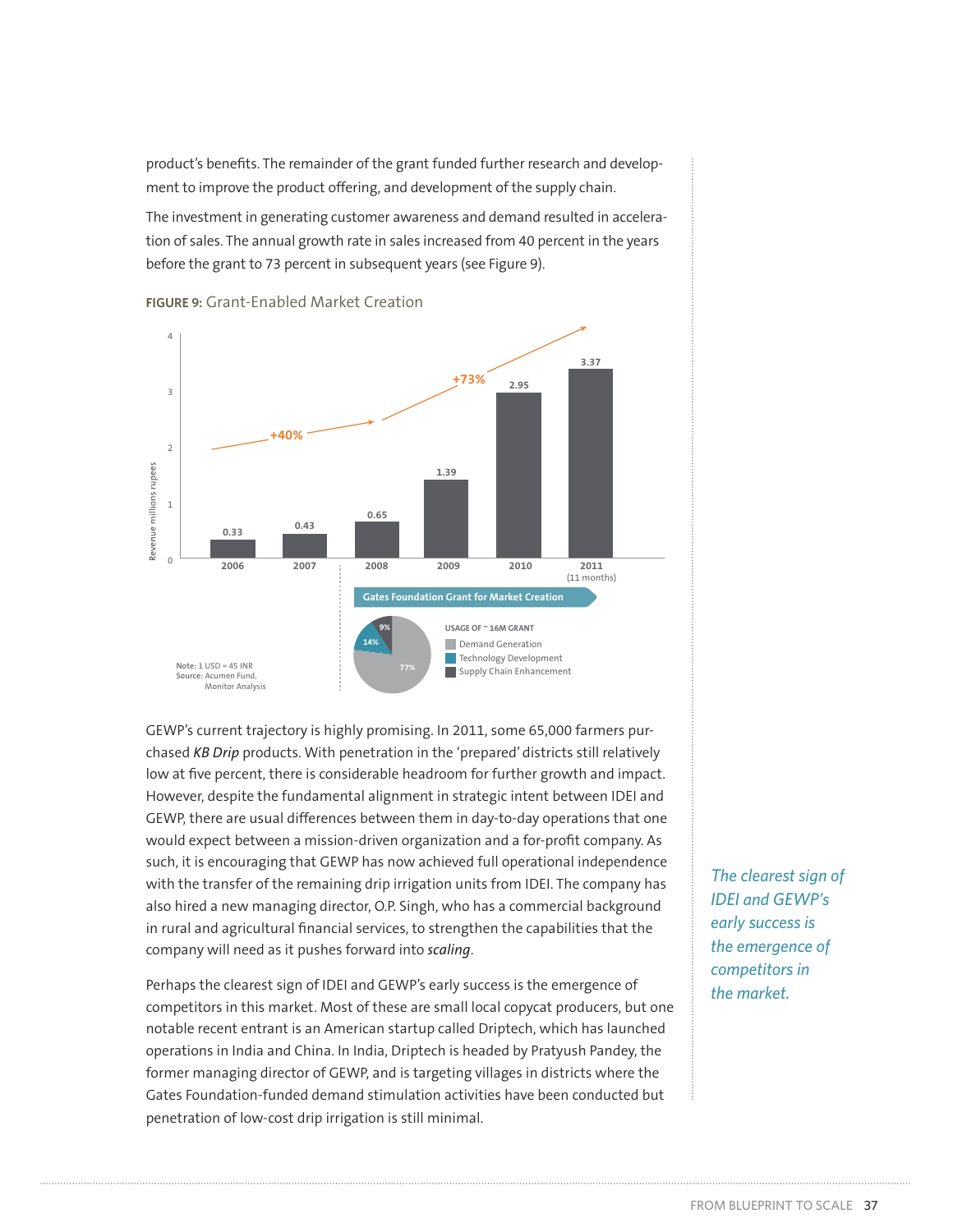product's benefits. The remainder of the grant funded further research and development to improve the product offering, and development of the supply chain.

The investment in generating customer awareness and demand resulted in acceleration of sales. The annual growth rate in sales increased from 40 percent in the years before the grant to 73 percent in subsequent years (see Figure 9).



**FIGURE 9:** Grant-Enabled Market Creation

GEWP's current trajectory is highly promising. In 2011, some 65,000 farmers purchased *KB Drip* products. With penetration in the 'prepared' districts still relatively low at five percent, there is considerable headroom for further growth and impact. However, despite the fundamental alignment in strategic intent between IDEI and GEWP, there are usual differences between them in day-to-day operations that one would expect between a mission-driven organization and a for-profit company. As such, it is encouraging that GEWP has now achieved full operational independence with the transfer of the remaining drip irrigation units from IDEI. The company has also hired a new managing director, O.P. Singh, who has a commercial background in rural and agricultural financial services, to strengthen the capabilities that the company will need as it pushes forward into *scaling*.

Perhaps the clearest sign of IDEI and GEWP's early success is the emergence of competitors in this market. Most of these are small local copycat producers, but one notable recent entrant is an American startup called Driptech, which has launched operations in India and China. In India, Driptech is headed by Pratyush Pandey, the former managing director of GEWP, and is targeting villages in districts where the Gates Foundation-funded demand stimulation activities have been conducted but penetration of low-cost drip irrigation is still minimal.

*The clearest sign of IDEI and GEWP's early success is the emergence of competitors in the market.*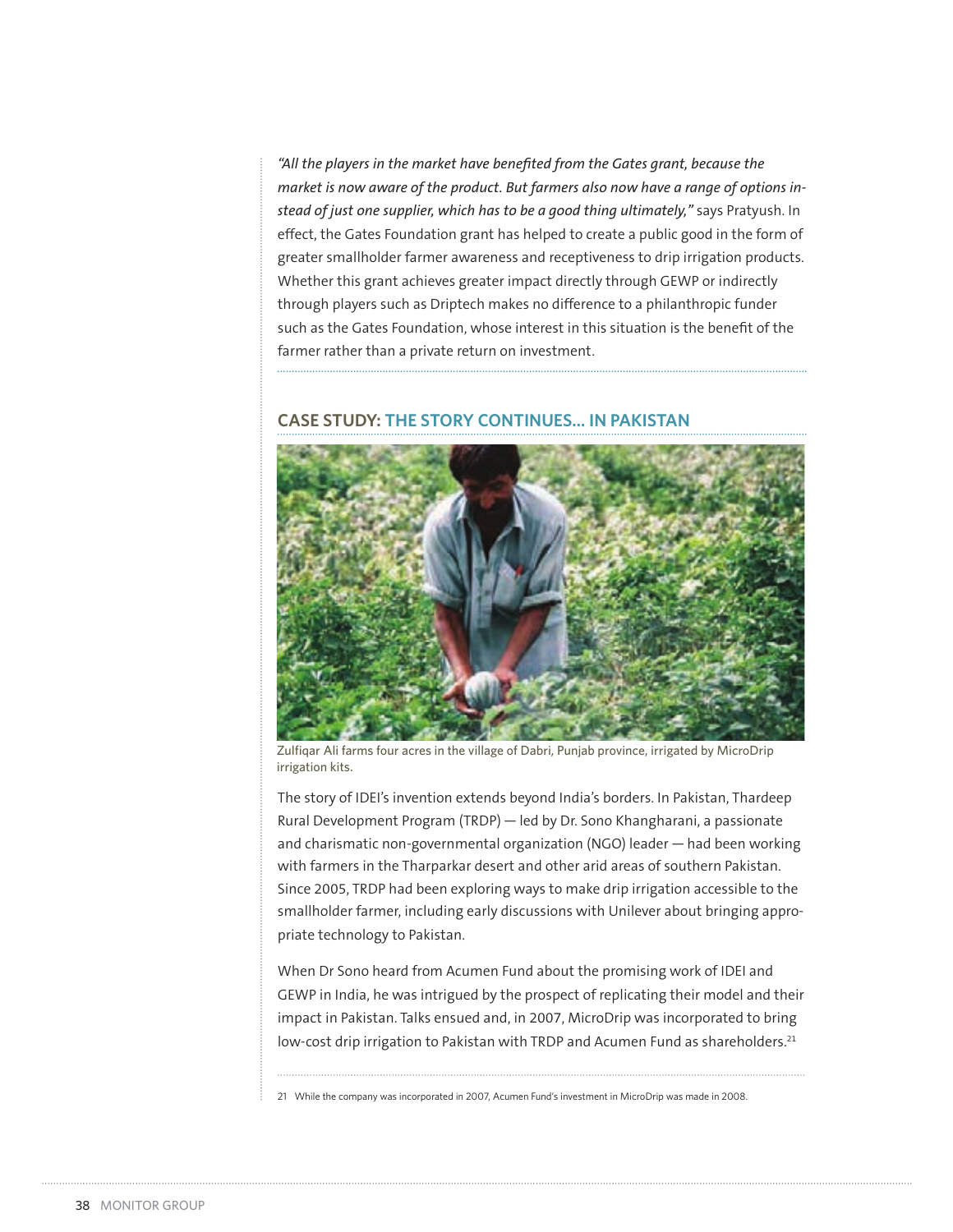*"All the players in the market have benefited from the Gates grant, because the market is now aware of the product. But farmers also now have a range of options instead of just one supplier, which has to be a good thing ultimately,"* says Pratyush. In effect, the Gates Foundation grant has helped to create a public good in the form of greater smallholder farmer awareness and receptiveness to drip irrigation products. Whether this grant achieves greater impact directly through GEWP or indirectly through players such as Driptech makes no difference to a philanthropic funder such as the Gates Foundation, whose interest in this situation is the benefit of the farmer rather than a private return on investment.

#### **CASE STUDY: THE STORY CONTINUES... IN PAKISTAN**



Zulfiqar Ali farms four acres in the village of Dabri, Punjab province, irrigated by MicroDrip irrigation kits.

The story of IDEI's invention extends beyond India's borders. In Pakistan, Thardeep Rural Development Program (TRDP) — led by Dr. Sono Khangharani, a passionate and charismatic non-governmental organization (NGO) leader — had been working with farmers in the Tharparkar desert and other arid areas of southern Pakistan. Since 2005, TRDP had been exploring ways to make drip irrigation accessible to the smallholder farmer, including early discussions with Unilever about bringing appropriate technology to Pakistan.

When Dr Sono heard from Acumen Fund about the promising work of IDEI and GEWP in India, he was intrigued by the prospect of replicating their model and their impact in Pakistan. Talks ensued and, in 2007, MicroDrip was incorporated to bring low-cost drip irrigation to Pakistan with TRDP and Acumen Fund as shareholders.<sup>21</sup>

21 While the company was incorporated in 2007, Acumen Fund's investment in MicroDrip was made in 2008.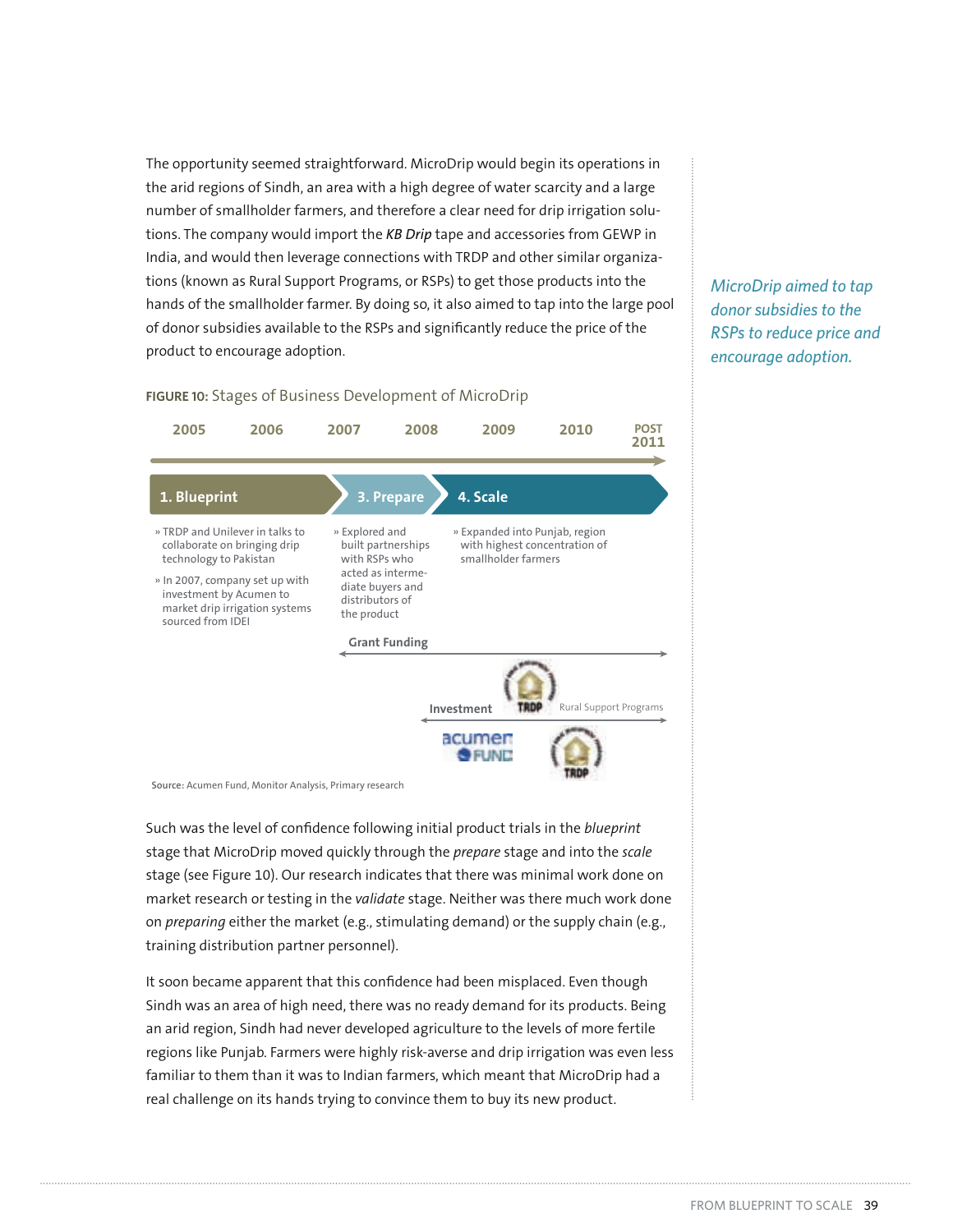The opportunity seemed straightforward. MicroDrip would begin its operations in the arid regions of Sindh, an area with a high degree of water scarcity and a large number of smallholder farmers, and therefore a clear need for drip irrigation solutions. The company would import the *KB Drip* tape and accessories from GEWP in India, and would then leverage connections with TRDP and other similar organizations (known as Rural Support Programs, or RSPs) to get those products into the hands of the smallholder farmer. By doing so, it also aimed to tap into the large pool of donor subsidies available to the RSPs and significantly reduce the price of the product to encourage adoption.

*MicroDrip aimed to tap donor subsidies to the RSPs to reduce price and encourage adoption.* 

#### **FIGURE 10:** Stages of Business Development of MicroDrip



**Source:** Acumen Fund, Monitor Analysis, Primary research

Such was the level of confidence following initial product trials in the *blueprint* stage that MicroDrip moved quickly through the *prepare* stage and into the *scale* stage (see Figure 10). Our research indicates that there was minimal work done on market research or testing in the *validate* stage. Neither was there much work done on *preparing* either the market (e.g., stimulating demand) or the supply chain (e.g., training distribution partner personnel).

It soon became apparent that this confidence had been misplaced. Even though Sindh was an area of high need, there was no ready demand for its products. Being an arid region, Sindh had never developed agriculture to the levels of more fertile regions like Punjab. Farmers were highly risk-averse and drip irrigation was even less familiar to them than it was to Indian farmers, which meant that MicroDrip had a real challenge on its hands trying to convince them to buy its new product.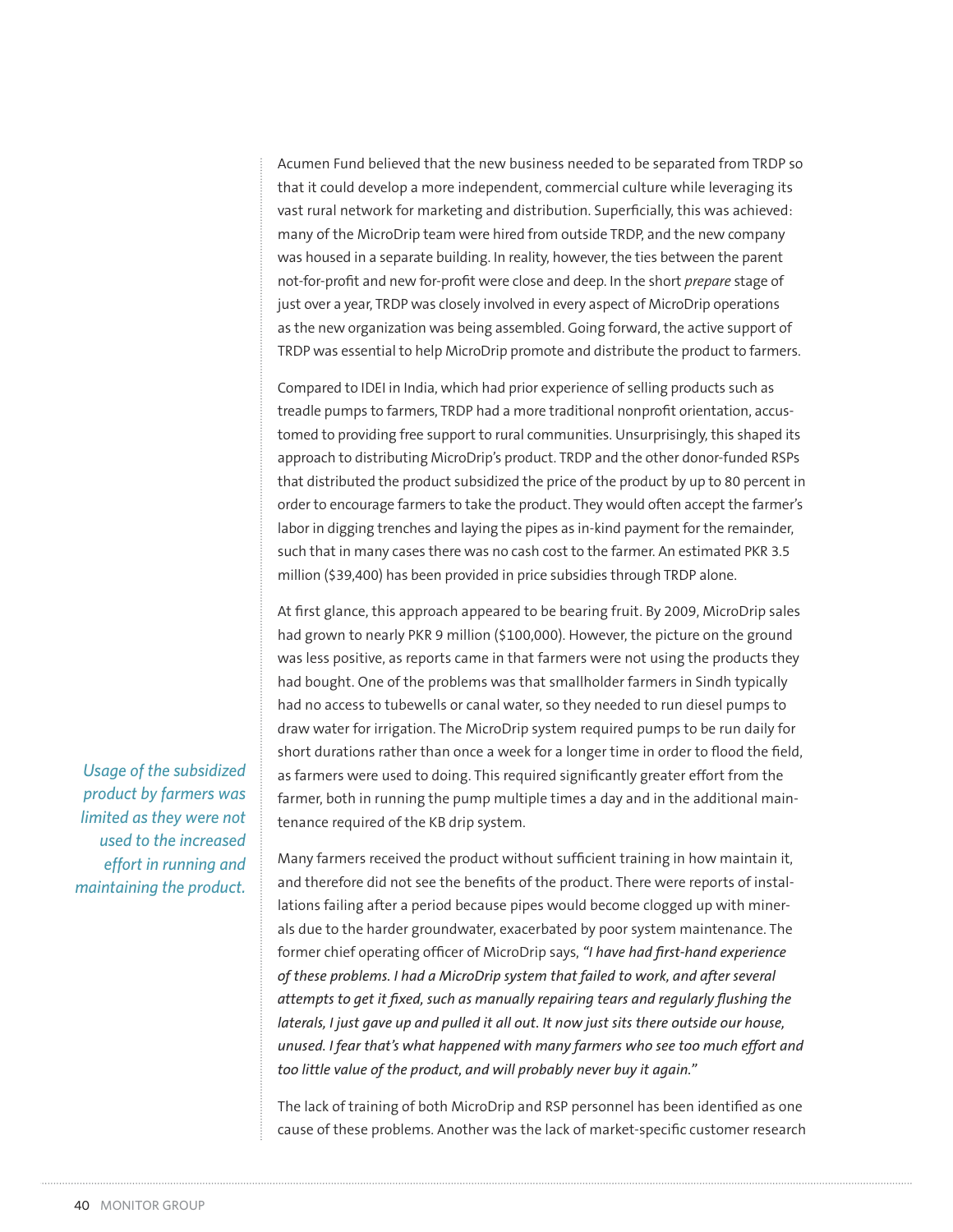Acumen Fund believed that the new business needed to be separated from TRDP so that it could develop a more independent, commercial culture while leveraging its vast rural network for marketing and distribution. Superficially, this was achieved: many of the MicroDrip team were hired from outside TRDP, and the new company was housed in a separate building. In reality, however, the ties between the parent not-for-profit and new for-profit were close and deep. In the short *prepare* stage of just over a year, TRDP was closely involved in every aspect of MicroDrip operations as the new organization was being assembled. Going forward, the active support of TRDP was essential to help MicroDrip promote and distribute the product to farmers.

Compared to IDEI in India, which had prior experience of selling products such as treadle pumps to farmers, TRDP had a more traditional nonprofit orientation, accustomed to providing free support to rural communities. Unsurprisingly, this shaped its approach to distributing MicroDrip's product. TRDP and the other donor-funded RSPs that distributed the product subsidized the price of the product by up to 80 percent in order to encourage farmers to take the product. They would often accept the farmer's labor in digging trenches and laying the pipes as in-kind payment for the remainder, such that in many cases there was no cash cost to the farmer. An estimated PKR 3.5 million (\$39,400) has been provided in price subsidies through TRDP alone.

At first glance, this approach appeared to be bearing fruit. By 2009, MicroDrip sales had grown to nearly PKR 9 million (\$100,000). However, the picture on the ground was less positive, as reports came in that farmers were not using the products they had bought. One of the problems was that smallholder farmers in Sindh typically had no access to tubewells or canal water, so they needed to run diesel pumps to draw water for irrigation. The MicroDrip system required pumps to be run daily for short durations rather than once a week for a longer time in order to flood the field, as farmers were used to doing. This required significantly greater effort from the farmer, both in running the pump multiple times a day and in the additional maintenance required of the KB drip system.

Many farmers received the product without sufficient training in how maintain it, and therefore did not see the benefits of the product. There were reports of installations failing after a period because pipes would become clogged up with minerals due to the harder groundwater, exacerbated by poor system maintenance. The former chief operating officer of MicroDrip says, *"I have had first-hand experience of these problems. I had a MicroDrip system that failed to work, and after several attempts to get it fixed, such as manually repairing tears and regularly flushing the laterals, I just gave up and pulled it all out. It now just sits there outside our house, unused. I fear that's what happened with many farmers who see too much effort and too little value of the product, and will probably never buy it again."*

The lack of training of both MicroDrip and RSP personnel has been identified as one cause of these problems. Another was the lack of market-specific customer research

*Usage of the subsidized product by farmers was limited as they were not used to the increased effort in running and maintaining the product.*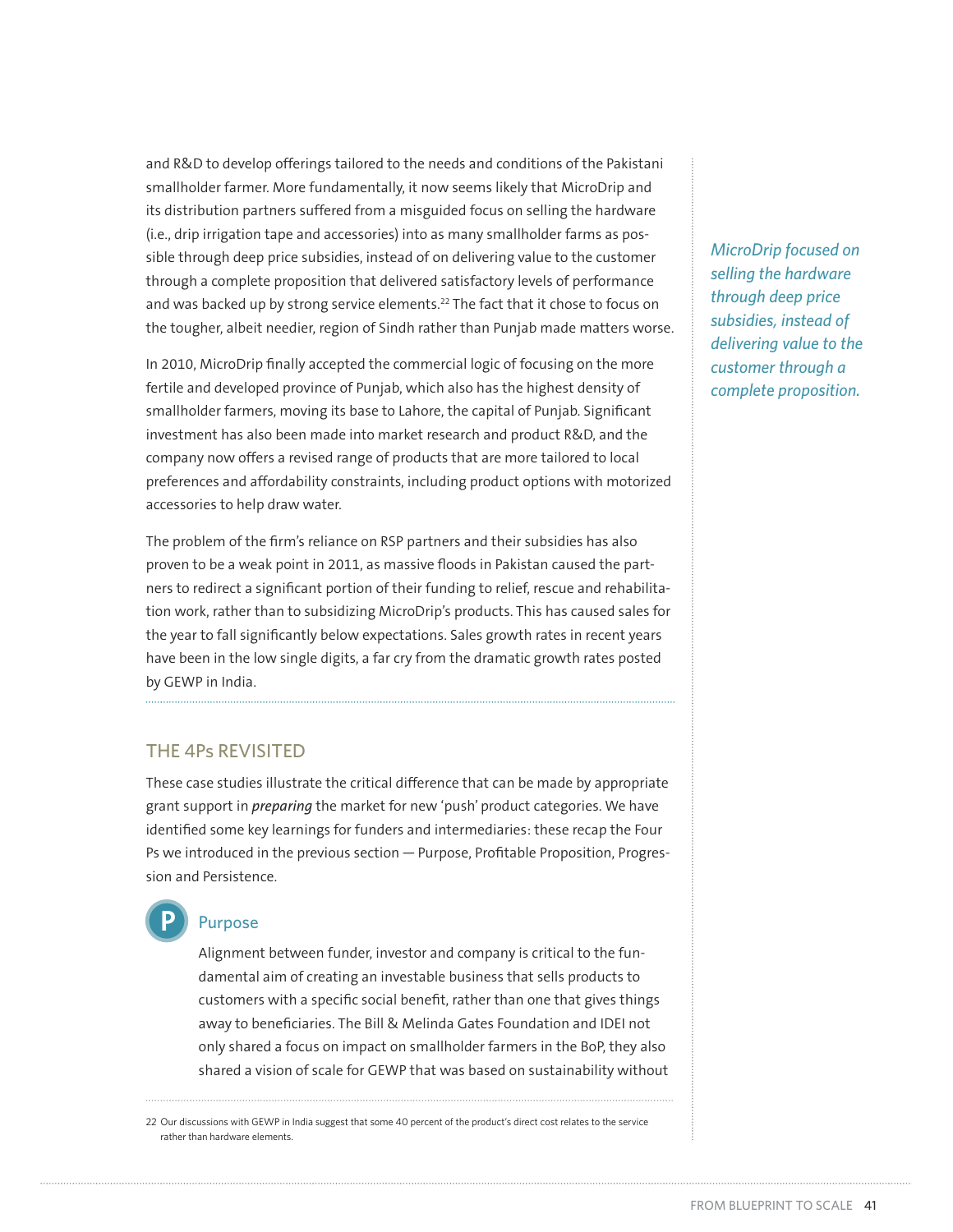and R&D to develop offerings tailored to the needs and conditions of the Pakistani smallholder farmer. More fundamentally, it now seems likely that MicroDrip and its distribution partners suffered from a misguided focus on selling the hardware (i.e., drip irrigation tape and accessories) into as many smallholder farms as possible through deep price subsidies, instead of on delivering value to the customer through a complete proposition that delivered satisfactory levels of performance and was backed up by strong service elements.<sup>22</sup> The fact that it chose to focus on the tougher, albeit needier, region of Sindh rather than Punjab made matters worse.

In 2010, MicroDrip finally accepted the commercial logic of focusing on the more fertile and developed province of Punjab, which also has the highest density of smallholder farmers, moving its base to Lahore, the capital of Punjab. Significant investment has also been made into market research and product R&D, and the company now offers a revised range of products that are more tailored to local preferences and affordability constraints, including product options with motorized accessories to help draw water.

The problem of the firm's reliance on RSP partners and their subsidies has also proven to be a weak point in 2011, as massive floods in Pakistan caused the partners to redirect a significant portion of their funding to relief, rescue and rehabilitation work, rather than to subsidizing MicroDrip's products. This has caused sales for the year to fall significantly below expectations. Sales growth rates in recent years have been in the low single digits, a far cry from the dramatic growth rates posted by GEWP in India.

# THE 4Ps REVISITED

These case studies illustrate the critical difference that can be made by appropriate grant support in *preparing* the market for new 'push' product categories. We have identified some key learnings for funders and intermediaries: these recap the Four Ps we introduced in the previous section — Purpose, Profitable Proposition, Progression and Persistence.

#### Purpose **P**

Alignment between funder, investor and company is critical to the fundamental aim of creating an investable business that sells products to customers with a specific social benefit, rather than one that gives things away to beneficiaries. The Bill & Melinda Gates Foundation and IDEI not only shared a focus on impact on smallholder farmers in the BoP, they also shared a vision of scale for GEWP that was based on sustainability without

22 Our discussions with GEWP in India suggest that some 40 percent of the product's direct cost relates to the service rather than hardware elements.

*MicroDrip focused on selling the hardware through deep price subsidies, instead of delivering value to the customer through a complete proposition.*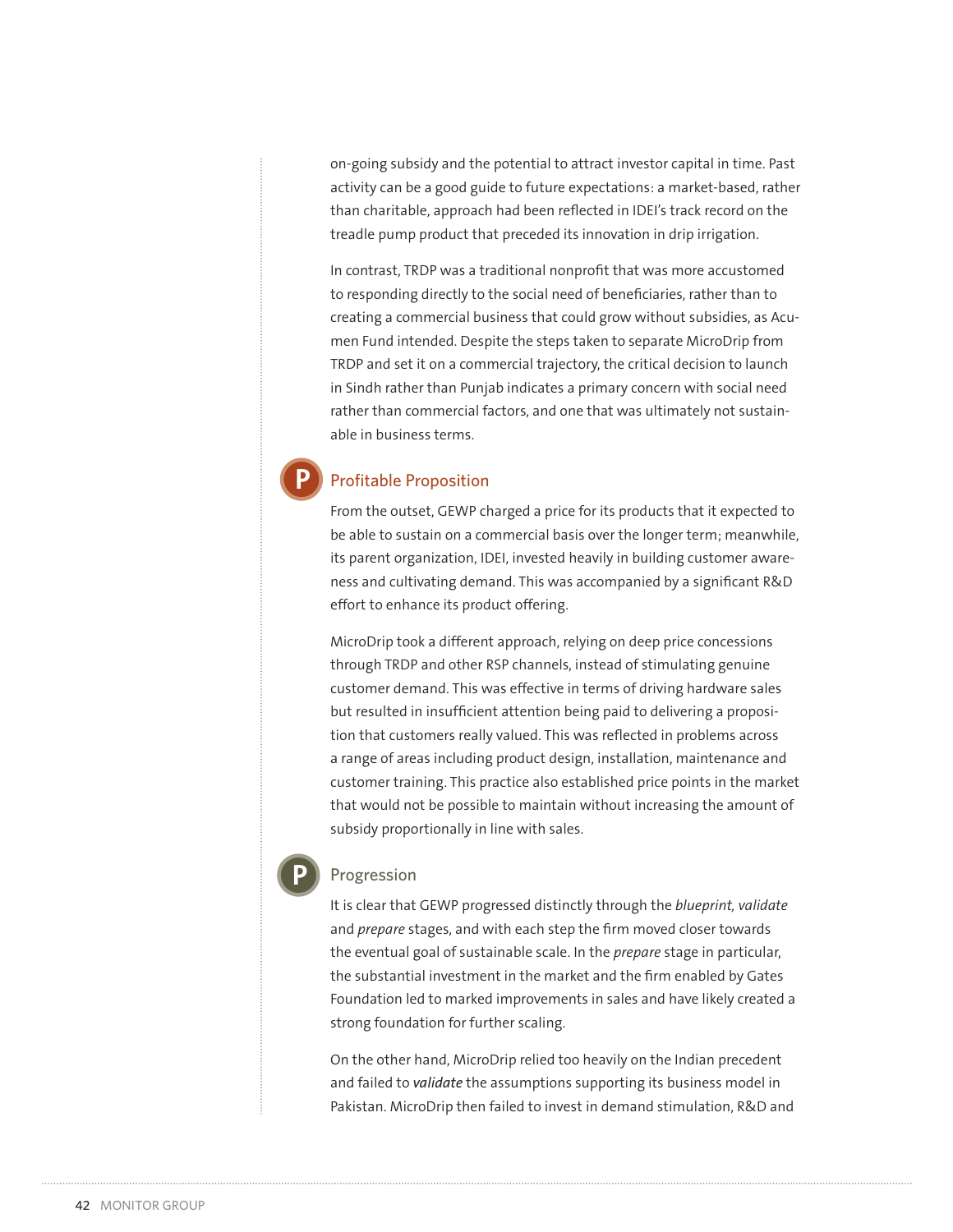on-going subsidy and the potential to attract investor capital in time. Past activity can be a good guide to future expectations: a market-based, rather than charitable, approach had been reflected in IDEI's track record on the treadle pump product that preceded its innovation in drip irrigation.

In contrast, TRDP was a traditional nonprofit that was more accustomed to responding directly to the social need of beneficiaries, rather than to creating a commercial business that could grow without subsidies, as Acumen Fund intended. Despite the steps taken to separate MicroDrip from TRDP and set it on a commercial trajectory, the critical decision to launch in Sindh rather than Punjab indicates a primary concern with social need rather than commercial factors, and one that was ultimately not sustainable in business terms.

## Profitable Proposition

**P**

From the outset, GEWP charged a price for its products that it expected to be able to sustain on a commercial basis over the longer term; meanwhile, its parent organization, IDEI, invested heavily in building customer awareness and cultivating demand. This was accompanied by a significant R&D effort to enhance its product offering.

MicroDrip took a different approach, relying on deep price concessions through TRDP and other RSP channels, instead of stimulating genuine customer demand. This was effective in terms of driving hardware sales but resulted in insufficient attention being paid to delivering a proposition that customers really valued. This was reflected in problems across a range of areas including product design, installation, maintenance and customer training. This practice also established price points in the market that would not be possible to maintain without increasing the amount of subsidy proportionally in line with sales.

#### Progression

**P**

It is clear that GEWP progressed distinctly through the *blueprint, validate*  and *prepare* stages, and with each step the firm moved closer towards the eventual goal of sustainable scale. In the *prepare* stage in particular, the substantial investment in the market and the firm enabled by Gates Foundation led to marked improvements in sales and have likely created a strong foundation for further scaling.

On the other hand, MicroDrip relied too heavily on the Indian precedent and failed to *validate* the assumptions supporting its business model in Pakistan. MicroDrip then failed to invest in demand stimulation, R&D and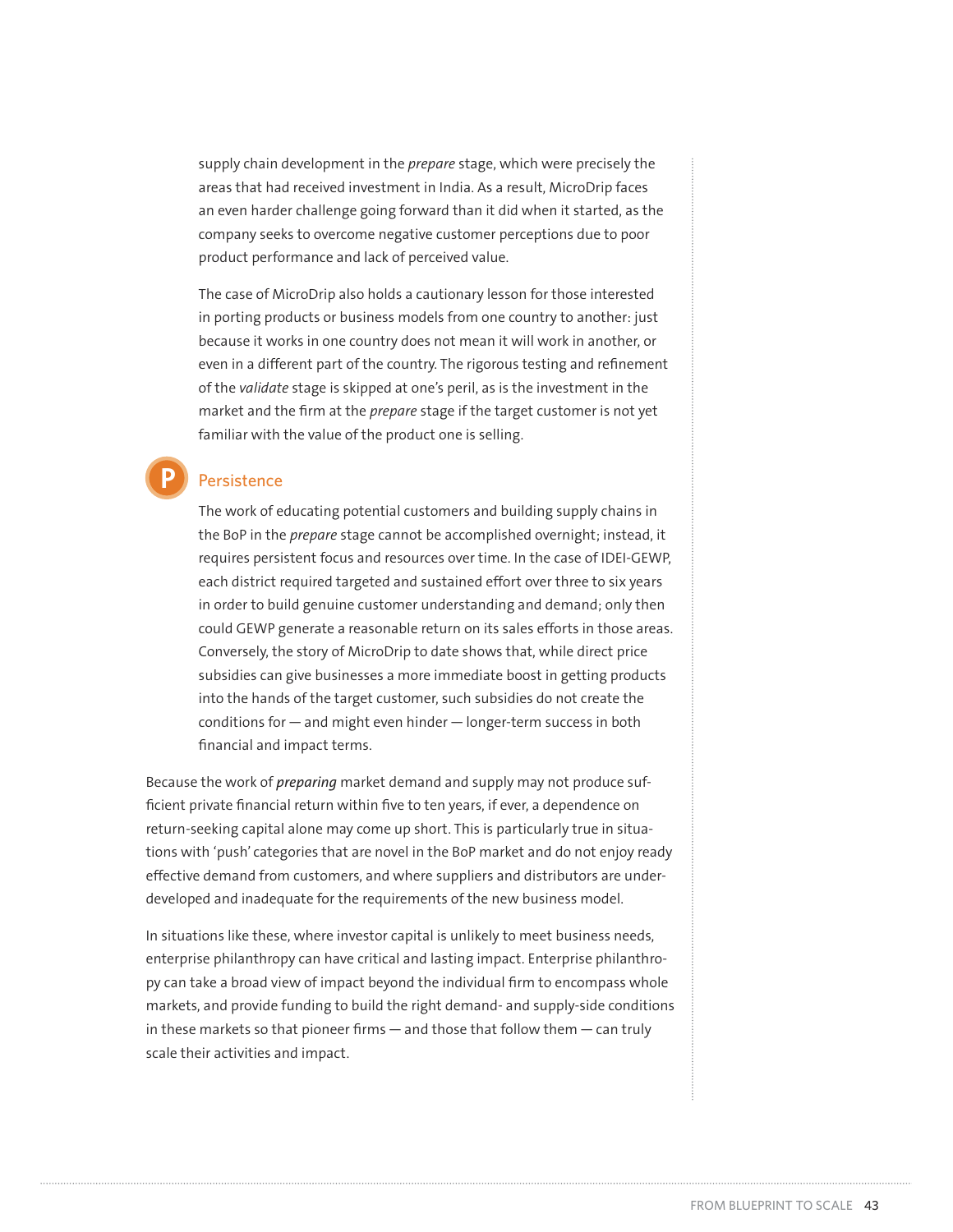supply chain development in the *prepare* stage, which were precisely the areas that had received investment in India. As a result, MicroDrip faces an even harder challenge going forward than it did when it started, as the company seeks to overcome negative customer perceptions due to poor product performance and lack of perceived value.

The case of MicroDrip also holds a cautionary lesson for those interested in porting products or business models from one country to another: just because it works in one country does not mean it will work in another, or even in a different part of the country. The rigorous testing and refinement of the *validate* stage is skipped at one's peril, as is the investment in the market and the firm at the *prepare* stage if the target customer is not yet familiar with the value of the product one is selling.

## Persistence

**P**

The work of educating potential customers and building supply chains in the BoP in the *prepare* stage cannot be accomplished overnight; instead, it requires persistent focus and resources over time. In the case of IDEI-GEWP, each district required targeted and sustained effort over three to six years in order to build genuine customer understanding and demand; only then could GEWP generate a reasonable return on its sales efforts in those areas. Conversely, the story of MicroDrip to date shows that, while direct price subsidies can give businesses a more immediate boost in getting products into the hands of the target customer, such subsidies do not create the conditions for — and might even hinder — longer-term success in both financial and impact terms.

Because the work of *preparing* market demand and supply may not produce sufficient private financial return within five to ten years, if ever, a dependence on return-seeking capital alone may come up short. This is particularly true in situations with 'push' categories that are novel in the BoP market and do not enjoy ready effective demand from customers, and where suppliers and distributors are underdeveloped and inadequate for the requirements of the new business model.

In situations like these, where investor capital is unlikely to meet business needs, enterprise philanthropy can have critical and lasting impact. Enterprise philanthropy can take a broad view of impact beyond the individual firm to encompass whole markets, and provide funding to build the right demand- and supply-side conditions in these markets so that pioneer firms — and those that follow them — can truly scale their activities and impact.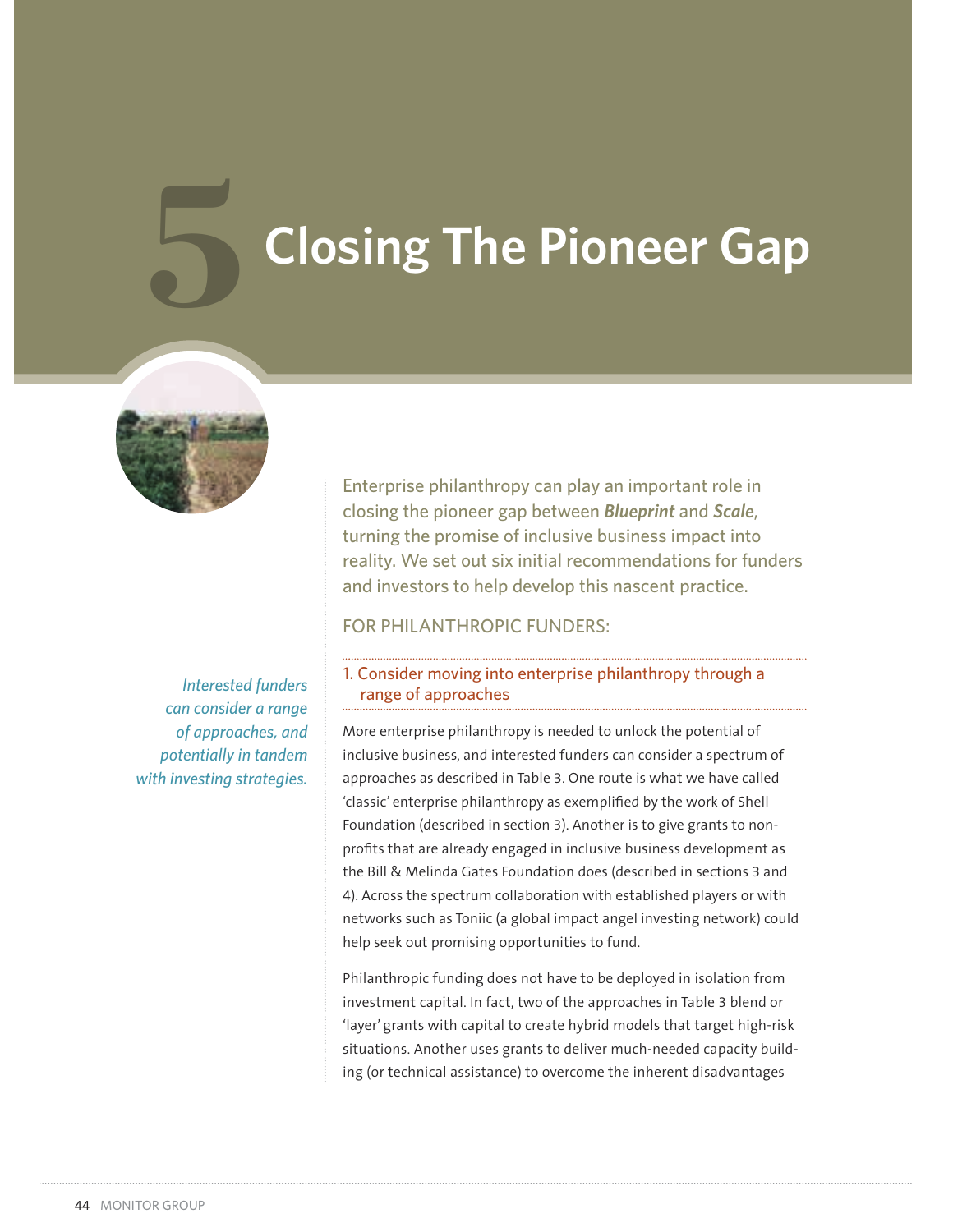# **Closing The Pioneer Gap**



*Interested funders can consider a range of approaches, and potentially in tandem with investing strategies.*

Enterprise philanthropy can play an important role in closing the pioneer gap between *Blueprint* and *Scale*, turning the promise of inclusive business impact into reality. We set out six initial recommendations for funders and investors to help develop this nascent practice.

FOR PHILANTHROPIC FUNDERS:

#### 1. Consider moving into enterprise philanthropy through a range of approaches

More enterprise philanthropy is needed to unlock the potential of inclusive business, and interested funders can consider a spectrum of approaches as described in Table 3. One route is what we have called 'classic' enterprise philanthropy as exemplified by the work of Shell Foundation (described in section 3). Another is to give grants to nonprofits that are already engaged in inclusive business development as the Bill & Melinda Gates Foundation does (described in sections 3 and 4). Across the spectrum collaboration with established players or with networks such as Toniic (a global impact angel investing network) could help seek out promising opportunities to fund.

Philanthropic funding does not have to be deployed in isolation from investment capital. In fact, two of the approaches in Table 3 blend or 'layer' grants with capital to create hybrid models that target high-risk situations. Another uses grants to deliver much-needed capacity building (or technical assistance) to overcome the inherent disadvantages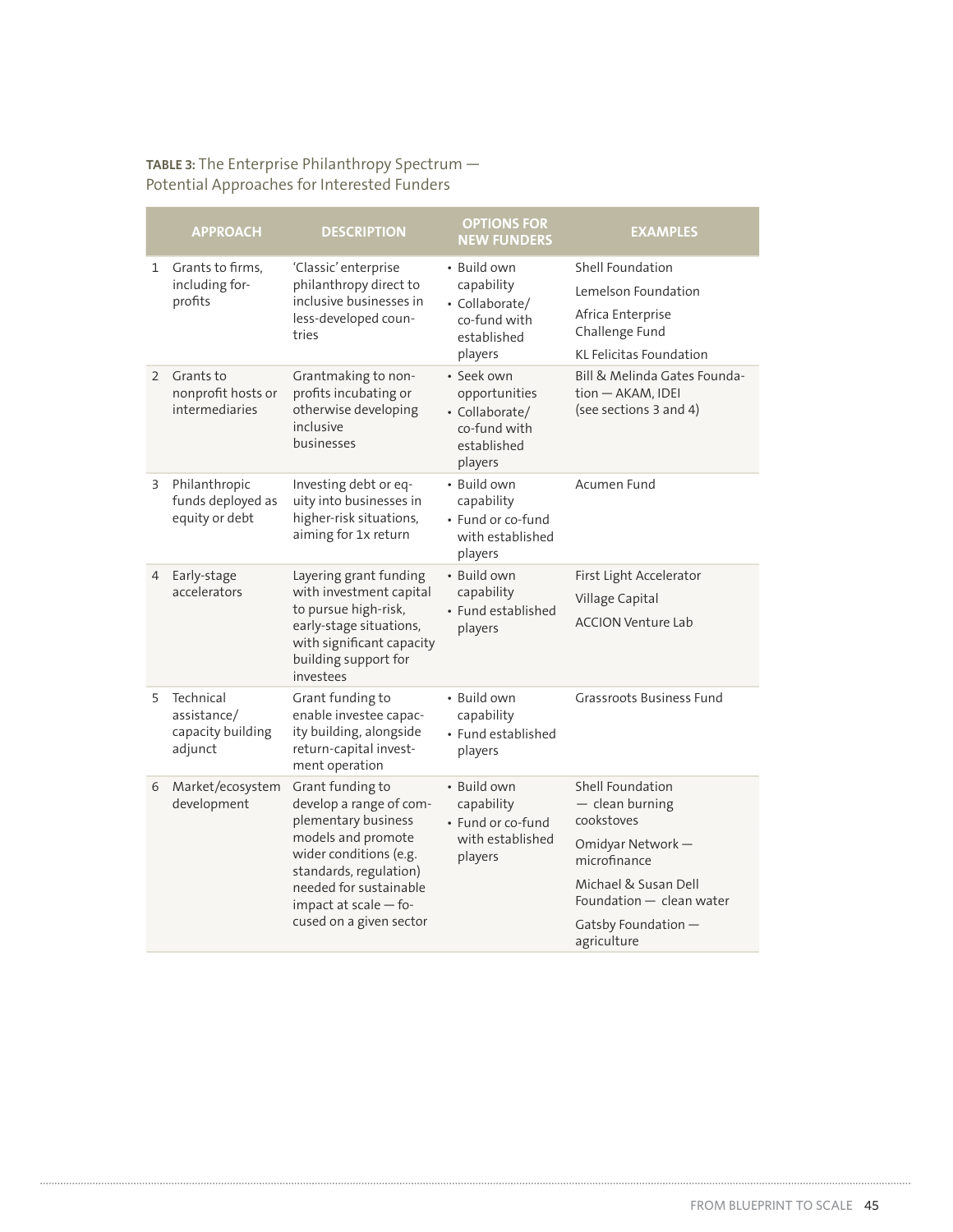#### **TABLE 3:** The Enterprise Philanthropy Spectrum — Potential Approaches for Interested Funders

|                | <b>APPROACH</b>                                          | <b>DESCRIPTION</b>                                                                                                                                                                                                         | <b>OPTIONS FOR</b><br><b>NEW FUNDERS</b>                                                | <b>EXAMPLES</b>                                                                                                                                                                   |
|----------------|----------------------------------------------------------|----------------------------------------------------------------------------------------------------------------------------------------------------------------------------------------------------------------------------|-----------------------------------------------------------------------------------------|-----------------------------------------------------------------------------------------------------------------------------------------------------------------------------------|
| 1              | Grants to firms,<br>including for-<br>profits            | 'Classic' enterprise<br>philanthropy direct to<br>inclusive businesses in<br>less-developed coun-<br>tries                                                                                                                 | • Build own<br>capability<br>• Collaborate/<br>co-fund with<br>established<br>players   | <b>Shell Foundation</b><br>Lemelson Foundation<br>Africa Enterprise<br>Challenge Fund<br><b>KL Felicitas Foundation</b>                                                           |
| $\overline{2}$ | Grants to<br>nonprofit hosts or<br>intermediaries        | Grantmaking to non-<br>profits incubating or<br>otherwise developing<br>inclusive<br>businesses                                                                                                                            | · Seek own<br>opportunities<br>• Collaborate/<br>co-fund with<br>established<br>players | Bill & Melinda Gates Founda-<br>tion - AKAM, IDEI<br>(see sections 3 and 4)                                                                                                       |
| 3              | Philanthropic<br>funds deployed as<br>equity or debt     | Investing debt or eq-<br>uity into businesses in<br>higher-risk situations,<br>aiming for 1x return                                                                                                                        | · Build own<br>capability<br>• Fund or co-fund<br>with established<br>players           | Acumen Fund                                                                                                                                                                       |
| 4              | Early-stage<br>accelerators                              | Layering grant funding<br>with investment capital<br>to pursue high-risk,<br>early-stage situations,<br>with significant capacity<br>building support for<br>investees                                                     | • Build own<br>capability<br>• Fund established<br>players                              | First Light Accelerator<br>Village Capital<br><b>ACCION Venture Lab</b>                                                                                                           |
| 5              | Technical<br>assistance/<br>capacity building<br>adjunct | Grant funding to<br>enable investee capac-<br>ity building, alongside<br>return-capital invest-<br>ment operation                                                                                                          | • Build own<br>capability<br>• Fund established<br>players                              | <b>Grassroots Business Fund</b>                                                                                                                                                   |
| 6              | Market/ecosystem<br>development                          | Grant funding to<br>develop a range of com-<br>plementary business<br>models and promote<br>wider conditions (e.g.<br>standards, regulation)<br>needed for sustainable<br>impact at scale - fo-<br>cused on a given sector | • Build own<br>capability<br>• Fund or co-fund<br>with established<br>players           | Shell Foundation<br>$-$ clean burning<br>cookstoves<br>Omidyar Network-<br>microfinance<br>Michael & Susan Dell<br>Foundation - clean water<br>Gatsby Foundation -<br>agriculture |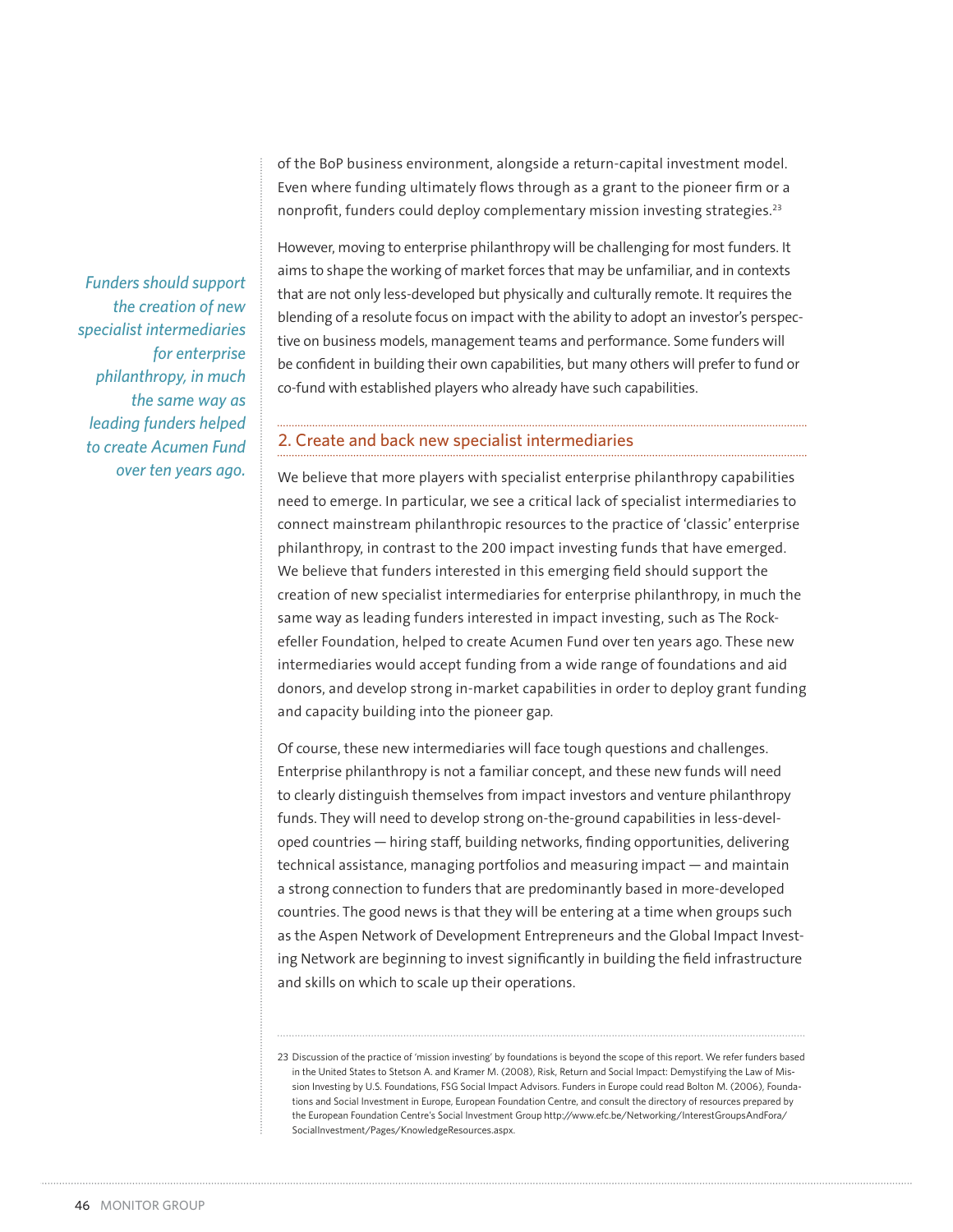of the BoP business environment, alongside a return-capital investment model. Even where funding ultimately flows through as a grant to the pioneer firm or a nonprofit, funders could deploy complementary mission investing strategies.<sup>23</sup>

However, moving to enterprise philanthropy will be challenging for most funders. It aims to shape the working of market forces that may be unfamiliar, and in contexts that are not only less-developed but physically and culturally remote. It requires the blending of a resolute focus on impact with the ability to adopt an investor's perspective on business models, management teams and performance. Some funders will be confident in building their own capabilities, but many others will prefer to fund or co-fund with established players who already have such capabilities.

#### 2. Create and back new specialist intermediaries

We believe that more players with specialist enterprise philanthropy capabilities need to emerge. In particular, we see a critical lack of specialist intermediaries to connect mainstream philanthropic resources to the practice of 'classic' enterprise philanthropy, in contrast to the 200 impact investing funds that have emerged. We believe that funders interested in this emerging field should support the creation of new specialist intermediaries for enterprise philanthropy, in much the same way as leading funders interested in impact investing, such as The Rockefeller Foundation, helped to create Acumen Fund over ten years ago. These new intermediaries would accept funding from a wide range of foundations and aid donors, and develop strong in-market capabilities in order to deploy grant funding and capacity building into the pioneer gap.

Of course, these new intermediaries will face tough questions and challenges. Enterprise philanthropy is not a familiar concept, and these new funds will need to clearly distinguish themselves from impact investors and venture philanthropy funds. They will need to develop strong on-the-ground capabilities in less-developed countries — hiring staff, building networks, finding opportunities, delivering technical assistance, managing portfolios and measuring impact — and maintain a strong connection to funders that are predominantly based in more-developed countries. The good news is that they will be entering at a time when groups such as the Aspen Network of Development Entrepreneurs and the Global Impact Investing Network are beginning to invest significantly in building the field infrastructure and skills on which to scale up their operations.

*Funders should support the creation of new specialist intermediaries for enterprise philanthropy, in much the same way as leading funders helped to create Acumen Fund over ten years ago.*

<sup>23</sup> Discussion of the practice of 'mission investing' by foundations is beyond the scope of this report. We refer funders based in the United States to Stetson A. and Kramer M. (2008), Risk, Return and Social Impact: Demystifying the Law of Mission Investing by U.S. Foundations, FSG Social Impact Advisors. Funders in Europe could read Bolton M. (2006), Foundations and Social Investment in Europe, European Foundation Centre, and consult the directory of resources prepared by the European Foundation Centre's Social Investment Group http://www.efc.be/Networking/InterestGroupsAndFora/ SocialInvestment/Pages/KnowledgeResources.aspx.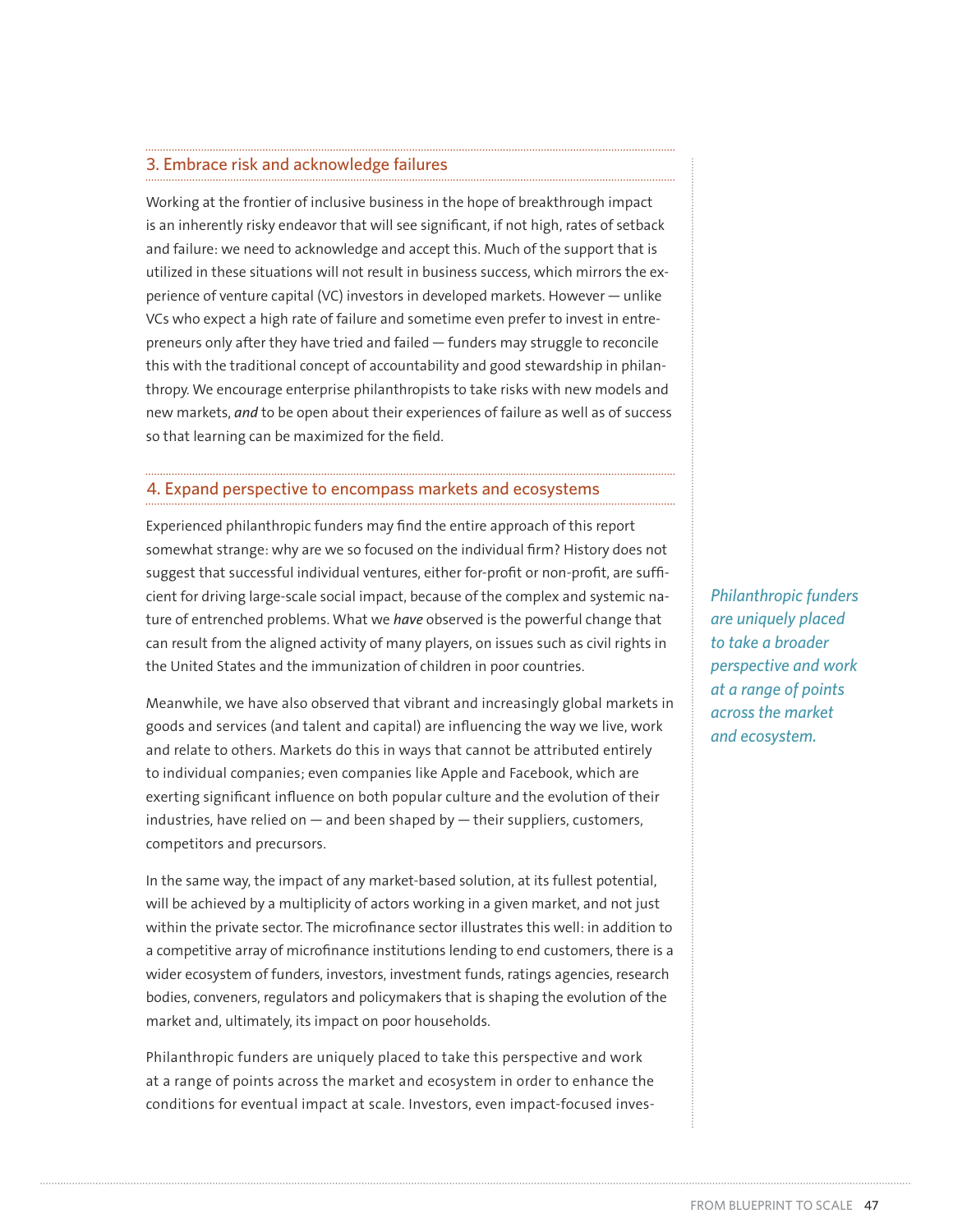#### 3. Embrace risk and acknowledge failures

Working at the frontier of inclusive business in the hope of breakthrough impact is an inherently risky endeavor that will see significant, if not high, rates of setback and failure: we need to acknowledge and accept this. Much of the support that is utilized in these situations will not result in business success, which mirrors the experience of venture capital (VC) investors in developed markets. However — unlike VCs who expect a high rate of failure and sometime even prefer to invest in entrepreneurs only after they have tried and failed — funders may struggle to reconcile this with the traditional concept of accountability and good stewardship in philanthropy. We encourage enterprise philanthropists to take risks with new models and new markets, *and* to be open about their experiences of failure as well as of success so that learning can be maximized for the field.

#### 4. Expand perspective to encompass markets and ecosystems

Experienced philanthropic funders may find the entire approach of this report somewhat strange: why are we so focused on the individual firm? History does not suggest that successful individual ventures, either for-profit or non-profit, are sufficient for driving large-scale social impact, because of the complex and systemic nature of entrenched problems. What we *have* observed is the powerful change that can result from the aligned activity of many players, on issues such as civil rights in the United States and the immunization of children in poor countries.

Meanwhile, we have also observed that vibrant and increasingly global markets in goods and services (and talent and capital) are influencing the way we live, work and relate to others. Markets do this in ways that cannot be attributed entirely to individual companies; even companies like Apple and Facebook, which are exerting significant influence on both popular culture and the evolution of their industries, have relied on  $-$  and been shaped by  $-$  their suppliers, customers, competitors and precursors.

In the same way, the impact of any market-based solution, at its fullest potential, will be achieved by a multiplicity of actors working in a given market, and not just within the private sector. The microfinance sector illustrates this well: in addition to a competitive array of microfinance institutions lending to end customers, there is a wider ecosystem of funders, investors, investment funds, ratings agencies, research bodies, conveners, regulators and policymakers that is shaping the evolution of the market and, ultimately, its impact on poor households.

Philanthropic funders are uniquely placed to take this perspective and work at a range of points across the market and ecosystem in order to enhance the conditions for eventual impact at scale. Investors, even impact-focused inves*Philanthropic funders are uniquely placed to take a broader perspective and work at a range of points across the market and ecosystem.*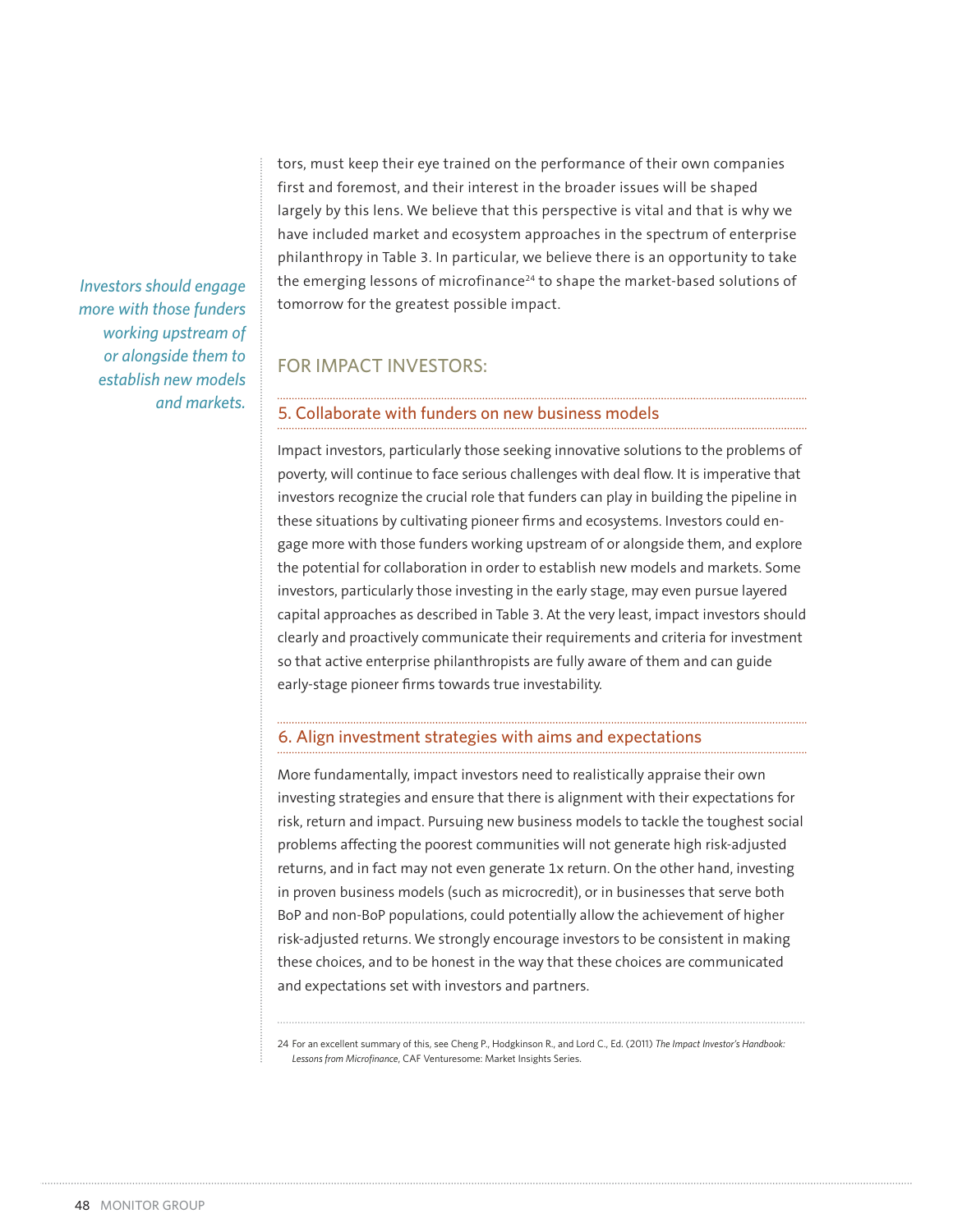tors, must keep their eye trained on the performance of their own companies first and foremost, and their interest in the broader issues will be shaped largely by this lens. We believe that this perspective is vital and that is why we have included market and ecosystem approaches in the spectrum of enterprise philanthropy in Table 3. In particular, we believe there is an opportunity to take the emerging lessons of microfinance<sup>24</sup> to shape the market-based solutions of tomorrow for the greatest possible impact.

## FOR IMPACT INVESTORS:

#### 5. Collaborate with funders on new business models

Impact investors, particularly those seeking innovative solutions to the problems of poverty, will continue to face serious challenges with deal flow. It is imperative that investors recognize the crucial role that funders can play in building the pipeline in these situations by cultivating pioneer firms and ecosystems. Investors could engage more with those funders working upstream of or alongside them, and explore the potential for collaboration in order to establish new models and markets. Some investors, particularly those investing in the early stage, may even pursue layered capital approaches as described in Table 3. At the very least, impact investors should clearly and proactively communicate their requirements and criteria for investment so that active enterprise philanthropists are fully aware of them and can guide early-stage pioneer firms towards true investability.

#### 6. Align investment strategies with aims and expectations

More fundamentally, impact investors need to realistically appraise their own investing strategies and ensure that there is alignment with their expectations for risk, return and impact. Pursuing new business models to tackle the toughest social problems affecting the poorest communities will not generate high risk-adjusted returns, and in fact may not even generate 1x return. On the other hand, investing in proven business models (such as microcredit), or in businesses that serve both BoP and non-BoP populations, could potentially allow the achievement of higher risk-adjusted returns. We strongly encourage investors to be consistent in making these choices, and to be honest in the way that these choices are communicated and expectations set with investors and partners.

24 For an excellent summary of this, see Cheng P., Hodgkinson R., and Lord C., Ed. (2011) *The Impact Investor's Handbook: Lessons from Microfinance*, CAF Venturesome: Market Insights Series.

*Investors should engage more with those funders working upstream of or alongside them to establish new models and markets.*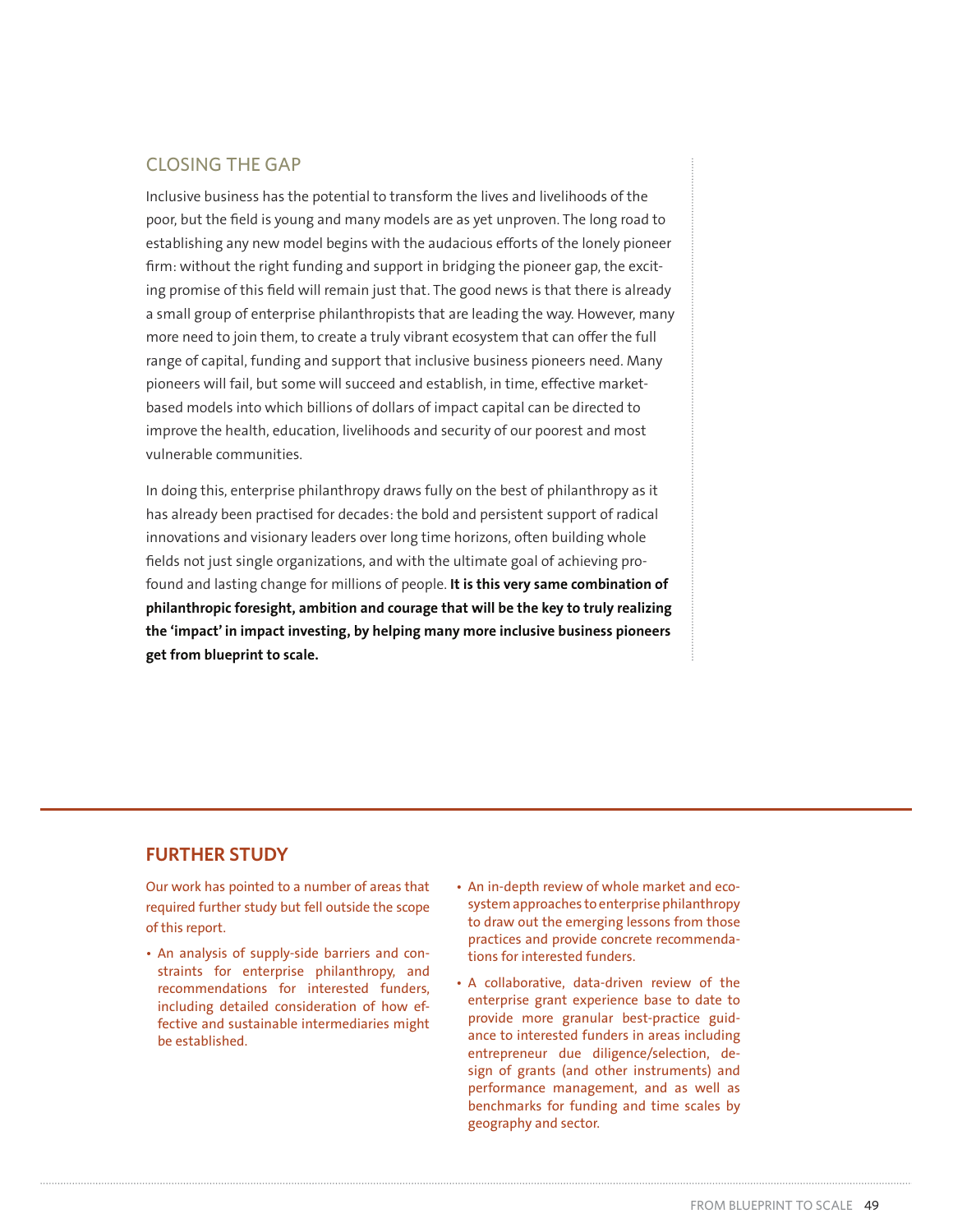# CLOSING THE GAP

Inclusive business has the potential to transform the lives and livelihoods of the poor, but the field is young and many models are as yet unproven. The long road to establishing any new model begins with the audacious efforts of the lonely pioneer firm: without the right funding and support in bridging the pioneer gap, the exciting promise of this field will remain just that. The good news is that there is already a small group of enterprise philanthropists that are leading the way. However, many more need to join them, to create a truly vibrant ecosystem that can offer the full range of capital, funding and support that inclusive business pioneers need. Many pioneers will fail, but some will succeed and establish, in time, effective marketbased models into which billions of dollars of impact capital can be directed to improve the health, education, livelihoods and security of our poorest and most vulnerable communities.

In doing this, enterprise philanthropy draws fully on the best of philanthropy as it has already been practised for decades: the bold and persistent support of radical innovations and visionary leaders over long time horizons, often building whole fields not just single organizations, and with the ultimate goal of achieving profound and lasting change for millions of people. **It is this very same combination of philanthropic foresight, ambition and courage that will be the key to truly realizing the 'impact' in impact investing, by helping many more inclusive business pioneers get from blueprint to scale.** 

## **FURTHER STUDY**

Our work has pointed to a number of areas that required further study but fell outside the scope of this report.

- An analysis of supply-side barriers and constraints for enterprise philanthropy, and recommendations for interested funders, including detailed consideration of how effective and sustainable intermediaries might be established.
- An in-depth review of whole market and ecosystem approaches to enterprise philanthropy to draw out the emerging lessons from those practices and provide concrete recommendations for interested funders.
- A collaborative, data-driven review of the enterprise grant experience base to date to provide more granular best-practice guidance to interested funders in areas including entrepreneur due diligence/selection, design of grants (and other instruments) and performance management, and as well as benchmarks for funding and time scales by geography and sector.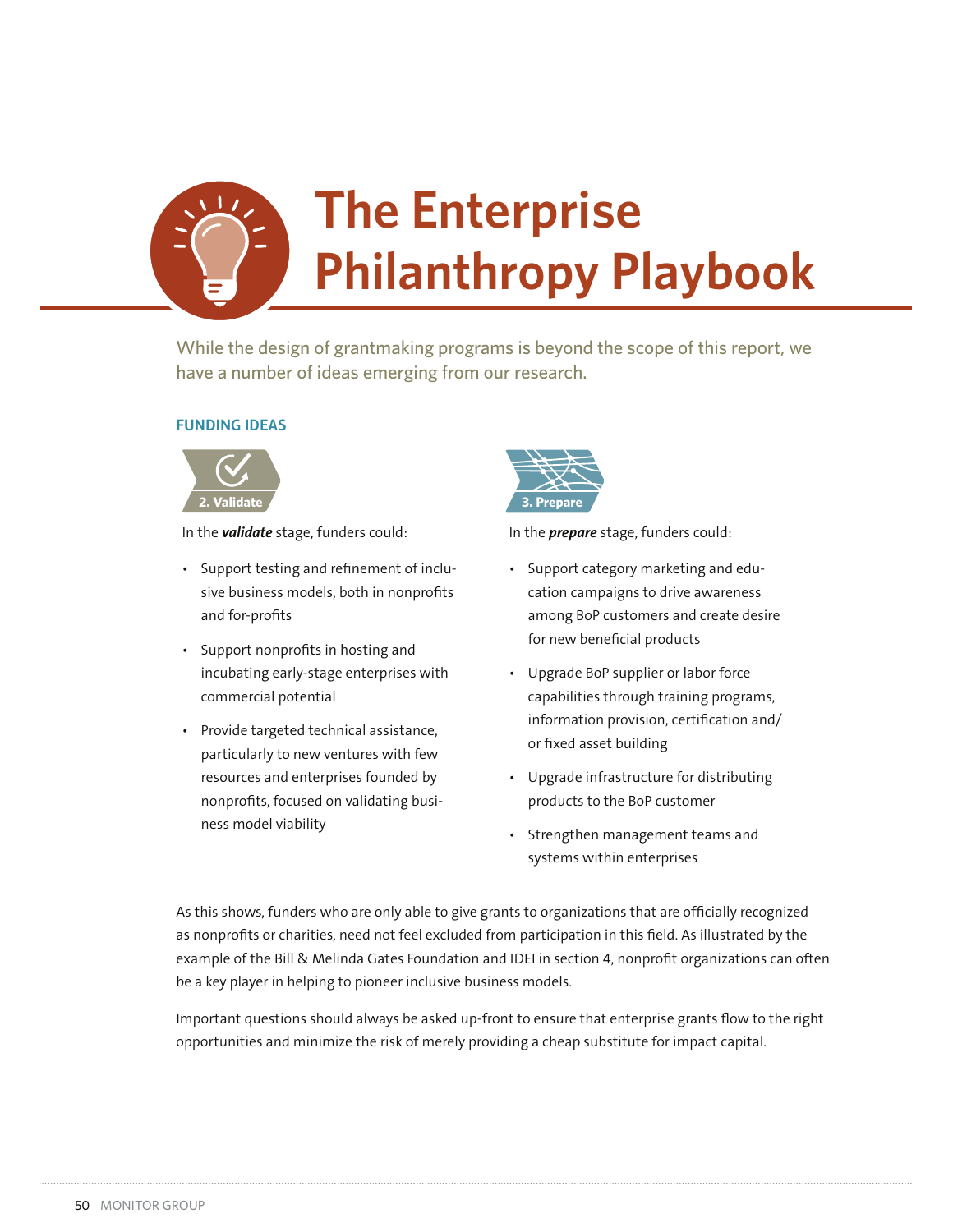

While the design of grantmaking programs is beyond the scope of this report, we have a number of ideas emerging from our research.

#### **FUNDING IDEAS**



In the *validate* stage, funders could:

- Support testing and refinement of inclusive business models, both in nonprofits and for-profits
- Support nonprofits in hosting and incubating early-stage enterprises with commercial potential
- Provide targeted technical assistance, particularly to new ventures with few resources and enterprises founded by nonprofits, focused on validating business model viability



In the *prepare* stage, funders could:

- Support category marketing and education campaigns to drive awareness among BoP customers and create desire for new beneficial products
- Upgrade BoP supplier or labor force capabilities through training programs, information provision, certification and/ or fixed asset building
- Upgrade infrastructure for distributing products to the BoP customer
- Strengthen management teams and systems within enterprises

As this shows, funders who are only able to give grants to organizations that are officially recognized as nonprofits or charities, need not feel excluded from participation in this field. As illustrated by the example of the Bill & Melinda Gates Foundation and IDEI in section 4, nonprofit organizations can often be a key player in helping to pioneer inclusive business models.

Important questions should always be asked up-front to ensure that enterprise grants flow to the right opportunities and minimize the risk of merely providing a cheap substitute for impact capital.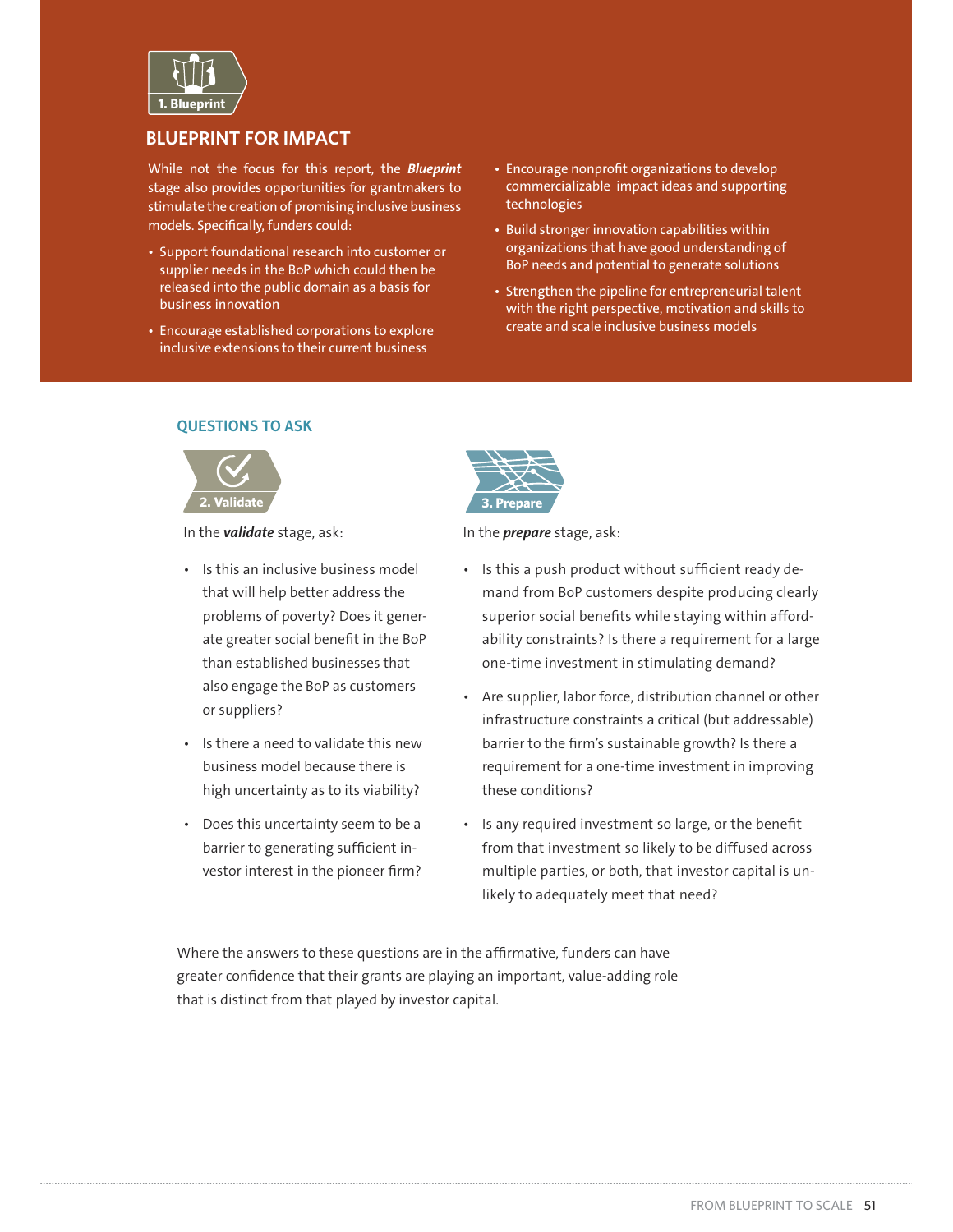

## **BLUEPRINT FOR IMPACT**

While not the focus for this report, the **Blueprint** stage also provides opportunities for grantmakers to stimulate the creation of promising inclusive business models. Specifically, funders could:

- Support foundational research into customer or supplier needs in the BoP which could then be released into the public domain as a basis for business innovation
- Encourage established corporations to explore inclusive extensions to their current business
- Encourage nonprofit organizations to develop commercializable impact ideas and supporting technologies
- Build stronger innovation capabilities within organizations that have good understanding of BoP needs and potential to generate solutions
- Strengthen the pipeline for entrepreneurial talent with the right perspective, motivation and skills to create and scale inclusive business models

#### **QUESTIONS TO ASK**



In the *validate* stage, ask:

- Is this an inclusive business model that will help better address the problems of poverty? Does it generate greater social benefit in the BoP than established businesses that also engage the BoP as customers or suppliers?
- Is there a need to validate this new business model because there is high uncertainty as to its viability?
- Does this uncertainty seem to be a barrier to generating sufficient investor interest in the pioneer firm?



In the *prepare* stage, ask:

- Is this a push product without sufficient ready demand from BoP customers despite producing clearly superior social benefits while staying within affordability constraints? Is there a requirement for a large one-time investment in stimulating demand?
- Are supplier, labor force, distribution channel or other infrastructure constraints a critical (but addressable) barrier to the firm's sustainable growth? Is there a requirement for a one-time investment in improving these conditions?
- Is any required investment so large, or the benefit from that investment so likely to be diffused across multiple parties, or both, that investor capital is unlikely to adequately meet that need?

Where the answers to these questions are in the affirmative, funders can have greater confidence that their grants are playing an important, value-adding role that is distinct from that played by investor capital.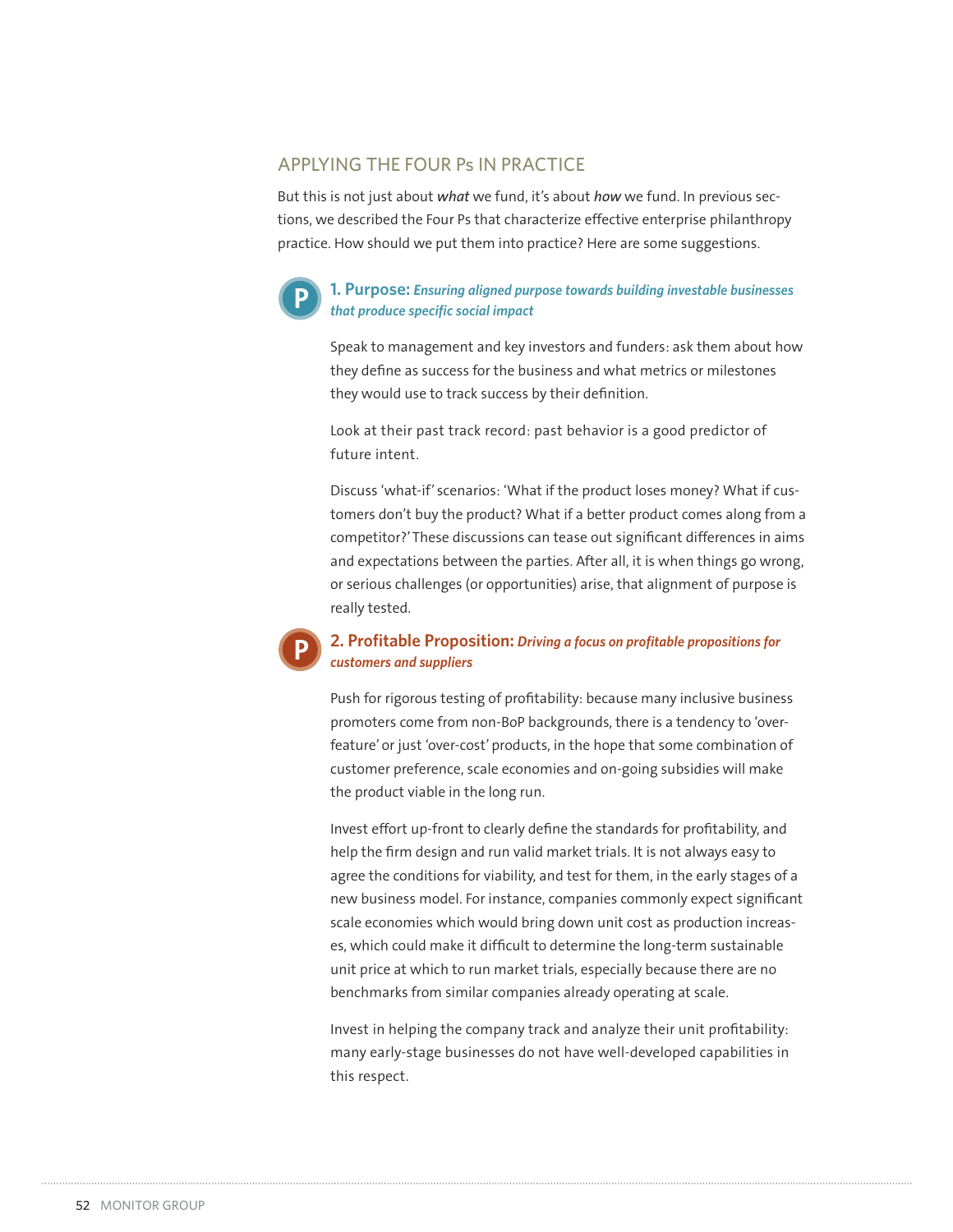# APPLYING THE FOUR Ps IN PRACTICE

But this is not just about *what* we fund, it's about *how* we fund. In previous sections, we described the Four Ps that characterize effective enterprise philanthropy practice. How should we put them into practice? Here are some suggestions.



**P**

#### **1. Purpose: Ensuring aligned purpose towards building investable businesses** *that produce specific social impact*

Speak to management and key investors and funders: ask them about how they define as success for the business and what metrics or milestones they would use to track success by their definition.

Look at their past track record: past behavior is a good predictor of future intent.

Discuss 'what-if' scenarios: 'What if the product loses money? What if customers don't buy the product? What if a better product comes along from a competitor?' These discussions can tease out significant differences in aims and expectations between the parties. After all, it is when things go wrong, or serious challenges (or opportunities) arise, that alignment of purpose is really tested.

## **2. Profitable Proposition:** Driving a focus on profitable propositions for *customers and suppliers*

Push for rigorous testing of profitability: because many inclusive business promoters come from non-BoP backgrounds, there is a tendency to 'overfeature' or just 'over-cost' products, in the hope that some combination of customer preference, scale economies and on-going subsidies will make the product viable in the long run.

Invest effort up-front to clearly define the standards for profitability, and help the firm design and run valid market trials. It is not always easy to agree the conditions for viability, and test for them, in the early stages of a new business model. For instance, companies commonly expect significant scale economies which would bring down unit cost as production increases, which could make it difficult to determine the long-term sustainable unit price at which to run market trials, especially because there are no benchmarks from similar companies already operating at scale.

Invest in helping the company track and analyze their unit profitability: many early-stage businesses do not have well-developed capabilities in this respect.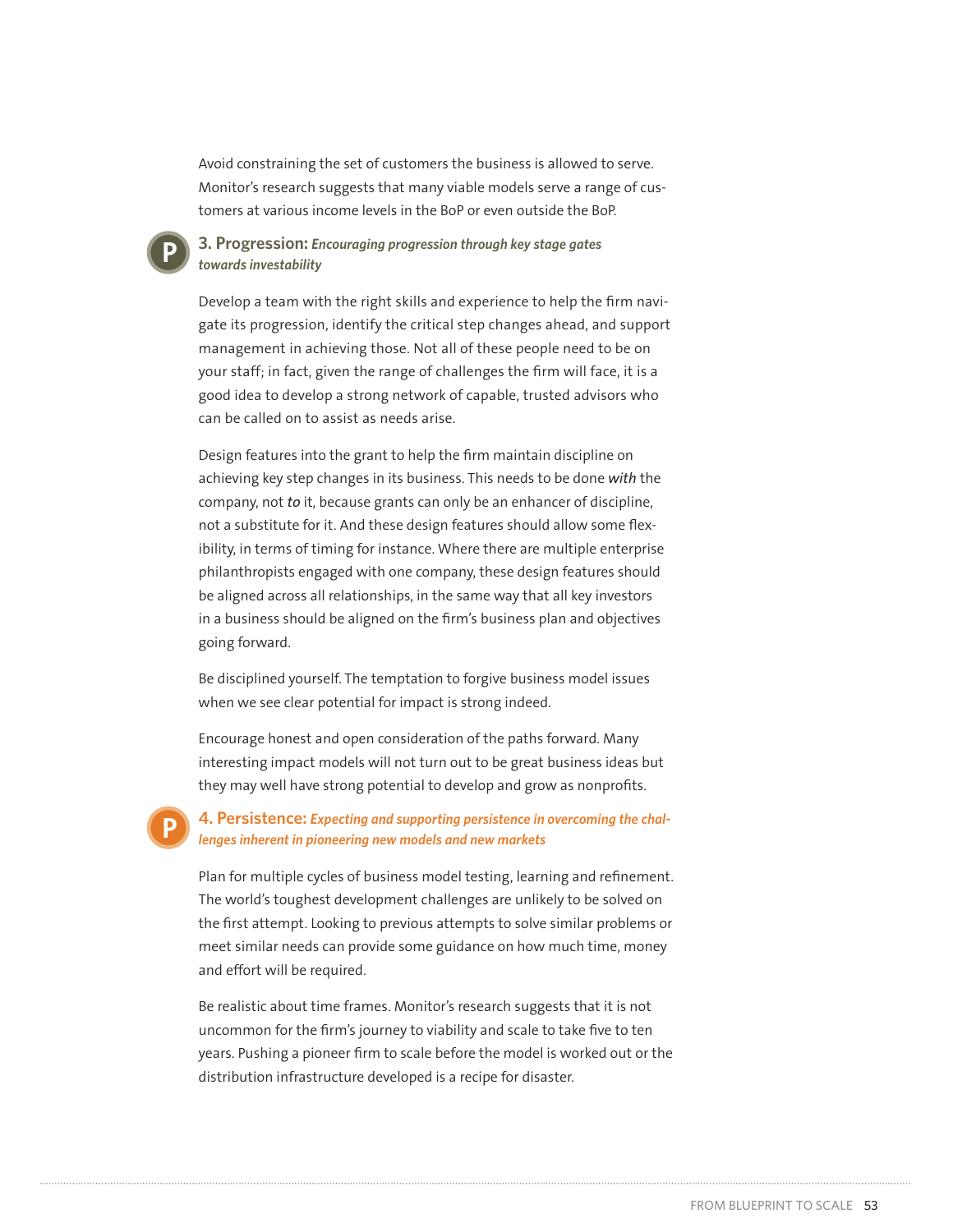Avoid constraining the set of customers the business is allowed to serve. Monitor's research suggests that many viable models serve a range of customers at various income levels in the BoP or even outside the BoP.

#### **3. Progression: Encouraging progression through key stage gates** *towards investability*

**P**

**P**

Develop a team with the right skills and experience to help the firm navigate its progression, identify the critical step changes ahead, and support management in achieving those. Not all of these people need to be on your staff; in fact, given the range of challenges the firm will face, it is a good idea to develop a strong network of capable, trusted advisors who can be called on to assist as needs arise.

Design features into the grant to help the firm maintain discipline on achieving key step changes in its business. This needs to be done *with* the company, not *to* it, because grants can only be an enhancer of discipline, not a substitute for it. And these design features should allow some flexibility, in terms of timing for instance. Where there are multiple enterprise philanthropists engaged with one company, these design features should be aligned across all relationships, in the same way that all key investors in a business should be aligned on the firm's business plan and objectives going forward.

Be disciplined yourself. The temptation to forgive business model issues when we see clear potential for impact is strong indeed.

Encourage honest and open consideration of the paths forward. Many interesting impact models will not turn out to be great business ideas but they may well have strong potential to develop and grow as nonprofits.

4. Persistence: Expecting and supporting persistence in overcoming the chal*lenges inherent in pioneering new models and new markets*

Plan for multiple cycles of business model testing, learning and refinement. The world's toughest development challenges are unlikely to be solved on the first attempt. Looking to previous attempts to solve similar problems or meet similar needs can provide some guidance on how much time, money and effort will be required.

Be realistic about time frames. Monitor's research suggests that it is not uncommon for the firm's journey to viability and scale to take five to ten years. Pushing a pioneer firm to scale before the model is worked out or the distribution infrastructure developed is a recipe for disaster.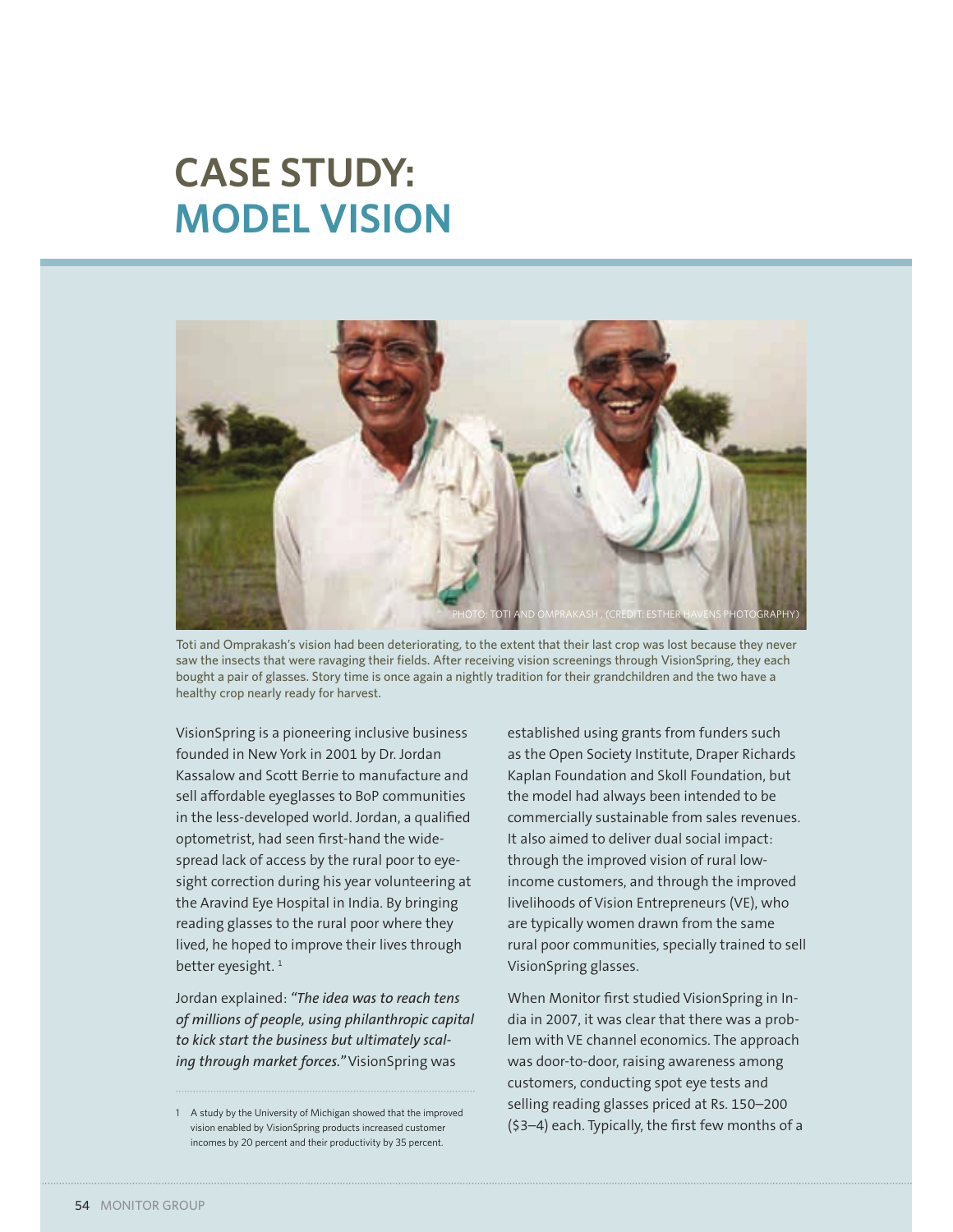# **CASE STUDY: MODEL VISION**



Toti and Omprakash's vision had been deteriorating, to the extent that their last crop was lost because they never saw the insects that were ravaging their fields. After receiving vision screenings through VisionSpring, they each bought a pair of glasses. Story time is once again a nightly tradition for their grandchildren and the two have a healthy crop nearly ready for harvest.

VisionSpring is a pioneering inclusive business founded in New York in 2001 by Dr. Jordan Kassalow and Scott Berrie to manufacture and sell affordable eyeglasses to BoP communities in the less-developed world. Jordan, a qualified optometrist, had seen first-hand the widespread lack of access by the rural poor to eyesight correction during his year volunteering at the Aravind Eye Hospital in India. By bringing reading glasses to the rural poor where they lived, he hoped to improve their lives through better eyesight.<sup>1</sup>

Jordan explained: *"The idea was to reach tens of millions of people, using philanthropic capital to kick start the business but ultimately scaling through market forces."* VisionSpring was

established using grants from funders such as the Open Society Institute, Draper Richards Kaplan Foundation and Skoll Foundation, but the model had always been intended to be commercially sustainable from sales revenues. It also aimed to deliver dual social impact: through the improved vision of rural lowincome customers, and through the improved livelihoods of Vision Entrepreneurs (VE), who are typically women drawn from the same rural poor communities, specially trained to sell VisionSpring glasses.

When Monitor first studied VisionSpring in India in 2007, it was clear that there was a problem with VE channel economics. The approach was door-to-door, raising awareness among customers, conducting spot eye tests and selling reading glasses priced at Rs. 150–200 (\$3–4) each. Typically, the first few months of a

<sup>1</sup> A study by the University of Michigan showed that the improved vision enabled by VisionSpring products increased customer incomes by 20 percent and their productivity by 35 percent.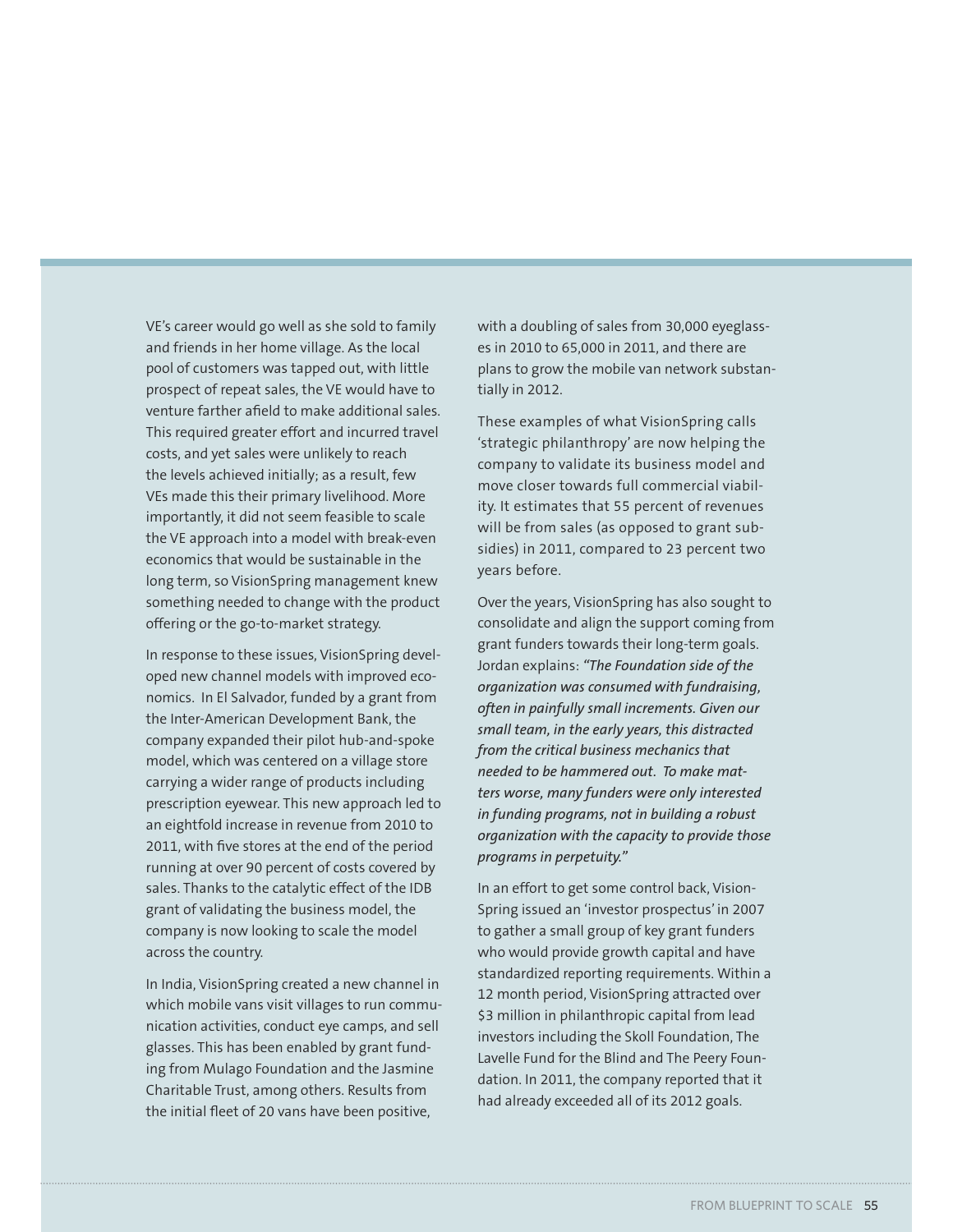VE's career would go well as she sold to family and friends in her home village. As the local pool of customers was tapped out, with little prospect of repeat sales, the VE would have to venture farther afield to make additional sales. This required greater effort and incurred travel costs, and yet sales were unlikely to reach the levels achieved initially; as a result, few VEs made this their primary livelihood. More importantly, it did not seem feasible to scale the VE approach into a model with break-even economics that would be sustainable in the long term, so VisionSpring management knew something needed to change with the product offering or the go-to-market strategy.

In response to these issues, VisionSpring developed new channel models with improved economics. In El Salvador, funded by a grant from the Inter-American Development Bank, the company expanded their pilot hub-and-spoke model, which was centered on a village store carrying a wider range of products including prescription eyewear. This new approach led to an eightfold increase in revenue from 2010 to 2011, with five stores at the end of the period running at over 90 percent of costs covered by sales. Thanks to the catalytic effect of the IDB grant of validating the business model, the company is now looking to scale the model across the country.

In India, VisionSpring created a new channel in which mobile vans visit villages to run communication activities, conduct eye camps, and sell glasses. This has been enabled by grant funding from Mulago Foundation and the Jasmine Charitable Trust, among others. Results from the initial fleet of 20 vans have been positive,

with a doubling of sales from 30,000 eyeglasses in 2010 to 65,000 in 2011, and there are plans to grow the mobile van network substantially in 2012.

These examples of what VisionSpring calls 'strategic philanthropy' are now helping the company to validate its business model and move closer towards full commercial viability. It estimates that 55 percent of revenues will be from sales (as opposed to grant subsidies) in 2011, compared to 23 percent two years before.

Over the years, VisionSpring has also sought to consolidate and align the support coming from grant funders towards their long-term goals. Jordan explains: *"The Foundation side of the organization was consumed with fundraising, often in painfully small increments. Given our small team, in the early years, this distracted from the critical business mechanics that needed to be hammered out. To make matters worse, many funders were only interested in funding programs, not in building a robust organization with the capacity to provide those programs in perpetuity."*

In an effort to get some control back, Vision-Spring issued an 'investor prospectus' in 2007 to gather a small group of key grant funders who would provide growth capital and have standardized reporting requirements. Within a 12 month period, VisionSpring attracted over \$3 million in philanthropic capital from lead investors including the Skoll Foundation, The Lavelle Fund for the Blind and The Peery Foundation. In 2011, the company reported that it had already exceeded all of its 2012 goals.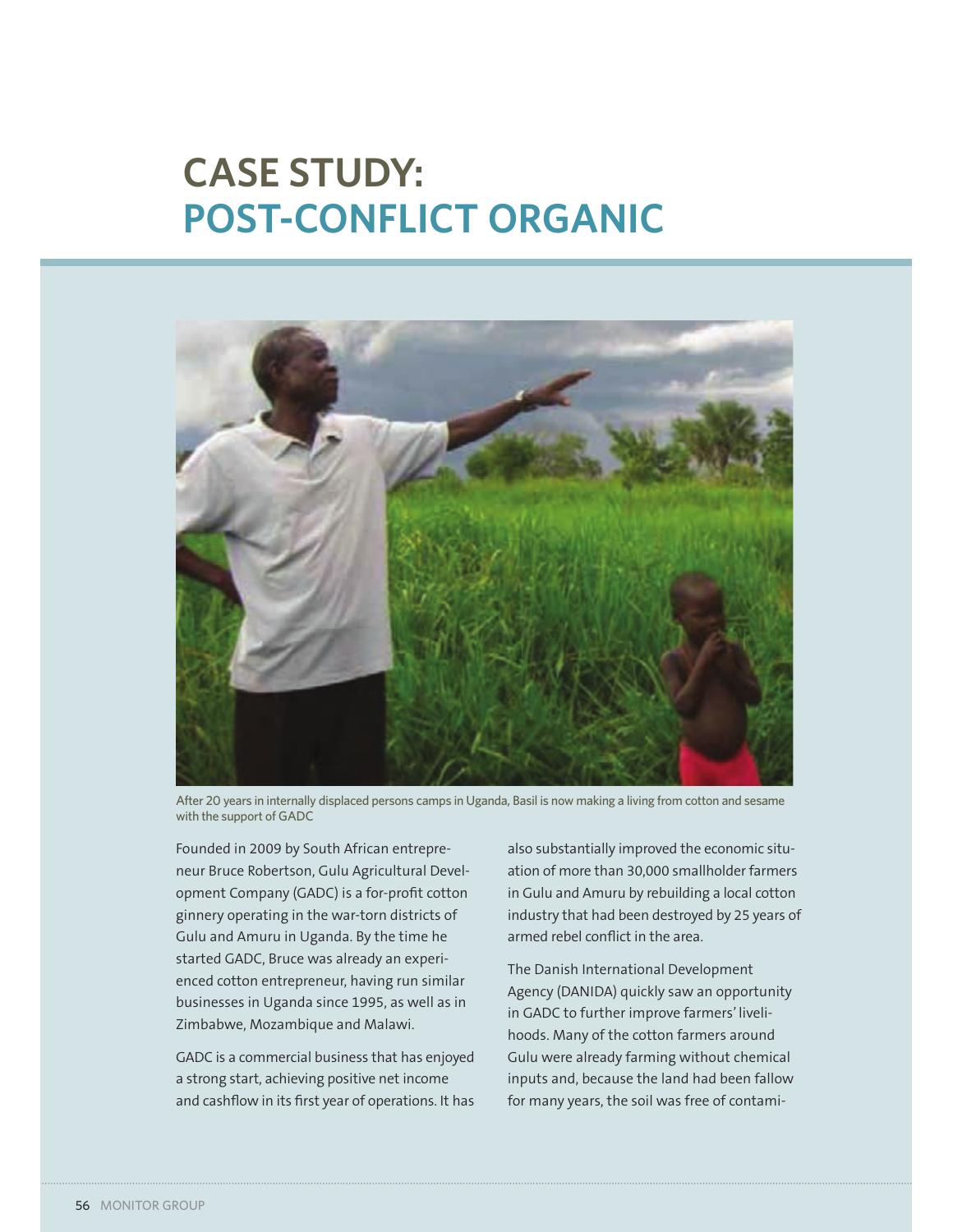# **CASE STUDY: POST-CONFLICT ORGANIC**



After 20 years in internally displaced persons camps in Uganda, Basil is now making a living from cotton and sesame with the support of GADC

Founded in 2009 by South African entrepreneur Bruce Robertson, Gulu Agricultural Development Company (GADC) is a for-profit cotton ginnery operating in the war-torn districts of Gulu and Amuru in Uganda. By the time he started GADC, Bruce was already an experienced cotton entrepreneur, having run similar businesses in Uganda since 1995, as well as in Zimbabwe, Mozambique and Malawi.

GADC is a commercial business that has enjoyed a strong start, achieving positive net income and cashflow in its first year of operations. It has also substantially improved the economic situation of more than 30,000 smallholder farmers in Gulu and Amuru by rebuilding a local cotton industry that had been destroyed by 25 years of armed rebel conflict in the area.

The Danish International Development Agency (DANIDA) quickly saw an opportunity in GADC to further improve farmers' livelihoods. Many of the cotton farmers around Gulu were already farming without chemical inputs and, because the land had been fallow for many years, the soil was free of contami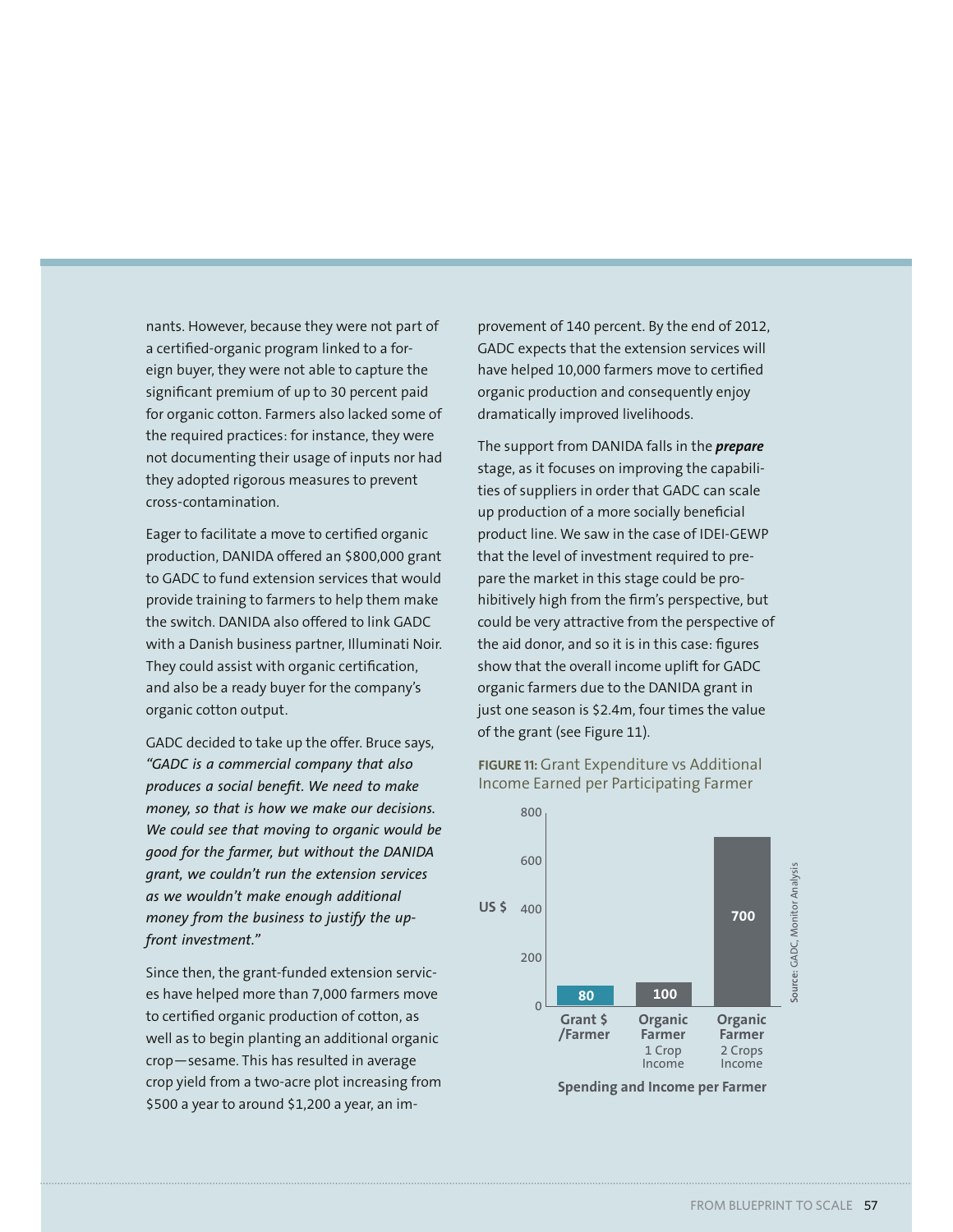nants. However, because they were not part of a certified-organic program linked to a foreign buyer, they were not able to capture the significant premium of up to 30 percent paid for organic cotton. Farmers also lacked some of the required practices: for instance, they were not documenting their usage of inputs nor had they adopted rigorous measures to prevent cross-contamination.

Eager to facilitate a move to certified organic production, DANIDA offered an \$800,000 grant to GADC to fund extension services that would provide training to farmers to help them make the switch. DANIDA also offered to link GADC with a Danish business partner, Illuminati Noir. They could assist with organic certification, and also be a ready buyer for the company's organic cotton output.

GADC decided to take up the offer. Bruce says, *"GADC is a commercial company that also produces a social benefit. We need to make money, so that is how we make our decisions. We could see that moving to organic would be good for the farmer, but without the DANIDA grant, we couldn't run the extension services as we wouldn't make enough additional money from the business to justify the upfront investment."*

Since then, the grant-funded extension services have helped more than 7,000 farmers move to certified organic production of cotton, as well as to begin planting an additional organic crop—sesame. This has resulted in average crop yield from a two-acre plot increasing from \$500 a year to around \$1,200 a year, an improvement of 140 percent. By the end of 2012, GADC expects that the extension services will have helped 10,000 farmers move to certified organic production and consequently enjoy dramatically improved livelihoods.

The support from DANIDA falls in the *prepare* stage, as it focuses on improving the capabilities of suppliers in order that GADC can scale up production of a more socially beneficial product line. We saw in the case of IDEI-GEWP that the level of investment required to prepare the market in this stage could be prohibitively high from the firm's perspective, but could be very attractive from the perspective of the aid donor, and so it is in this case: figures show that the overall income uplift for GADC organic farmers due to the DANIDA grant in just one season is \$2.4m, four times the value of the grant (see Figure 11).

**FIGURE 11:** Grant Expenditure vs Additional Income Earned per Participating Farmer



**Spending and Income per Farmer**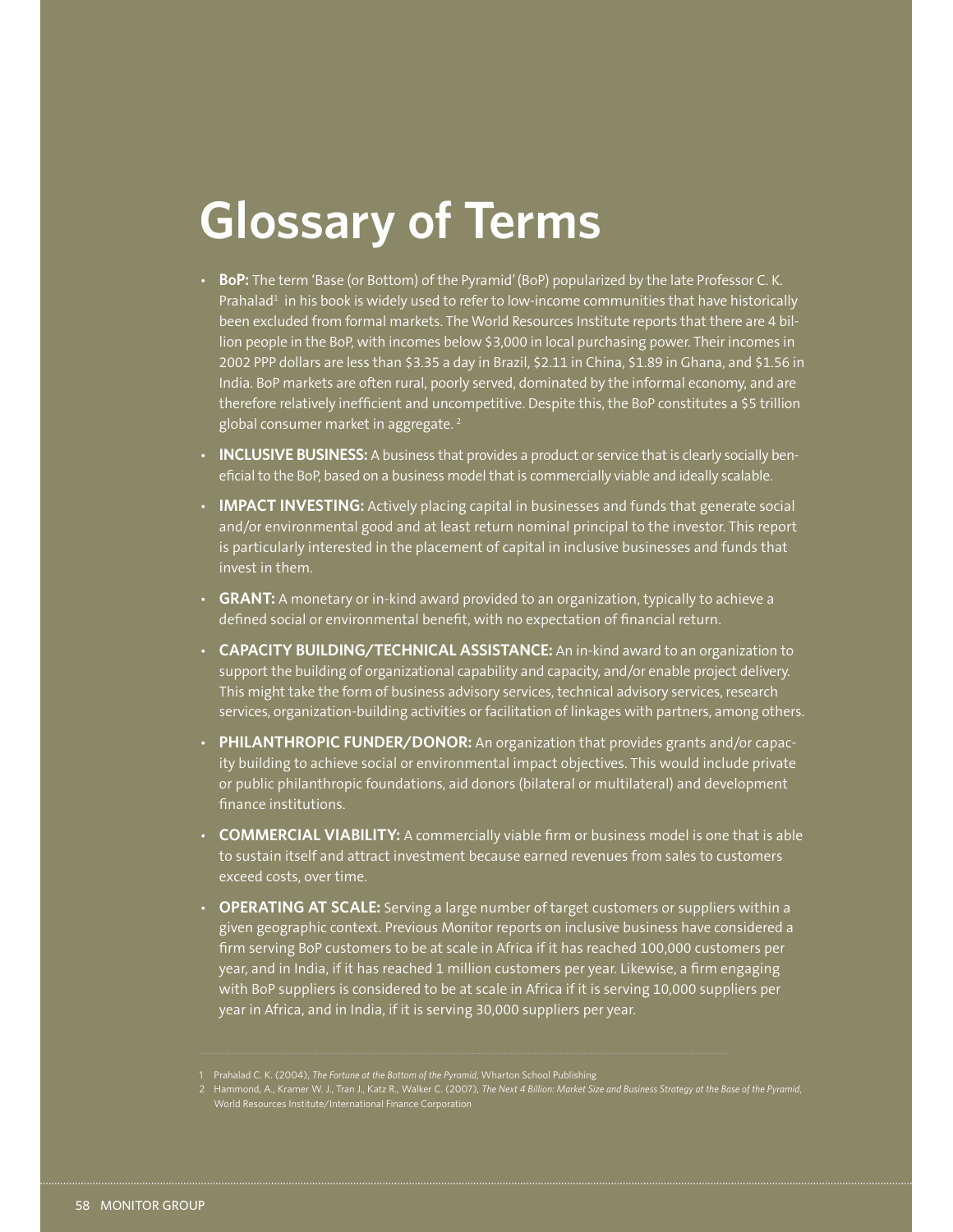# **Glossary of Terms**

- BoP: The term 'Base (or Bottom) of the Pyramid' (BoP) popularized by the late Professor C.K. Prahalad<sup>1</sup> in his book is widely used to refer to low-income communities that have historically been excluded from formal markets. The World Resources Institute reports that there are 4 billion people in the BoP, with incomes below \$3,000 in local purchasing power. Their incomes in 2002 PPP dollars are less than \$3.35 a day in Brazil, \$2.11 in China, \$1.89 in Ghana, and \$1.56 in India. BoP markets are often rural, poorly served, dominated by the informal economy, and are therefore relatively inefficient and uncompetitive. Despite this, the BoP constitutes a \$5 trillion global consumer market in aggregate.<sup>2</sup>
- **· INCLUSIVE BUSINESS:** A business that provides a product or service that is clearly socially beneficial to the BoP, based on a business model that is commercially viable and ideally scalable.
- **IMPACT INVESTING:** Actively placing capital in businesses and funds that generate social and/or environmental good and at least return nominal principal to the investor. This report is particularly interested in the placement of capital in inclusive businesses and funds that invest in them.
- **GRANT:** A monetary or in-kind award provided to an organization, typically to achieve a defined social or environmental benefit, with no expectation of financial return.
- **t CAPACITY BUILDING/TECHNICAL ASSISTANCE:** An in-kind award to an organization to support the building of organizational capability and capacity, and/or enable project delivery. This might take the form of business advisory services, technical advisory services, research services, organization-building activities or facilitation of linkages with partners, among others.
- **PHILANTHROPIC FUNDER/DONOR:** An organization that provides grants and/or capacity building to achieve social or environmental impact objectives. This would include private or public philanthropic foundations, aid donors (bilateral or multilateral) and development finance institutions.
- **COMMERCIAL VIABILITY:** A commercially viable firm or business model is one that is able to sustain itself and attract investment because earned revenues from sales to customers exceed costs, over time.
- **OPERATING AT SCALE:** Serving a large number of target customers or suppliers within a given geographic context. Previous Monitor reports on inclusive business have considered a firm serving BoP customers to be at scale in Africa if it has reached 100,000 customers per year, and in India, if it has reached 1 million customers per year. Likewise, a firm engaging with BoP suppliers is considered to be at scale in Africa if it is serving 10,000 suppliers per year in Africa, and in India, if it is serving 30,000 suppliers per year.

<sup>2</sup> Hammond, A., Kramer W. J., Tran J., Katz R., Walker C. (2007), *The Next 4 Billion: Market Size and Business Strategy at the Base of the Pyramid*, World Resources Institute/International Finance Corporation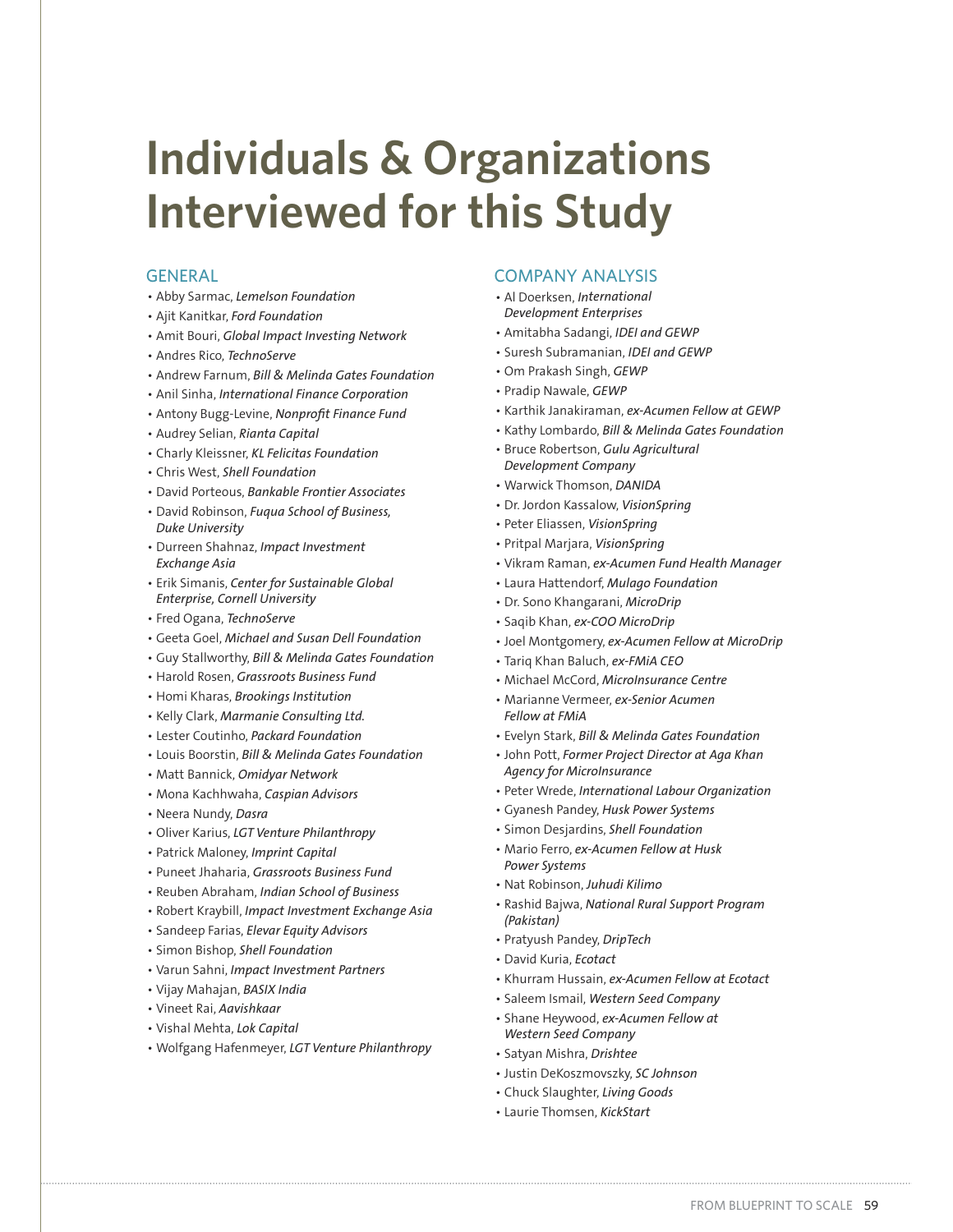# **Individuals & Organizations Interviewed for this Study**

#### GENERAL

- Abby Sarmac, Lemelson Foundation
- Ajit Kanitkar, Ford Foundation
- Amit Bouri, *Global Impact Investing Network*
- Andres Rico, TechnoServe
- Andrew Farnum, Bill & Melinda Gates Foundation
- Anil Sinha, *International Finance Corporation*
- Antony Bugg-Levine, Nonprofit Finance Fund
- Audrey Selian, Rianta Capital
- Charly Kleissner, KL Felicitas Foundation
- Chris West, Shell Foundation
- David Porteous, Bankable Frontier Associates
- David Robinson, Fuqua School of Business, *Duke University*
- Durreen Shahnaz, Impact Investment *Exchange Asia*
- $\cdot$  Erik Simanis, Center for Sustainable Global *Enterprise, Cornell University*
- Fred Ogana, TechnoServe
- Geeta Goel, Michael and Susan Dell Foundation
- Guy Stallworthy, Bill & Melinda Gates Foundation
- Harold Rosen, Grassroots Business Fund
- Homi Kharas, Brookings Institution
- Kelly Clark, Marmanie Consulting Ltd.
- Lester Coutinho, Packard Foundation
- Louis Boorstin, Bill & Melinda Gates Foundation
- Matt Bannick, Omidyar Network
- Mona Kachhwaha, Caspian Advisors
- Neera Nundy, Dasra
- Oliver Karius, LGT Venture Philanthropy
- Patrick Maloney, Imprint Capital
- Puneet Jhaharia, Grassroots Business Fund
- Reuben Abraham, Indian School of Business
- Robert Kraybill, *Impact Investment Exchange Asia*
- Sandeep Farias, *Elevar Equity Advisors*
- Simon Bishop, Shell Foundation
- Varun Sahni, Impact Investment Partners
- Vijay Mahajan, BASIX India
- Vineet Rai, Aavishkaar
- Vishal Mehta, Lok Capital
- Wolfgang Hafenmeyer, LGT Venture Philanthropy

#### COMPANY ANALYSIS

- Al Doerksen, *International Development Enterprises*
- Amitabha Sadangi, IDEI and GEWP
- Suresh Subramanian, IDEI and GEWP
- Om Prakash Singh, GEWP
- Pradip Nawale, GEWP
- Karthik Janakiraman, ex-Acumen Fellow at GEWP
- Kathy Lombardo, Bill & Melinda Gates Foundation
- **· Bruce Robertson, Gulu Agricultural** *Development Company*
- Warwick Thomson, DANIDA
- Dr. Jordon Kassalow, VisionSpring
- Peter Eliassen, VisionSpring
- Pritpal Marjara, VisionSpring
- Vikram Raman, ex-Acumen Fund Health Manager
- Laura Hattendorf, Mulago Foundation
- Dr. Sono Khangarani, MicroDrip
- Saqib Khan, ex-COO MicroDrip
- Joel Montgomery, ex-Acumen Fellow at MicroDrip
- Tariq Khan Baluch, ex-FMiA CEO
- Michael McCord. MicroInsurance Centre
- Marianne Vermeer, ex-Senior Acumen
- *Fellow at FMiA* • Evelyn Stark, Bill & Melinda Gates Foundation
- 
- John Pott, Former Project Director at Aga Khan *Agency for MicroInsurance*
- Peter Wrede, International Labour Organization
- Gyanesh Pandey, Husk Power Systems
- Simon Desjardins, Shell Foundation
- Mario Ferro, ex-Acumen Fellow at Husk *Power Systems*
- Nat Robinson, Juhudi Kilimo
- Rashid Bajwa, National Rural Support Program *(Pakistan)*
- Pratyush Pandey, DripTech
- David Kuria, *Ecotact*
- Khurram Hussain, ex-Acumen Fellow at Ecotact
- Saleem Ismail, Western Seed Company
- Shane Heywood, ex-Acumen Fellow at *Western Seed Company*
- Satyan Mishra, Drishtee
- Justin DeKoszmovszky, SC Johnson
- Chuck Slaughter, Living Goods
- Laurie Thomsen, KickStart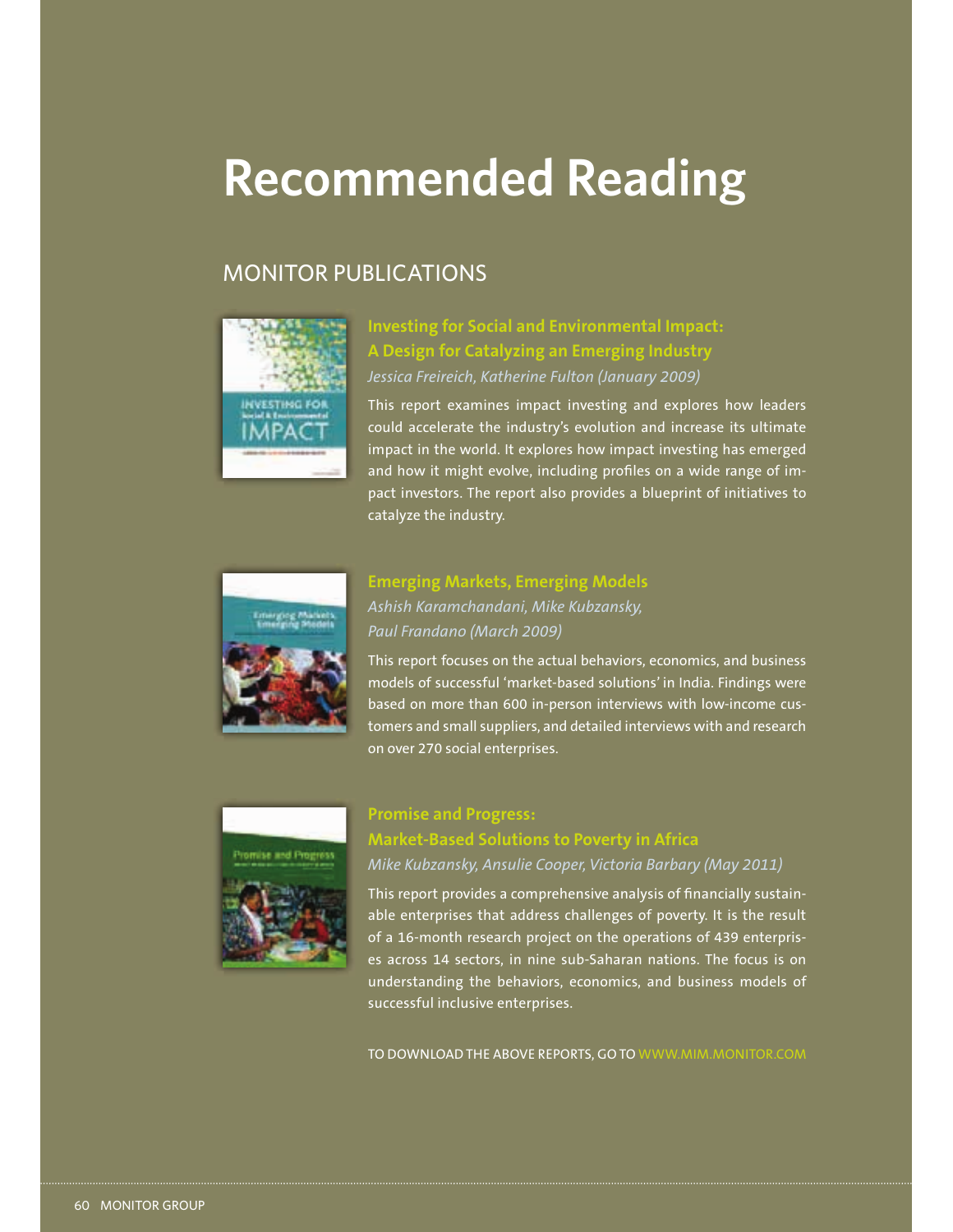# **Recommended Reading**

# MONITOR PUBLICATIONS



**Investing for Social and Environmental Impact: A Design for Catalyzing an Emerging Industry** *Jessica Freireich, Katherine Fulton (January 2009)*

This report examines impact investing and explores how leaders could accelerate the industry's evolution and increase its ultimate impact in the world. It explores how impact investing has emerged and how it might evolve, including profiles on a wide range of impact investors. The report also provides a blueprint of initiatives to catalyze the industry.



# **Emerging Markets, Emerging Models**  *Ashish Karamchandani, Mike Kubzansky, Paul Frandano (March 2009)*

This report focuses on the actual behaviors, economics, and business models of successful 'market-based solutions' in India. Findings were based on more than 600 in-person interviews with low-income customers and small suppliers, and detailed interviews with and research on over 270 social enterprises.



# **Promise and Progress: Market-Based Solutions to Poverty in Africa**

*Mike Kubzansky, Ansulie Cooper, Victoria Barbary (May 2011)*

This report provides a comprehensive analysis of financially sustainable enterprises that address challenges of poverty. It is the result of a 16-month research project on the operations of 439 enterprises across 14 sectors, in nine sub-Saharan nations. The focus is on understanding the behaviors, economics, and business models of successful inclusive enterprises.

TO DOWNLOAD THE ABOVE REPORTS, GO TO WWW.MIM.MONITOR.COM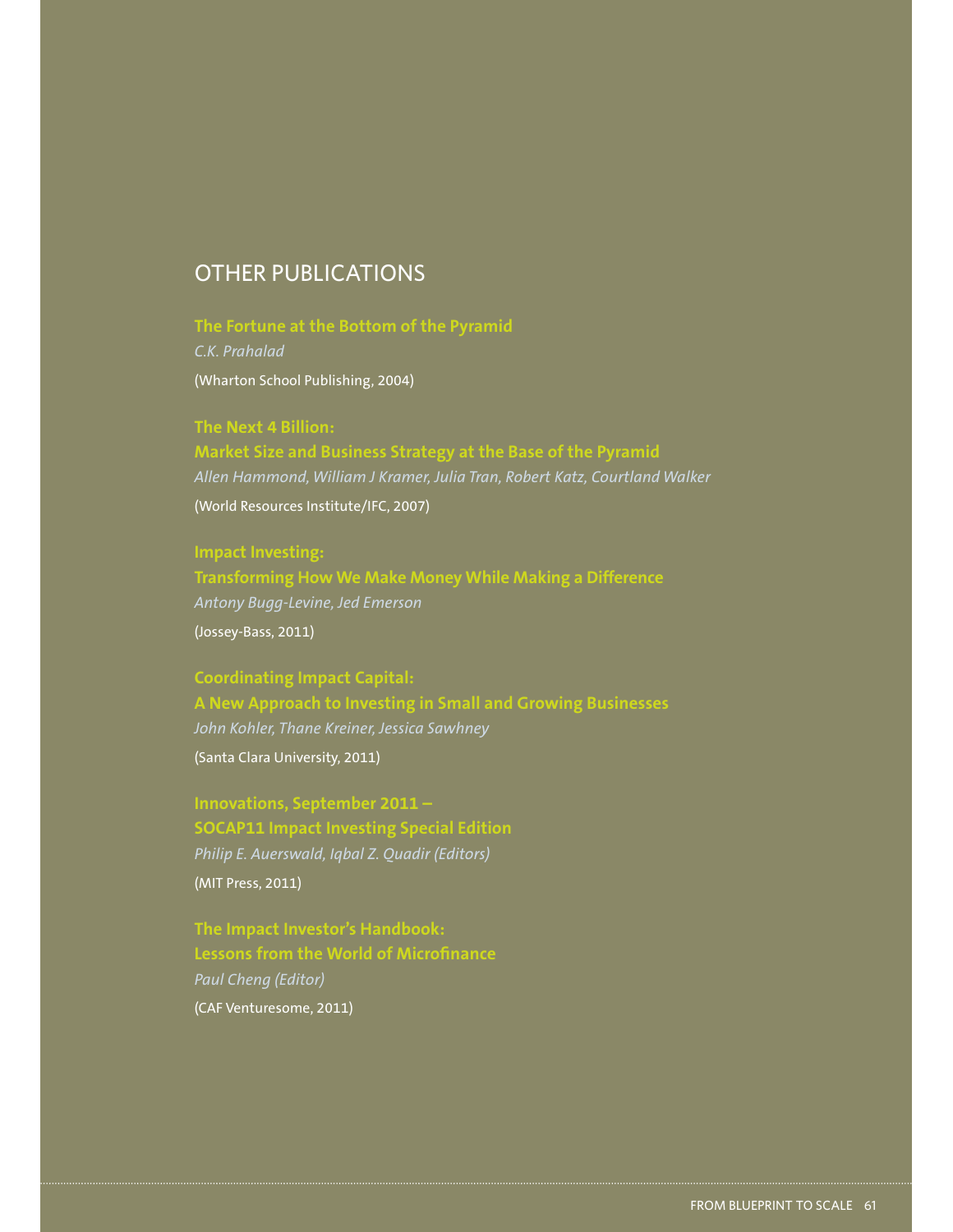# OTHER PUBLICATIONS

**The Fortune at the Bottom of the Pyramid** *C.K. Prahalad* (Wharton School Publishing, 2004)

**The Next 4 Billion: Market Size and Business Strategy at the Base of the Pyramid** *Allen Hammond, William J Kramer, Julia Tran, Robert Katz, Courtland Walker* (World Resources Institute/IFC, 2007)

# **Impact Investing: Transforming How We Make Money While Making a Difference**

*Antony Bugg-Levine, Jed Emerson* (Jossey-Bass, 2011)

**Coordinating Impact Capital: A New Approach to Investing in Small and Growing Businesses** *John Kohler, Thane Kreiner, Jessica Sawhney* (Santa Clara University, 2011)

**Innovations, September 2011 – SOCAP11 Impact Investing Special Edition** *Philip E. Auerswald, Iqbal Z. Quadir (Editors)* (MIT Press, 2011)

**The Impact Investor's Handbook: Lessons from the World of Microfinance** *Paul Cheng (Editor)* (CAF Venturesome, 2011)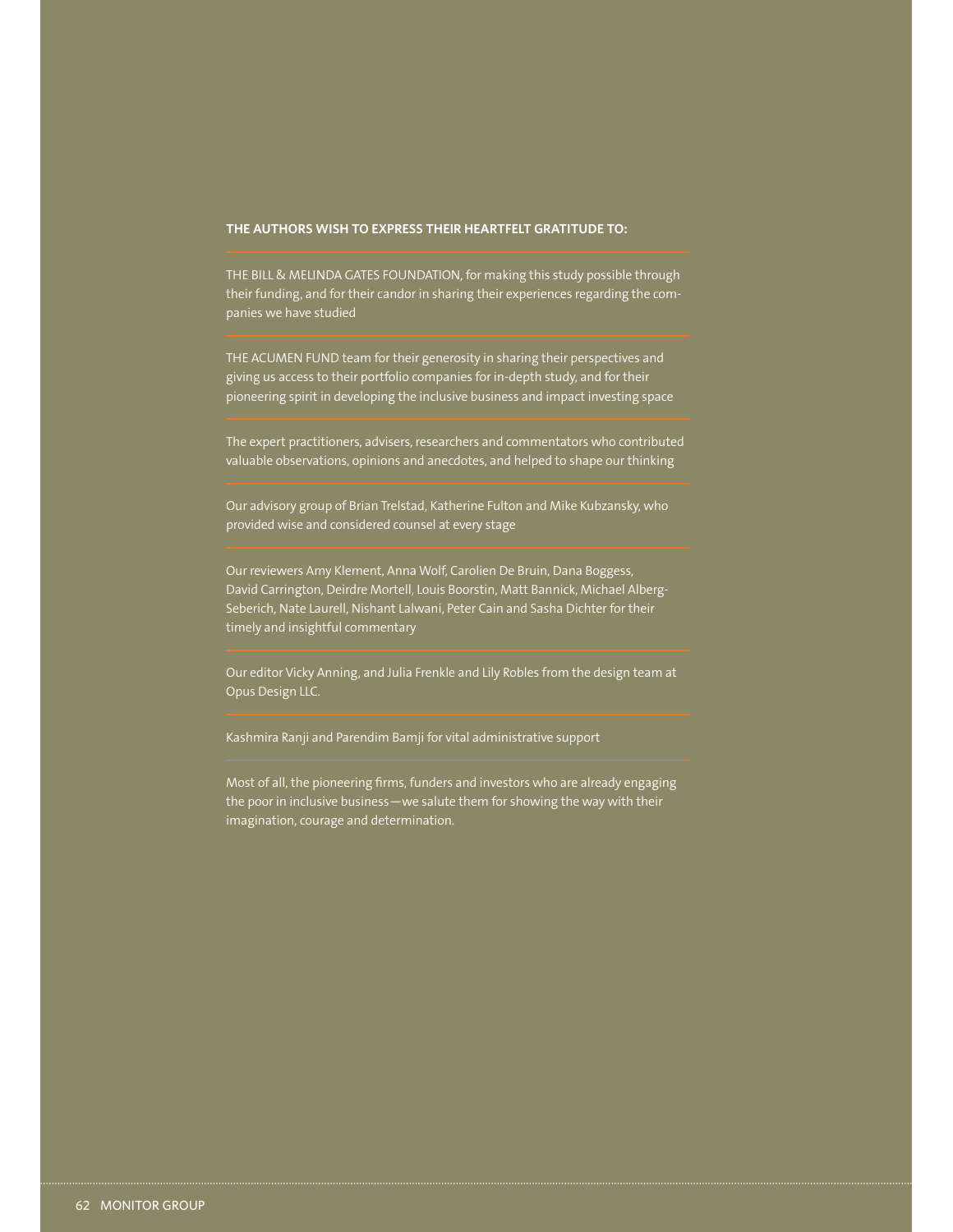#### **THE AUTHORS WISH TO EXPRESS THEIR HEARTFELT GRATITUDE TO:**

THE BILL & MELINDA GATES FOUNDATION, for making this study possible through their funding, and for their candor in sharing their experiences regarding the companies we have studied

THE ACUMEN FUND team for their generosity in sharing their perspectives and giving us access to their portfolio companies for in-depth study, and for their pioneering spirit in developing the inclusive business and impact investing space

The expert practitioners, advisers, researchers and commentators who contributed valuable observations, opinions and anecdotes, and helped to shape our thinking

Our advisory group of Brian Trelstad, Katherine Fulton and Mike Kubzansky, who provided wise and considered counsel at every stage

Our reviewers Amy Klement, Anna Wolf, Carolien De Bruin, Dana Boggess, David Carrington, Deirdre Mortell, Louis Boorstin, Matt Bannick, Michael Alberg-Seberich, Nate Laurell, Nishant Lalwani, Peter Cain and Sasha Dichter for their timely and insightful commentary

Our editor Vicky Anning, and Julia Frenkle and Lily Robles from the design team at Opus Design LLC.

Kashmira Ranji and Parendim Bamji for vital administrative support

Most of all, the pioneering firms, funders and investors who are already engaging the poor in inclusive business—we salute them for showing the way with their imagination, courage and determination.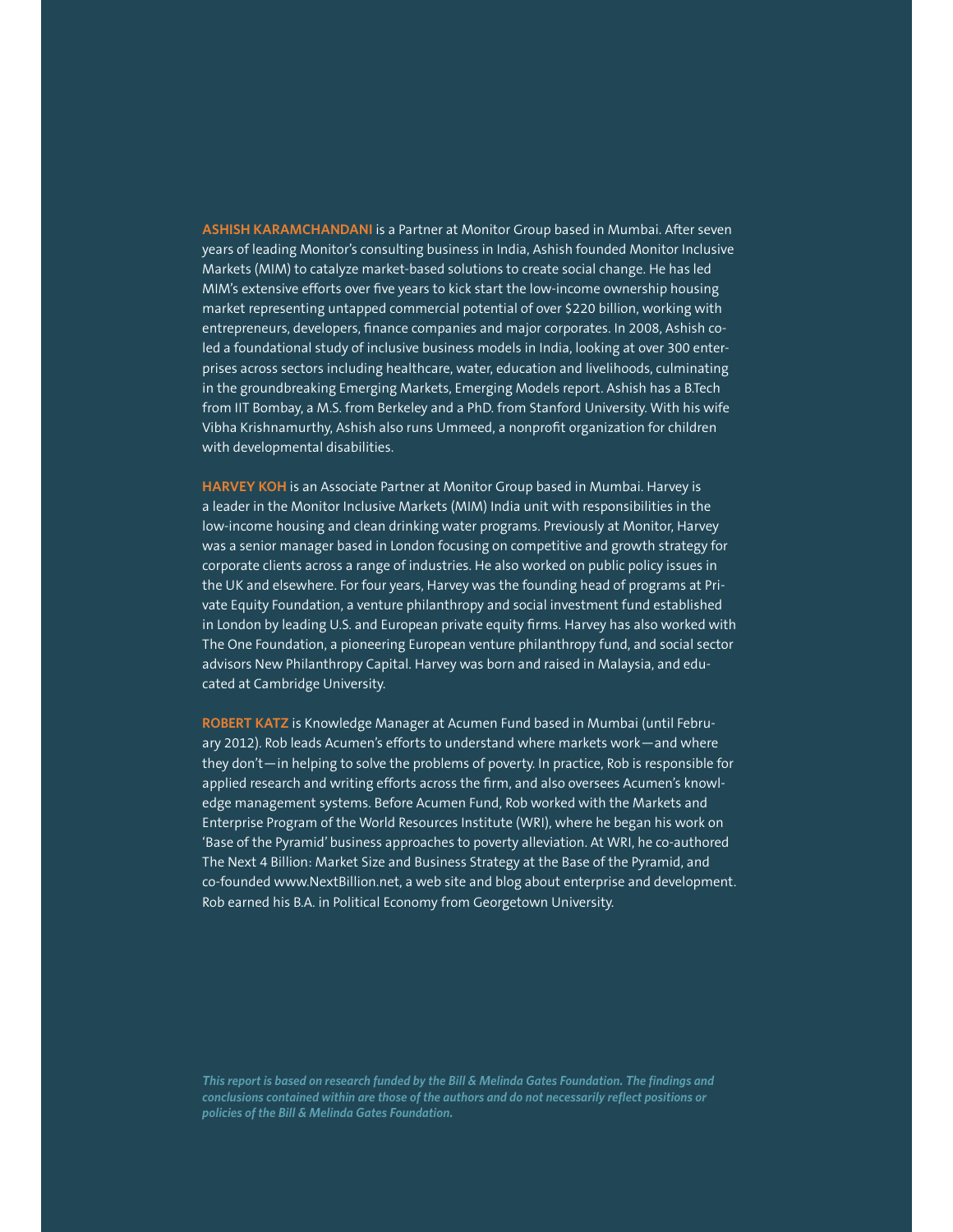**ASHISH KARAMCHANDANI** is a Partner at Monitor Group based in Mumbai. After seven years of leading Monitor's consulting business in India, Ashish founded Monitor Inclusive Markets (MIM) to catalyze market-based solutions to create social change. He has led MIM's extensive efforts over five years to kick start the low-income ownership housing market representing untapped commercial potential of over \$220 billion, working with entrepreneurs, developers, finance companies and major corporates. In 2008, Ashish coled a foundational study of inclusive business models in India, looking at over 300 enterprises across sectors including healthcare, water, education and livelihoods, culminating in the groundbreaking Emerging Markets, Emerging Models report. Ashish has a B.Tech from IIT Bombay, a M.S. from Berkeley and a PhD. from Stanford University. With his wife Vibha Krishnamurthy, Ashish also runs Ummeed, a nonprofit organization for children with developmental disabilities.

**HARVEY KOH** is an Associate Partner at Monitor Group based in Mumbai. Harvey is a leader in the Monitor Inclusive Markets (MIM) India unit with responsibilities in the low-income housing and clean drinking water programs. Previously at Monitor, Harvey was a senior manager based in London focusing on competitive and growth strategy for corporate clients across a range of industries. He also worked on public policy issues in the UK and elsewhere. For four years, Harvey was the founding head of programs at Private Equity Foundation, a venture philanthropy and social investment fund established in London by leading U.S. and European private equity firms. Harvey has also worked with The One Foundation, a pioneering European venture philanthropy fund, and social sector advisors New Philanthropy Capital. Harvey was born and raised in Malaysia, and educated at Cambridge University.

**ROBERT KATZ** is Knowledge Manager at Acumen Fund based in Mumbai (until February 2012). Rob leads Acumen's efforts to understand where markets work—and where they don't—in helping to solve the problems of poverty. In practice, Rob is responsible for applied research and writing efforts across the firm, and also oversees Acumen's knowledge management systems. Before Acumen Fund, Rob worked with the Markets and Enterprise Program of the World Resources Institute (WRI), where he began his work on 'Base of the Pyramid' business approaches to poverty alleviation. At WRI, he co-authored The Next 4 Billion: Market Size and Business Strategy at the Base of the Pyramid, and co-founded www.NextBillion.net, a web site and blog about enterprise and development. Rob earned his B.A. in Political Economy from Georgetown University.

*This report is based on research funded by the Bill & Melinda Gates Foundation. The findings and conclusions contained within are those of the authors and do not necessarily reflect positions or policies of the Bill & Melinda Gates Foundation.*